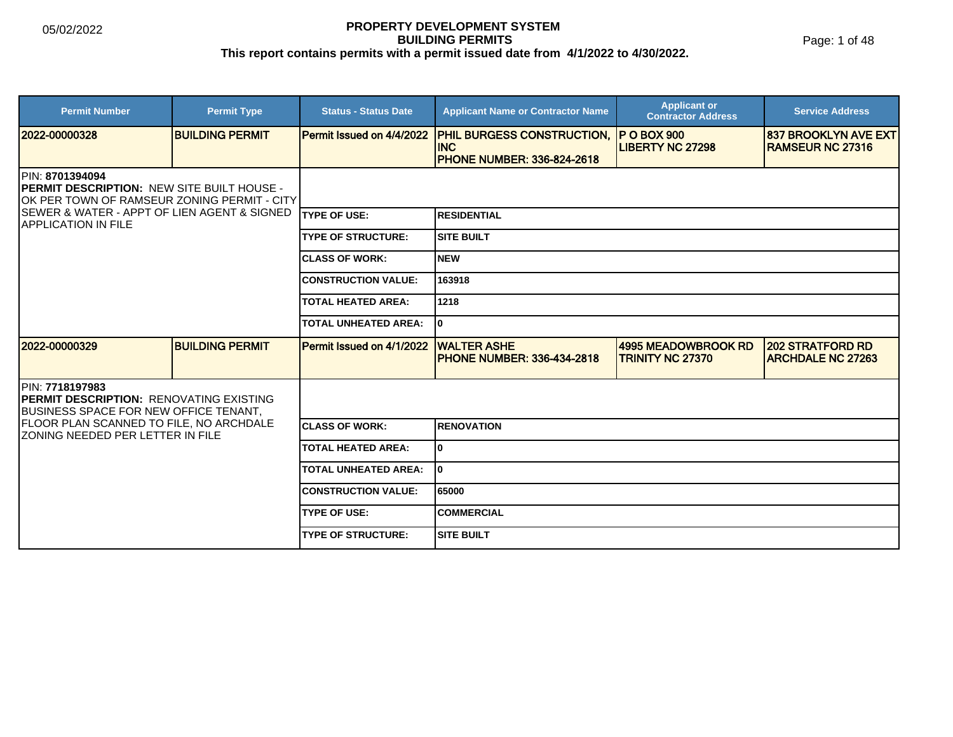Page: 1 of 48

| <b>Permit Number</b>                                                                                         | <b>Permit Type</b>     | <b>Status - Status Date</b> | <b>Applicant Name or Contractor Name</b>                                             | <b>Applicant or</b><br><b>Contractor Address</b>      | <b>Service Address</b>                              |  |
|--------------------------------------------------------------------------------------------------------------|------------------------|-----------------------------|--------------------------------------------------------------------------------------|-------------------------------------------------------|-----------------------------------------------------|--|
| l2022-00000328                                                                                               | <b>BUILDING PERMIT</b> | Permit Issued on 4/4/2022   | <b>PHIL BURGESS CONSTRUCTION,</b><br><b>INC</b><br><b>PHONE NUMBER: 336-824-2618</b> | <b>IP O BOX 900</b><br><b>LIBERTY NC 27298</b>        | 1837 BROOKLYN AVE EXT<br><b>IRAMSEUR NC 27316</b>   |  |
| PIN: 8701394094<br>PERMIT DESCRIPTION: NEW SITE BUILT HOUSE -<br>OK PER TOWN OF RAMSEUR ZONING PERMIT - CITY |                        |                             |                                                                                      |                                                       |                                                     |  |
| <b>ISEWER &amp; WATER - APPT OF LIEN AGENT &amp; SIGNED</b><br><b>IAPPLICATION IN FILE</b>                   |                        | <b>ITYPE OF USE:</b>        | <b>RESIDENTIAL</b>                                                                   |                                                       |                                                     |  |
|                                                                                                              |                        | <b>TYPE OF STRUCTURE:</b>   | ISITE BUILT                                                                          |                                                       |                                                     |  |
|                                                                                                              |                        | <b>CLASS OF WORK:</b>       | Inew                                                                                 |                                                       |                                                     |  |
|                                                                                                              |                        | <b>CONSTRUCTION VALUE:</b>  | 163918                                                                               |                                                       |                                                     |  |
|                                                                                                              |                        | <b>TOTAL HEATED AREA:</b>   | 1218                                                                                 |                                                       |                                                     |  |
|                                                                                                              |                        | <b>TOTAL UNHEATED AREA:</b> | I٥                                                                                   |                                                       |                                                     |  |
| 12022-00000329                                                                                               | <b>BUILDING PERMIT</b> | Permit Issued on 4/1/2022   | <b>WALTER ASHE</b><br><b>PHONE NUMBER: 336-434-2818</b>                              | <b>4995 MEADOWBROOK RD</b><br><b>TRINITY NC 27370</b> | <b>202 STRATFORD RD</b><br><b>ARCHDALE NC 27263</b> |  |
| IPIN: 7718197983<br><b>PERMIT DESCRIPTION: RENOVATING EXISTING</b><br>BUSINESS SPACE FOR NEW OFFICE TENANT,  |                        |                             |                                                                                      |                                                       |                                                     |  |
| <b>FLOOR PLAN SCANNED TO FILE, NO ARCHDALE</b><br><b>IZONING NEEDED PER LETTER IN FILE</b>                   |                        | <b>ICLASS OF WORK:</b>      | IRENOVATION                                                                          |                                                       |                                                     |  |
|                                                                                                              |                        | <b>TOTAL HEATED AREA:</b>   | lo.                                                                                  |                                                       |                                                     |  |
|                                                                                                              |                        | <b>TOTAL UNHEATED AREA:</b> | I٥                                                                                   |                                                       |                                                     |  |
|                                                                                                              |                        | <b>CONSTRUCTION VALUE:</b>  | 65000                                                                                |                                                       |                                                     |  |
|                                                                                                              |                        | <b>TYPE OF USE:</b>         | <b>COMMERCIAL</b>                                                                    |                                                       |                                                     |  |
|                                                                                                              |                        | <b>TYPE OF STRUCTURE:</b>   | <b>ISITE BUILT</b>                                                                   |                                                       |                                                     |  |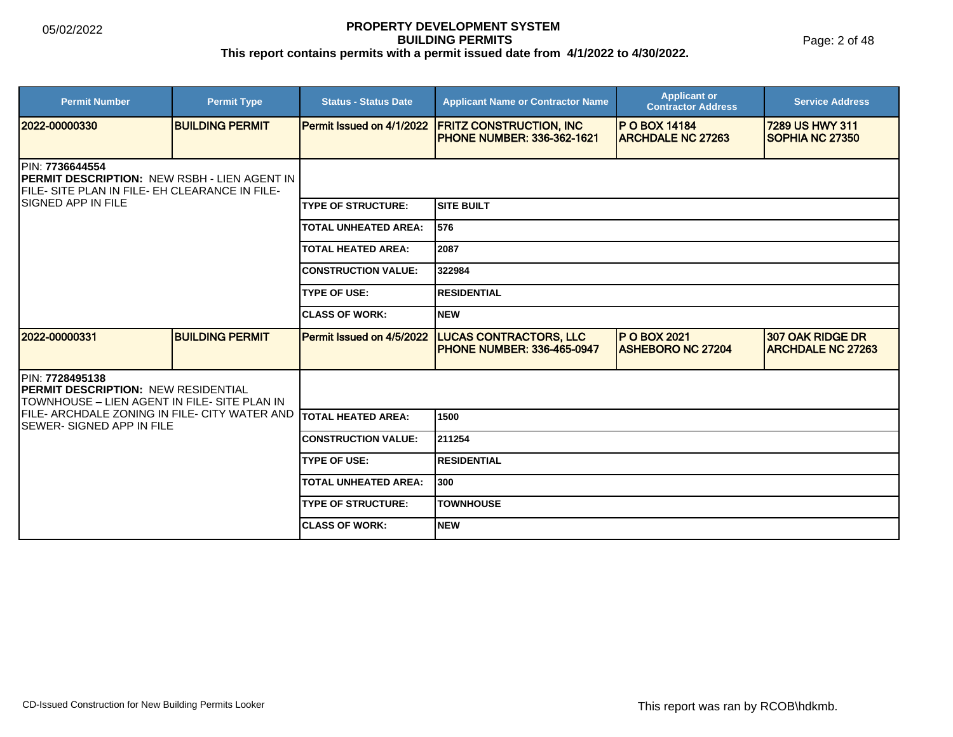Page: 2 of 48

| <b>Permit Number</b>                                                                                                              | <b>Permit Type</b>     | <b>Status - Status Date</b> | <b>Applicant Name or Contractor Name</b>                             | <b>Applicant or</b><br><b>Contractor Address</b> | <b>Service Address</b>                       |  |
|-----------------------------------------------------------------------------------------------------------------------------------|------------------------|-----------------------------|----------------------------------------------------------------------|--------------------------------------------------|----------------------------------------------|--|
| 2022-00000330                                                                                                                     | <b>BUILDING PERMIT</b> | Permit Issued on 4/1/2022   | <b>FRITZ CONSTRUCTION, INC.</b><br><b>PHONE NUMBER: 336-362-1621</b> | <b>P O BOX 14184</b><br><b>ARCHDALE NC 27263</b> | 7289 US HWY 311<br>SOPHIA NC 27350           |  |
| PIN: 7736644554<br><b>IPERMIT DESCRIPTION: NEW RSBH - LIEN AGENT IN</b><br><b>IFILE- SITE PLAN IN FILE- EH CLEARANCE IN FILE-</b> |                        |                             |                                                                      |                                                  |                                              |  |
| <b>ISIGNED APP IN FILE</b>                                                                                                        |                        | <b>TYPE OF STRUCTURE:</b>   | <b>SITE BUILT</b>                                                    |                                                  |                                              |  |
|                                                                                                                                   |                        | <b>TOTAL UNHEATED AREA:</b> | 576                                                                  |                                                  |                                              |  |
|                                                                                                                                   |                        | <b>TOTAL HEATED AREA:</b>   | 2087                                                                 |                                                  |                                              |  |
|                                                                                                                                   |                        | <b>CONSTRUCTION VALUE:</b>  | 322984                                                               |                                                  |                                              |  |
|                                                                                                                                   |                        | <b>TYPE OF USE:</b>         | <b>RESIDENTIAL</b>                                                   |                                                  |                                              |  |
|                                                                                                                                   |                        | <b>ICLASS OF WORK:</b>      | Inew                                                                 |                                                  |                                              |  |
| 2022-00000331                                                                                                                     | <b>BUILDING PERMIT</b> | Permit Issued on 4/5/2022   | <b>LUCAS CONTRACTORS, LLC</b><br><b>IPHONE NUMBER: 336-465-0947</b>  | <b>P O BOX 2021</b><br><b>ASHEBORO NC 27204</b>  | 307 OAK RIDGE DR<br><b>ARCHDALE NC 27263</b> |  |
| <b>IPIN: 7728495138</b><br><b>PERMIT DESCRIPTION: NEW RESIDENTIAL</b><br>TOWNHOUSE – LIEN AGENT IN FILE- SITE PLAN IN             |                        |                             |                                                                      |                                                  |                                              |  |
| <b>IFILE- ARCHDALE ZONING IN FILE- CITY WATER AND</b><br>ISEWER- SIGNED APP IN FILE                                               |                        | <b>TOTAL HEATED AREA:</b>   | 1500                                                                 |                                                  |                                              |  |
|                                                                                                                                   |                        | <b>CONSTRUCTION VALUE:</b>  | 211254                                                               |                                                  |                                              |  |
|                                                                                                                                   |                        | <b>TYPE OF USE:</b>         | <b>RESIDENTIAL</b>                                                   |                                                  |                                              |  |
|                                                                                                                                   |                        | <b>TOTAL UNHEATED AREA:</b> | 300                                                                  |                                                  |                                              |  |
|                                                                                                                                   |                        | <b>TYPE OF STRUCTURE:</b>   | <b>TOWNHOUSE</b>                                                     |                                                  |                                              |  |
|                                                                                                                                   |                        | <b>ICLASS OF WORK:</b>      | <b>NEW</b>                                                           |                                                  |                                              |  |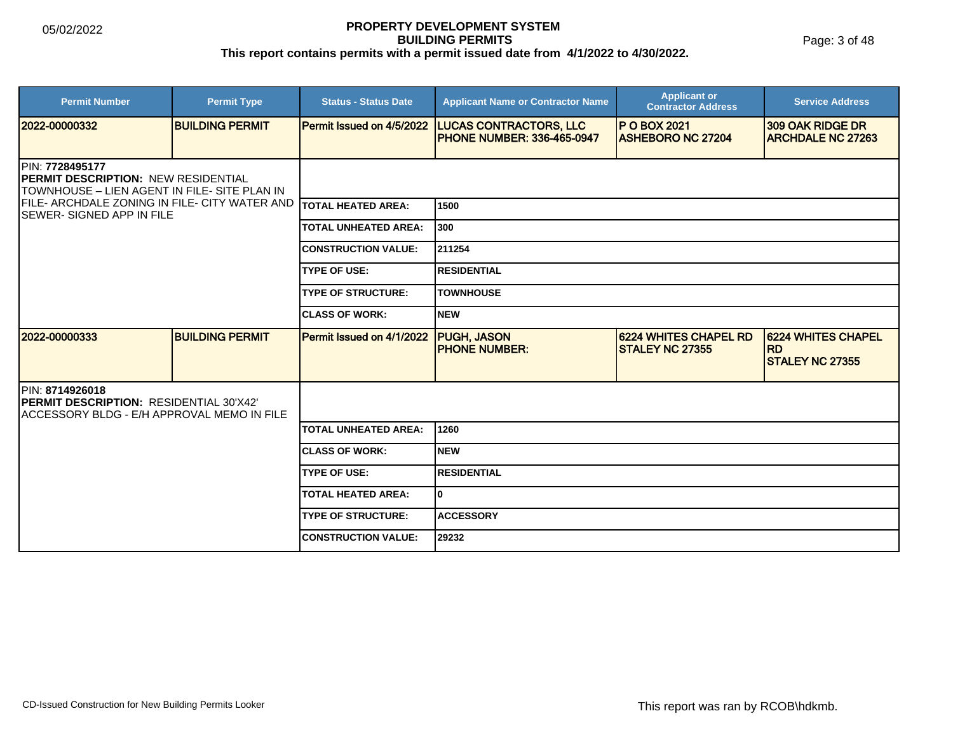Page: 3 of 48

| <b>Permit Number</b>                                                                                     | <b>Permit Type</b>     | <b>Status - Status Date</b> | <b>Applicant Name or Contractor Name</b>                           | <b>Applicant or</b><br><b>Contractor Address</b> | <b>Service Address</b>                                    |
|----------------------------------------------------------------------------------------------------------|------------------------|-----------------------------|--------------------------------------------------------------------|--------------------------------------------------|-----------------------------------------------------------|
| 2022-00000332                                                                                            | <b>BUILDING PERMIT</b> | Permit Issued on 4/5/2022   | <b>LUCAS CONTRACTORS, LLC</b><br><b>PHONE NUMBER: 336-465-0947</b> | <b>P O BOX 2021</b><br><b>ASHEBORO NC 27204</b>  | 309 OAK RIDGE DR<br><b>ARCHDALE NC 27263</b>              |
| IPIN: 7728495177<br>PERMIT DESCRIPTION: NEW RESIDENTIAL<br>TOWNHOUSE - LIEN AGENT IN FILE- SITE PLAN IN  |                        |                             |                                                                    |                                                  |                                                           |
| FILE- ARCHDALE ZONING IN FILE- CITY WATER AND TOTAL HEATED AREA:<br>ISEWER- SIGNED APP IN FILE           |                        |                             | 1500                                                               |                                                  |                                                           |
|                                                                                                          |                        | <b>TOTAL UNHEATED AREA:</b> | 300                                                                |                                                  |                                                           |
|                                                                                                          |                        | <b>CONSTRUCTION VALUE:</b>  | 211254                                                             |                                                  |                                                           |
|                                                                                                          |                        | <b>TYPE OF USE:</b>         | <b>RESIDENTIAL</b>                                                 |                                                  |                                                           |
|                                                                                                          |                        | <b>TYPE OF STRUCTURE:</b>   | <b>TOWNHOUSE</b>                                                   |                                                  |                                                           |
|                                                                                                          |                        | <b>CLASS OF WORK:</b>       | <b>NEW</b>                                                         |                                                  |                                                           |
| 2022-00000333                                                                                            | <b>BUILDING PERMIT</b> | Permit Issued on 4/1/2022   | <b>PUGH, JASON</b><br><b>PHONE NUMBER:</b>                         | 6224 WHITES CHAPEL RD<br><b>STALEY NC 27355</b>  | 6224 WHITES CHAPEL<br><b>RD</b><br><b>STALEY NC 27355</b> |
| PIN: 8714926018<br>PERMIT DESCRIPTION: RESIDENTIAL 30'X42'<br>ACCESSORY BLDG - E/H APPROVAL MEMO IN FILE |                        |                             |                                                                    |                                                  |                                                           |
|                                                                                                          |                        | <b>TOTAL UNHEATED AREA:</b> | 1260                                                               |                                                  |                                                           |
|                                                                                                          |                        | <b>CLASS OF WORK:</b>       | <b>NEW</b>                                                         |                                                  |                                                           |
|                                                                                                          |                        | <b>TYPE OF USE:</b>         | <b>RESIDENTIAL</b>                                                 |                                                  |                                                           |
|                                                                                                          |                        | <b>TOTAL HEATED AREA:</b>   | 0                                                                  |                                                  |                                                           |
|                                                                                                          |                        | <b>TYPE OF STRUCTURE:</b>   | <b>ACCESSORY</b>                                                   |                                                  |                                                           |
|                                                                                                          |                        | <b>CONSTRUCTION VALUE:</b>  | 29232                                                              |                                                  |                                                           |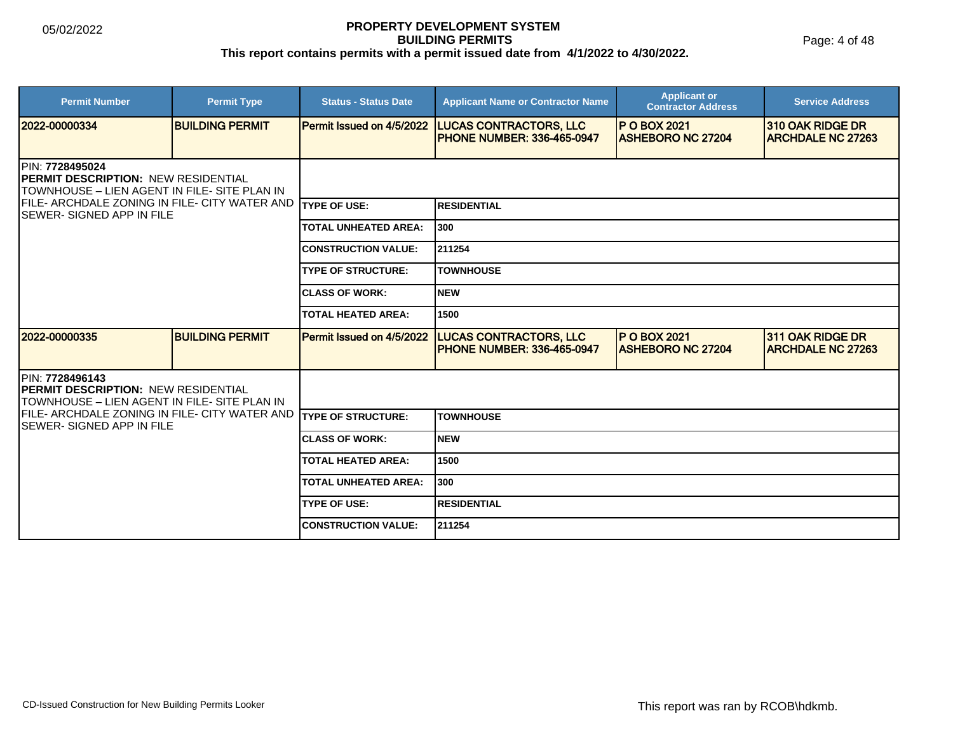Page: 4 of 48

| <b>Permit Number</b>                                                                                                   | <b>Permit Type</b>     | <b>Status - Status Date</b> | <b>Applicant Name or Contractor Name</b>                            | <b>Applicant or</b><br><b>Contractor Address</b> | <b>Service Address</b>                       |  |
|------------------------------------------------------------------------------------------------------------------------|------------------------|-----------------------------|---------------------------------------------------------------------|--------------------------------------------------|----------------------------------------------|--|
| 2022-00000334                                                                                                          | <b>BUILDING PERMIT</b> | Permit Issued on 4/5/2022   | <b>LUCAS CONTRACTORS, LLC</b><br><b>PHONE NUMBER: 336-465-0947</b>  | <b>P O BOX 2021</b><br><b>ASHEBORO NC 27204</b>  | 310 OAK RIDGE DR<br><b>ARCHDALE NC 27263</b> |  |
| PIN: 7728495024<br><b>PERMIT DESCRIPTION: NEW RESIDENTIAL</b><br>TOWNHOUSE - LIEN AGENT IN FILE- SITE PLAN IN          |                        |                             |                                                                     |                                                  |                                              |  |
| FILE- ARCHDALE ZONING IN FILE- CITY WATER AND<br><b>SEWER-SIGNED APP IN FILE</b>                                       |                        | <b>TYPE OF USE:</b>         | <b>RESIDENTIAL</b>                                                  |                                                  |                                              |  |
|                                                                                                                        |                        | <b>TOTAL UNHEATED AREA:</b> | 300                                                                 |                                                  |                                              |  |
|                                                                                                                        |                        | <b>CONSTRUCTION VALUE:</b>  | 211254                                                              |                                                  |                                              |  |
|                                                                                                                        |                        | <b>TYPE OF STRUCTURE:</b>   | <b>TOWNHOUSE</b>                                                    |                                                  |                                              |  |
|                                                                                                                        |                        | <b>CLASS OF WORK:</b>       | <b>NEW</b>                                                          |                                                  |                                              |  |
|                                                                                                                        |                        | <b>TOTAL HEATED AREA:</b>   | 1500                                                                |                                                  |                                              |  |
| 2022-00000335                                                                                                          | <b>BUILDING PERMIT</b> | Permit Issued on 4/5/2022   | <b>LUCAS CONTRACTORS, LLC</b><br><b>IPHONE NUMBER: 336-465-0947</b> | <b>P O BOX 2021</b><br><b>ASHEBORO NC 27204</b>  | 311 OAK RIDGE DR<br><b>ARCHDALE NC 27263</b> |  |
| <b>IPIN: 7728496143</b><br><b>IPERMIT DESCRIPTION: NEW RESIDENTIAL</b><br>TOWNHOUSE – LIEN AGENT IN FILE- SITE PLAN IN |                        |                             |                                                                     |                                                  |                                              |  |
| <b>IFILE- ARCHDALE ZONING IN FILE- CITY WATER AND</b><br><b>SEWER-SIGNED APP IN FILE</b>                               |                        | <b>TYPE OF STRUCTURE:</b>   | <b>TOWNHOUSE</b>                                                    |                                                  |                                              |  |
|                                                                                                                        |                        | <b>CLASS OF WORK:</b>       | <b>NEW</b>                                                          |                                                  |                                              |  |
|                                                                                                                        |                        | <b>TOTAL HEATED AREA:</b>   | 1500                                                                |                                                  |                                              |  |
|                                                                                                                        |                        | <b>TOTAL UNHEATED AREA:</b> | 300                                                                 |                                                  |                                              |  |
|                                                                                                                        |                        | <b>TYPE OF USE:</b>         | <b>RESIDENTIAL</b>                                                  |                                                  |                                              |  |
|                                                                                                                        |                        | <b>CONSTRUCTION VALUE:</b>  | 211254                                                              |                                                  |                                              |  |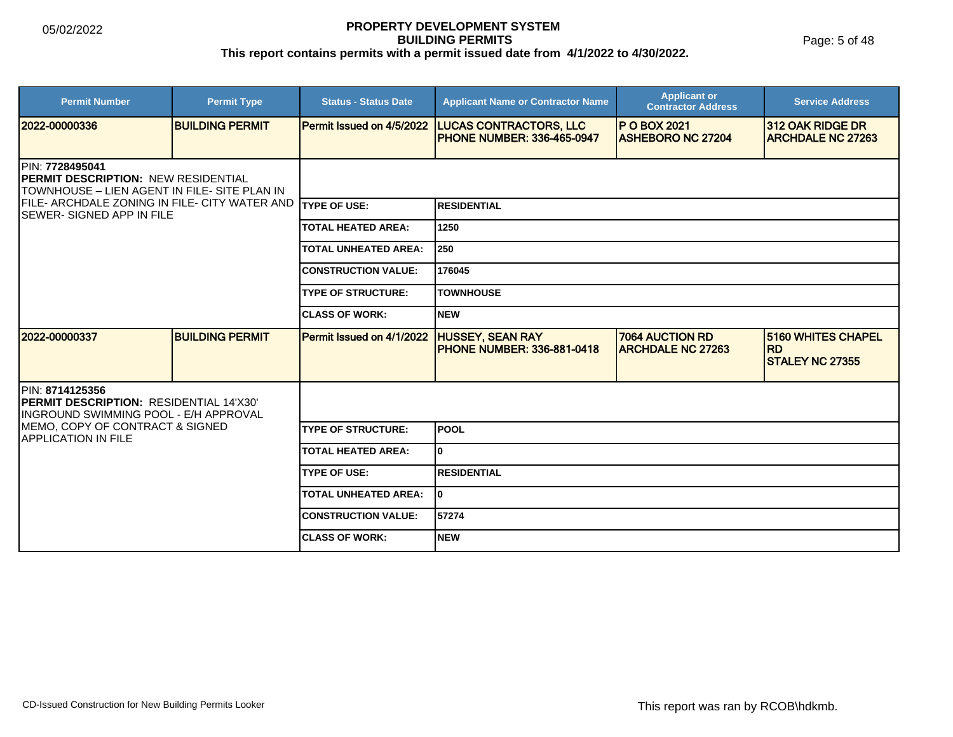Page: 5 of 48

| <b>Permit Number</b>                                                                                                  | <b>Permit Type</b>     | <b>Status - Status Date</b> | <b>Applicant Name or Contractor Name</b>                           | <b>Applicant or</b><br><b>Contractor Address</b>   | <b>Service Address</b>                                    |
|-----------------------------------------------------------------------------------------------------------------------|------------------------|-----------------------------|--------------------------------------------------------------------|----------------------------------------------------|-----------------------------------------------------------|
| 2022-00000336                                                                                                         | <b>BUILDING PERMIT</b> | Permit Issued on 4/5/2022   | <b>LUCAS CONTRACTORS, LLC</b><br><b>PHONE NUMBER: 336-465-0947</b> | <b>P O BOX 2021</b><br><b>ASHEBORO NC 27204</b>    | 312 OAK RIDGE DR<br><b>ARCHDALE NC 27263</b>              |
| <b>IPIN: 7728495041</b><br><b>PERMIT DESCRIPTION: NEW RESIDENTIAL</b><br>TOWNHOUSE – LIEN AGENT IN FILE- SITE PLAN IN |                        |                             |                                                                    |                                                    |                                                           |
| FILE- ARCHDALE ZONING IN FILE- CITY WATER AND<br><b>ISEWER- SIGNED APP IN FILE</b>                                    |                        | <b>ITYPE OF USE:</b>        | <b>RESIDENTIAL</b>                                                 |                                                    |                                                           |
|                                                                                                                       |                        | <b>TOTAL HEATED AREA:</b>   | 1250                                                               |                                                    |                                                           |
|                                                                                                                       |                        | <b>TOTAL UNHEATED AREA:</b> | 250                                                                |                                                    |                                                           |
|                                                                                                                       |                        | <b>CONSTRUCTION VALUE:</b>  | 176045                                                             |                                                    |                                                           |
|                                                                                                                       |                        | <b>TYPE OF STRUCTURE:</b>   | <b>TOWNHOUSE</b>                                                   |                                                    |                                                           |
|                                                                                                                       |                        | <b>CLASS OF WORK:</b>       | Inew                                                               |                                                    |                                                           |
| 2022-00000337                                                                                                         | <b>BUILDING PERMIT</b> | Permit Issued on 4/1/2022   | <b>HUSSEY, SEAN RAY</b><br><b>PHONE NUMBER: 336-881-0418</b>       | <b>7064 AUCTION RD</b><br><b>ARCHDALE NC 27263</b> | 5160 WHITES CHAPEL<br><b>RD</b><br><b>STALEY NC 27355</b> |
| PIN: 8714125356<br><b>PERMIT DESCRIPTION: RESIDENTIAL 14'X30'</b><br><b>INGROUND SWIMMING POOL - E/H APPROVAL</b>     |                        |                             |                                                                    |                                                    |                                                           |
| MEMO, COPY OF CONTRACT & SIGNED<br><b>APPLICATION IN FILE</b>                                                         |                        | <b>TYPE OF STRUCTURE:</b>   | <b>IPOOL</b>                                                       |                                                    |                                                           |
|                                                                                                                       |                        | <b>TOTAL HEATED AREA:</b>   | lo.                                                                |                                                    |                                                           |
|                                                                                                                       |                        | <b>TYPE OF USE:</b>         | <b>RESIDENTIAL</b>                                                 |                                                    |                                                           |
|                                                                                                                       |                        | <b>TOTAL UNHEATED AREA:</b> | I٥                                                                 |                                                    |                                                           |
|                                                                                                                       |                        | <b>CONSTRUCTION VALUE:</b>  | 57274                                                              |                                                    |                                                           |
|                                                                                                                       |                        | <b>CLASS OF WORK:</b>       | <b>NEW</b>                                                         |                                                    |                                                           |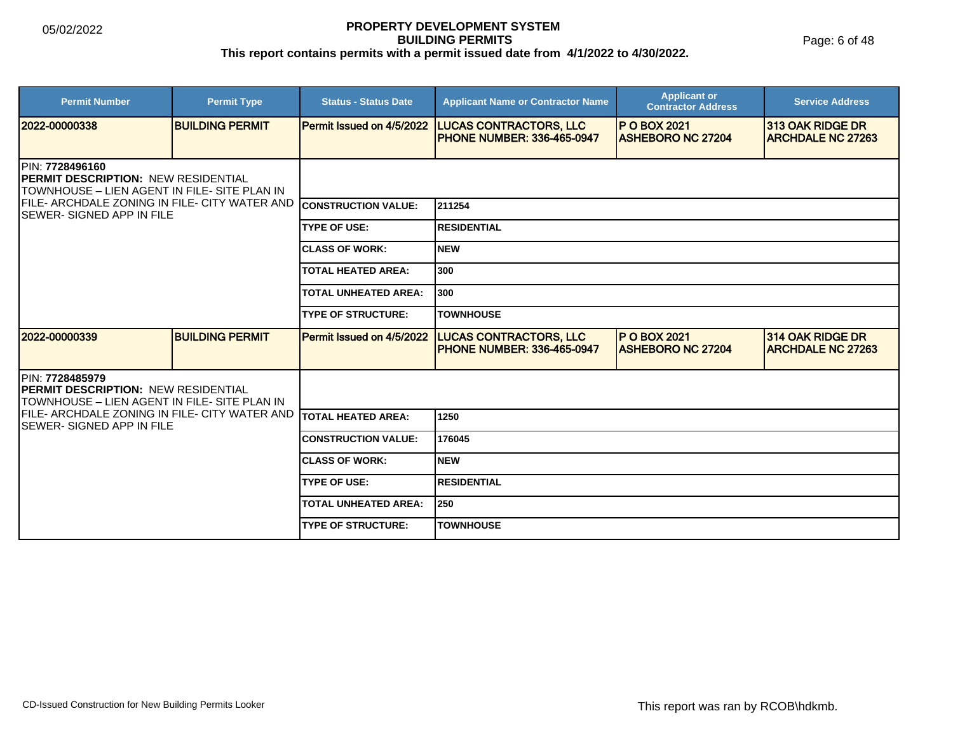Page: 6 of 48

| <b>Permit Number</b>                                                                                                   | <b>Permit Type</b>     | <b>Status - Status Date</b> | <b>Applicant Name or Contractor Name</b>                           | <b>Applicant or</b><br><b>Contractor Address</b> | <b>Service Address</b>                       |  |
|------------------------------------------------------------------------------------------------------------------------|------------------------|-----------------------------|--------------------------------------------------------------------|--------------------------------------------------|----------------------------------------------|--|
| 2022-00000338                                                                                                          | <b>BUILDING PERMIT</b> | Permit Issued on 4/5/2022   | <b>LUCAS CONTRACTORS, LLC</b><br><b>PHONE NUMBER: 336-465-0947</b> | <b>P O BOX 2021</b><br><b>ASHEBORO NC 27204</b>  | 313 OAK RIDGE DR<br><b>ARCHDALE NC 27263</b> |  |
| <b>IPIN: 7728496160</b><br><b>IPERMIT DESCRIPTION: NEW RESIDENTIAL</b><br>TOWNHOUSE - LIEN AGENT IN FILE- SITE PLAN IN |                        |                             |                                                                    |                                                  |                                              |  |
| FILE- ARCHDALE ZONING IN FILE- CITY WATER AND<br><b>ISEWER-SIGNED APP IN FILE</b>                                      |                        | <b>CONSTRUCTION VALUE:</b>  | 211254                                                             |                                                  |                                              |  |
|                                                                                                                        |                        | <b>TYPE OF USE:</b>         | <b>RESIDENTIAL</b>                                                 |                                                  |                                              |  |
|                                                                                                                        |                        | <b>CLASS OF WORK:</b>       | <b>NEW</b>                                                         |                                                  |                                              |  |
|                                                                                                                        |                        | <b>TOTAL HEATED AREA:</b>   | 300                                                                |                                                  |                                              |  |
|                                                                                                                        |                        | <b>TOTAL UNHEATED AREA:</b> | 300                                                                |                                                  |                                              |  |
|                                                                                                                        |                        | <b>TYPE OF STRUCTURE:</b>   | <b>TOWNHOUSE</b>                                                   |                                                  |                                              |  |
| 2022-00000339                                                                                                          | <b>BUILDING PERMIT</b> | Permit Issued on 4/5/2022   | <b>LUCAS CONTRACTORS, LLC</b><br><b>PHONE NUMBER: 336-465-0947</b> | <b>P O BOX 2021</b><br><b>ASHEBORO NC 27204</b>  | 314 OAK RIDGE DR<br><b>ARCHDALE NC 27263</b> |  |
| <b>IPIN: 7728485979</b><br><b>IPERMIT DESCRIPTION: NEW RESIDENTIAL</b><br>TOWNHOUSE – LIEN AGENT IN FILE- SITE PLAN IN |                        |                             |                                                                    |                                                  |                                              |  |
| <b>IFILE- ARCHDALE ZONING IN FILE- CITY WATER AND</b><br><b>ISEWER-SIGNED APP IN FILE</b>                              |                        | <b>TOTAL HEATED AREA:</b>   | 1250                                                               |                                                  |                                              |  |
|                                                                                                                        |                        | <b>CONSTRUCTION VALUE:</b>  | 176045                                                             |                                                  |                                              |  |
|                                                                                                                        |                        | <b>CLASS OF WORK:</b>       | <b>NEW</b>                                                         |                                                  |                                              |  |
|                                                                                                                        |                        | <b>TYPE OF USE:</b>         | <b>RESIDENTIAL</b>                                                 |                                                  |                                              |  |
|                                                                                                                        |                        | <b>TOTAL UNHEATED AREA:</b> | 250                                                                |                                                  |                                              |  |
|                                                                                                                        |                        | <b>TYPE OF STRUCTURE:</b>   | <b>TOWNHOUSE</b>                                                   |                                                  |                                              |  |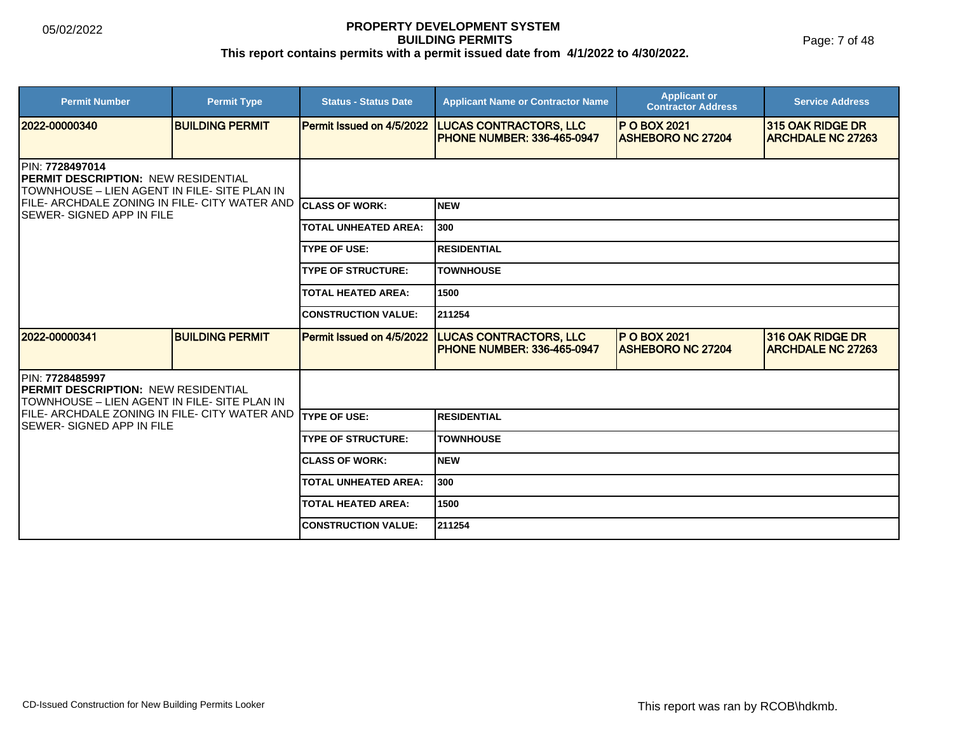Page: 7 of 48

| <b>Permit Number</b>                                                                                                  | <b>Permit Type</b>     | <b>Status - Status Date</b> | <b>Applicant Name or Contractor Name</b>                           | <b>Applicant or</b><br><b>Contractor Address</b> | <b>Service Address</b>                              |  |  |
|-----------------------------------------------------------------------------------------------------------------------|------------------------|-----------------------------|--------------------------------------------------------------------|--------------------------------------------------|-----------------------------------------------------|--|--|
| 2022-00000340                                                                                                         | <b>BUILDING PERMIT</b> | Permit Issued on 4/5/2022   | <b>LUCAS CONTRACTORS, LLC</b><br><b>PHONE NUMBER: 336-465-0947</b> | <b>IP O BOX 2021</b><br><b>ASHEBORO NC 27204</b> | 315 OAK RIDGE DR<br><b>ARCHDALE NC 27263</b>        |  |  |
| PIN: 7728497014<br><b>IPERMIT DESCRIPTION: NEW RESIDENTIAL</b><br>TOWNHOUSE – LIEN AGENT IN FILE- SITE PLAN IN        |                        |                             |                                                                    |                                                  |                                                     |  |  |
| FILE- ARCHDALE ZONING IN FILE- CITY WATER AND CLASS OF WORK:<br><b>SEWER-SIGNED APP IN FILE</b>                       |                        |                             | <b>NEW</b>                                                         |                                                  |                                                     |  |  |
|                                                                                                                       |                        | <b>TOTAL UNHEATED AREA:</b> | 300                                                                |                                                  |                                                     |  |  |
|                                                                                                                       |                        | <b>TYPE OF USE:</b>         | <b>RESIDENTIAL</b>                                                 |                                                  |                                                     |  |  |
|                                                                                                                       |                        | <b>TYPE OF STRUCTURE:</b>   | <b>TOWNHOUSE</b>                                                   |                                                  |                                                     |  |  |
|                                                                                                                       |                        | <b>TOTAL HEATED AREA:</b>   | 1500                                                               |                                                  |                                                     |  |  |
|                                                                                                                       |                        | <b>ICONSTRUCTION VALUE:</b> | 211254                                                             |                                                  |                                                     |  |  |
| 2022-00000341                                                                                                         | <b>BUILDING PERMIT</b> | Permit Issued on 4/5/2022   | <b>LUCAS CONTRACTORS, LLC</b><br><b>PHONE NUMBER: 336-465-0947</b> | <b>P O BOX 2021</b><br><b>ASHEBORO NC 27204</b>  | <b>316 OAK RIDGE DR</b><br><b>ARCHDALE NC 27263</b> |  |  |
| <b>IPIN: 7728485997</b><br><b>PERMIT DESCRIPTION: NEW RESIDENTIAL</b><br>TOWNHOUSE – LIEN AGENT IN FILE- SITE PLAN IN |                        |                             |                                                                    |                                                  |                                                     |  |  |
| FILE- ARCHDALE ZONING IN FILE- CITY WATER AND<br><b>ISEWER- SIGNED APP IN FILE</b>                                    |                        | <b>ITYPE OF USE:</b>        | <b>RESIDENTIAL</b>                                                 |                                                  |                                                     |  |  |
|                                                                                                                       |                        | <b>TYPE OF STRUCTURE:</b>   | <b>TOWNHOUSE</b>                                                   |                                                  |                                                     |  |  |
|                                                                                                                       |                        | <b>ICLASS OF WORK:</b>      | <b>NEW</b>                                                         |                                                  |                                                     |  |  |
|                                                                                                                       |                        | <b>TOTAL UNHEATED AREA:</b> | 300                                                                |                                                  |                                                     |  |  |
|                                                                                                                       |                        | <b>TOTAL HEATED AREA:</b>   | 1500                                                               |                                                  |                                                     |  |  |
|                                                                                                                       |                        | <b>ICONSTRUCTION VALUE:</b> | 211254                                                             |                                                  |                                                     |  |  |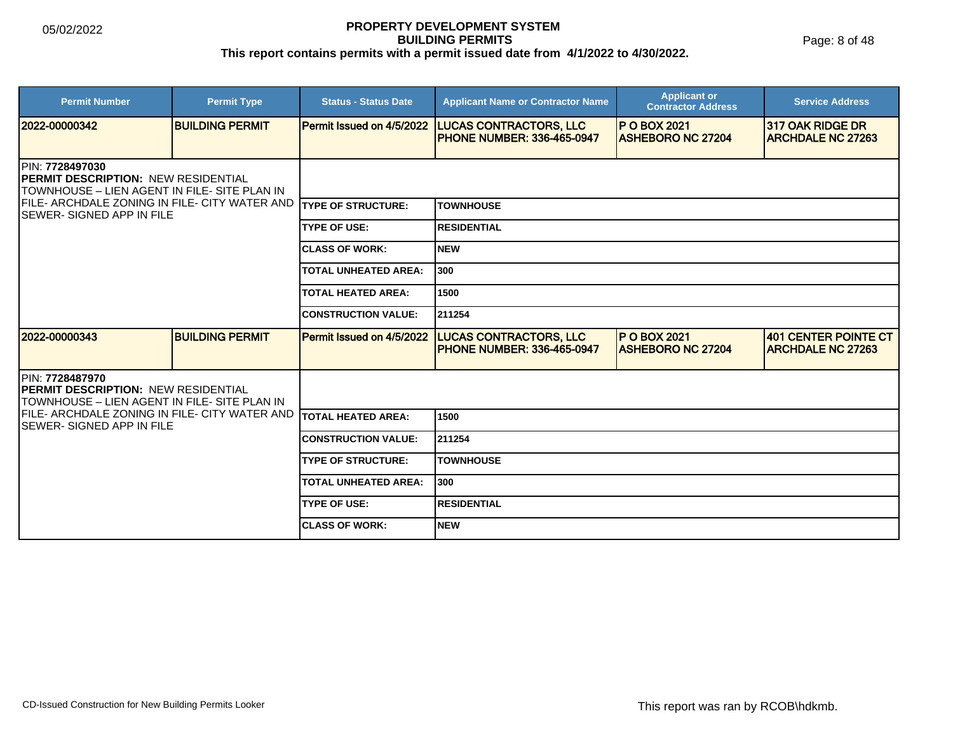Page: 8 of 48

| <b>Permit Number</b>                                                                                                  | <b>Permit Type</b>     | <b>Status - Status Date</b>      | <b>Applicant Name or Contractor Name</b>                           | <b>Applicant or</b><br><b>Contractor Address</b> | <b>Service Address</b>                              |  |
|-----------------------------------------------------------------------------------------------------------------------|------------------------|----------------------------------|--------------------------------------------------------------------|--------------------------------------------------|-----------------------------------------------------|--|
| 2022-00000342                                                                                                         | <b>BUILDING PERMIT</b> | <b>Permit Issued on 4/5/2022</b> | <b>LUCAS CONTRACTORS, LLC</b><br><b>PHONE NUMBER: 336-465-0947</b> | <b>P O BOX 2021</b><br><b>ASHEBORO NC 27204</b>  | <b>317 OAK RIDGE DR</b><br><b>ARCHDALE NC 27263</b> |  |
| <b>IPIN: 7728497030</b><br><b>PERMIT DESCRIPTION: NEW RESIDENTIAL</b><br>TOWNHOUSE - LIEN AGENT IN FILE- SITE PLAN IN |                        |                                  |                                                                    |                                                  |                                                     |  |
| FILE- ARCHDALE ZONING IN FILE- CITY WATER AND TYPE OF STRUCTURE:<br><b>ISEWER-SIGNED APP IN FILE</b>                  |                        |                                  | <b>TOWNHOUSE</b>                                                   |                                                  |                                                     |  |
|                                                                                                                       |                        | <b>TYPE OF USE:</b>              | <b>RESIDENTIAL</b>                                                 |                                                  |                                                     |  |
|                                                                                                                       |                        | <b>CLASS OF WORK:</b>            | <b>NEW</b>                                                         |                                                  |                                                     |  |
|                                                                                                                       |                        | <b>TOTAL UNHEATED AREA:</b>      | 300                                                                |                                                  |                                                     |  |
|                                                                                                                       |                        | <b>TOTAL HEATED AREA:</b>        | 1500                                                               |                                                  |                                                     |  |
|                                                                                                                       |                        | <b>CONSTRUCTION VALUE:</b>       | 211254                                                             |                                                  |                                                     |  |
| 12022-00000343                                                                                                        | <b>BUILDING PERMIT</b> | Permit Issued on 4/5/2022        | <b>LUCAS CONTRACTORS, LLC</b><br><b>PHONE NUMBER: 336-465-0947</b> | <b>P O BOX 2021</b><br><b>ASHEBORO NC 27204</b>  | 401 CENTER POINTE CT<br><b>ARCHDALE NC 27263</b>    |  |
| IPIN: 7728487970<br><b>PERMIT DESCRIPTION: NEW RESIDENTIAL</b><br>TOWNHOUSE – LIEN AGENT IN FILE- SITE PLAN IN        |                        |                                  |                                                                    |                                                  |                                                     |  |
| FILE- ARCHDALE ZONING IN FILE- CITY WATER AND<br><b>ISEWER- SIGNED APP IN FILE</b>                                    |                        | ITOTAL HEATED AREA:              | 1500                                                               |                                                  |                                                     |  |
|                                                                                                                       |                        | <b>CONSTRUCTION VALUE:</b>       | 211254                                                             |                                                  |                                                     |  |
|                                                                                                                       |                        | <b>TYPE OF STRUCTURE:</b>        | <b>TOWNHOUSE</b>                                                   |                                                  |                                                     |  |
|                                                                                                                       |                        | <b>TOTAL UNHEATED AREA:</b>      | 300                                                                |                                                  |                                                     |  |
|                                                                                                                       |                        | <b>TYPE OF USE:</b>              | <b>RESIDENTIAL</b>                                                 |                                                  |                                                     |  |
|                                                                                                                       |                        | <b>ICLASS OF WORK:</b>           | <b>NEW</b>                                                         |                                                  |                                                     |  |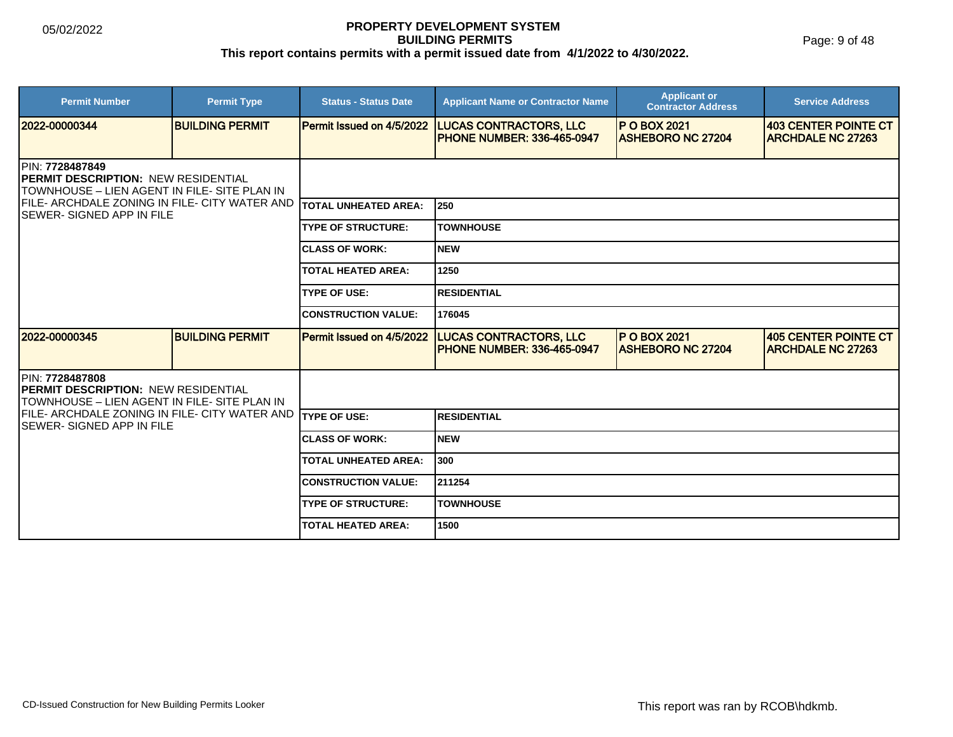Page: 9 of 48

| <b>Permit Number</b>                                                                                                   | <b>Permit Type</b>     | <b>Status - Status Date</b> | <b>Applicant Name or Contractor Name</b>                            | <b>Applicant or</b><br><b>Contractor Address</b> | <b>Service Address</b>                           |  |
|------------------------------------------------------------------------------------------------------------------------|------------------------|-----------------------------|---------------------------------------------------------------------|--------------------------------------------------|--------------------------------------------------|--|
| 2022-00000344                                                                                                          | <b>BUILDING PERMIT</b> | Permit Issued on 4/5/2022   | <b>LUCAS CONTRACTORS, LLC</b><br><b>PHONE NUMBER: 336-465-0947</b>  | <b>P O BOX 2021</b><br><b>ASHEBORO NC 27204</b>  | 403 CENTER POINTE CT<br><b>ARCHDALE NC 27263</b> |  |
| <b>IPIN: 7728487849</b><br><b>IPERMIT DESCRIPTION: NEW RESIDENTIAL</b><br>TOWNHOUSE – LIEN AGENT IN FILE- SITE PLAN IN |                        |                             |                                                                     |                                                  |                                                  |  |
| FILE- ARCHDALE ZONING IN FILE- CITY WATER AND<br><b>ISEWER- SIGNED APP IN FILE</b>                                     |                        | <b>TOTAL UNHEATED AREA:</b> | <b>250</b>                                                          |                                                  |                                                  |  |
|                                                                                                                        |                        | <b>TYPE OF STRUCTURE:</b>   | <b>TOWNHOUSE</b>                                                    |                                                  |                                                  |  |
|                                                                                                                        |                        | <b>CLASS OF WORK:</b>       | <b>NEW</b>                                                          |                                                  |                                                  |  |
|                                                                                                                        |                        | <b>TOTAL HEATED AREA:</b>   | 1250                                                                |                                                  |                                                  |  |
|                                                                                                                        |                        | <b>TYPE OF USE:</b>         | <b>RESIDENTIAL</b>                                                  |                                                  |                                                  |  |
|                                                                                                                        |                        | <b>CONSTRUCTION VALUE:</b>  | 176045                                                              |                                                  |                                                  |  |
| 2022-00000345                                                                                                          | <b>BUILDING PERMIT</b> | Permit Issued on 4/5/2022   | <b>LUCAS CONTRACTORS, LLC</b><br><b>IPHONE NUMBER: 336-465-0947</b> | <b>P O BOX 2021</b><br><b>ASHEBORO NC 27204</b>  | 405 CENTER POINTE CT<br><b>ARCHDALE NC 27263</b> |  |
| PIN: 7728487808<br><b>IPERMIT DESCRIPTION: NEW RESIDENTIAL</b><br>TOWNHOUSE - LIEN AGENT IN FILE- SITE PLAN IN         |                        |                             |                                                                     |                                                  |                                                  |  |
| IFILE- ARCHDALE ZONING IN FILE- CITY WATER AND<br><b>ISEWER- SIGNED APP IN FILE</b>                                    |                        | <b>TYPE OF USE:</b>         | <b>RESIDENTIAL</b>                                                  |                                                  |                                                  |  |
|                                                                                                                        |                        | <b>CLASS OF WORK:</b>       | <b>NEW</b>                                                          |                                                  |                                                  |  |
|                                                                                                                        |                        | <b>TOTAL UNHEATED AREA:</b> | 1300                                                                |                                                  |                                                  |  |
|                                                                                                                        |                        | <b>CONSTRUCTION VALUE:</b>  | 211254                                                              |                                                  |                                                  |  |
|                                                                                                                        |                        | <b>TYPE OF STRUCTURE:</b>   | <b>TOWNHOUSE</b>                                                    |                                                  |                                                  |  |
|                                                                                                                        |                        | <b>TOTAL HEATED AREA:</b>   | 1500                                                                |                                                  |                                                  |  |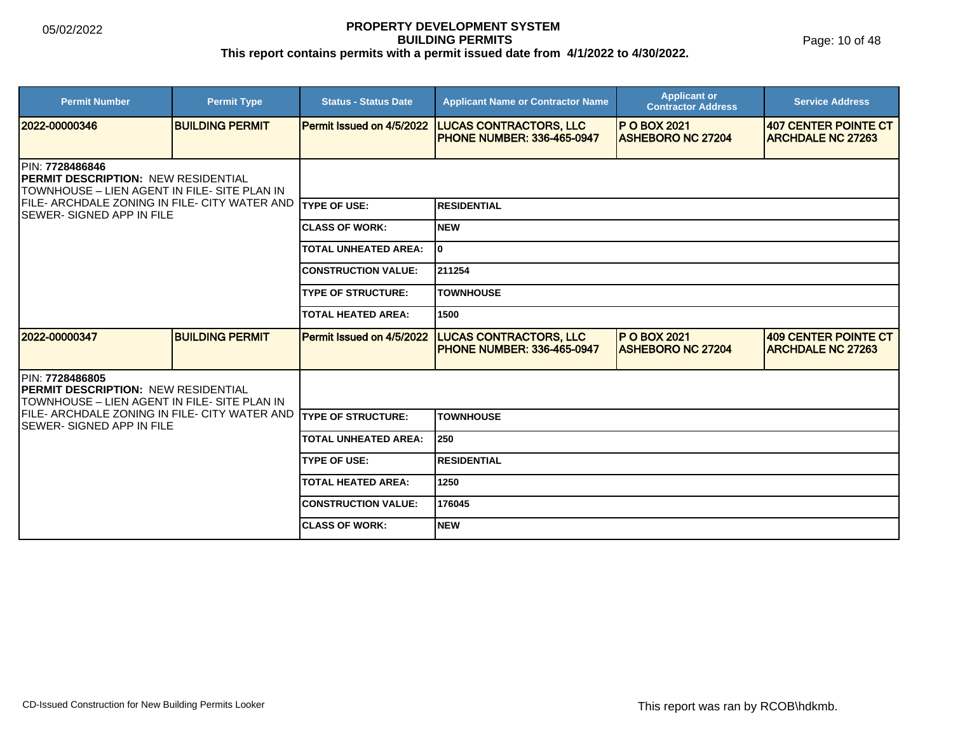Page: 10 of 48

| <b>Permit Number</b>                                                                                                  | <b>Permit Type</b>     | <b>Status - Status Date</b> | <b>Applicant Name or Contractor Name</b>                           | <b>Applicant or</b><br><b>Contractor Address</b> | <b>Service Address</b>                           |  |  |
|-----------------------------------------------------------------------------------------------------------------------|------------------------|-----------------------------|--------------------------------------------------------------------|--------------------------------------------------|--------------------------------------------------|--|--|
| 2022-00000346                                                                                                         | <b>BUILDING PERMIT</b> | Permit Issued on 4/5/2022   | <b>LUCAS CONTRACTORS, LLC</b><br><b>PHONE NUMBER: 336-465-0947</b> | <b>P O BOX 2021</b><br><b>ASHEBORO NC 27204</b>  | 407 CENTER POINTE CT<br><b>ARCHDALE NC 27263</b> |  |  |
| PIN: 7728486846<br><b>PERMIT DESCRIPTION: NEW RESIDENTIAL</b><br>TOWNHOUSE - LIEN AGENT IN FILE- SITE PLAN IN         |                        |                             |                                                                    |                                                  |                                                  |  |  |
| FILE- ARCHDALE ZONING IN FILE- CITY WATER AND<br><b>SEWER- SIGNED APP IN FILE</b>                                     |                        | <b>ITYPE OF USE:</b>        | <b>RESIDENTIAL</b>                                                 |                                                  |                                                  |  |  |
|                                                                                                                       |                        | <b>CLASS OF WORK:</b>       | <b>NEW</b>                                                         |                                                  |                                                  |  |  |
|                                                                                                                       |                        | <b>TOTAL UNHEATED AREA:</b> | I٥                                                                 |                                                  |                                                  |  |  |
|                                                                                                                       |                        | <b>CONSTRUCTION VALUE:</b>  | 211254                                                             |                                                  |                                                  |  |  |
|                                                                                                                       |                        | <b>TYPE OF STRUCTURE:</b>   | <b>TOWNHOUSE</b>                                                   |                                                  |                                                  |  |  |
|                                                                                                                       |                        | <b>TOTAL HEATED AREA:</b>   | 1500                                                               |                                                  |                                                  |  |  |
| 2022-00000347                                                                                                         | <b>BUILDING PERMIT</b> | Permit Issued on 4/5/2022   | <b>LUCAS CONTRACTORS, LLC</b><br><b>PHONE NUMBER: 336-465-0947</b> | <b>P O BOX 2021</b><br><b>ASHEBORO NC 27204</b>  | 409 CENTER POINTE CT<br><b>ARCHDALE NC 27263</b> |  |  |
| <b>IPIN: 7728486805</b><br><b>PERMIT DESCRIPTION: NEW RESIDENTIAL</b><br>TOWNHOUSE – LIEN AGENT IN FILE- SITE PLAN IN |                        |                             |                                                                    |                                                  |                                                  |  |  |
| IFILE- ARCHDALE ZONING IN FILE- CITY WATER AND<br>ISEWER- SIGNED APP IN FILE                                          |                        | <b>TYPE OF STRUCTURE:</b>   | <b>TOWNHOUSE</b>                                                   |                                                  |                                                  |  |  |
|                                                                                                                       |                        | <b>TOTAL UNHEATED AREA:</b> | 250                                                                |                                                  |                                                  |  |  |
|                                                                                                                       |                        | <b>TYPE OF USE:</b>         | <b>RESIDENTIAL</b>                                                 |                                                  |                                                  |  |  |
|                                                                                                                       |                        | TOTAL HEATED AREA:          | 1250                                                               |                                                  |                                                  |  |  |
|                                                                                                                       |                        | <b>CONSTRUCTION VALUE:</b>  | 176045                                                             |                                                  |                                                  |  |  |
|                                                                                                                       |                        | <b>ICLASS OF WORK:</b>      | <b>NEW</b>                                                         |                                                  |                                                  |  |  |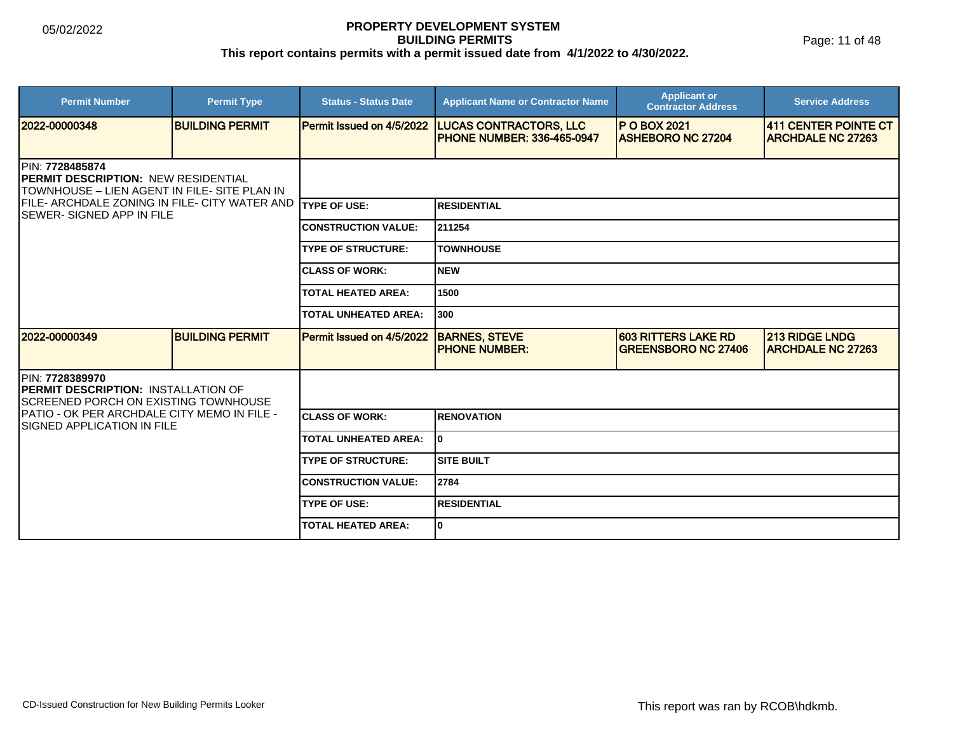Page: 11 of 48

| <b>Permit Number</b>                                                                                           | <b>Permit Type</b>     | <b>Status - Status Date</b> | <b>Applicant Name or Contractor Name</b>                           | <b>Applicant or</b><br><b>Contractor Address</b>         | <b>Service Address</b>                            |  |
|----------------------------------------------------------------------------------------------------------------|------------------------|-----------------------------|--------------------------------------------------------------------|----------------------------------------------------------|---------------------------------------------------|--|
| 2022-00000348                                                                                                  | <b>BUILDING PERMIT</b> | Permit Issued on 4/5/2022   | <b>LUCAS CONTRACTORS, LLC</b><br><b>PHONE NUMBER: 336-465-0947</b> | <b>IP O BOX 2021</b><br><b>ASHEBORO NC 27204</b>         | 411 CENTER POINTE CT<br><b>ARCHDALE NC 27263</b>  |  |
| PIN: 7728485874<br>PERMIT DESCRIPTION: NEW RESIDENTIAL<br>TOWNHOUSE - LIEN AGENT IN FILE- SITE PLAN IN         |                        |                             |                                                                    |                                                          |                                                   |  |
| FILE- ARCHDALE ZONING IN FILE- CITY WATER AND<br><b>SEWER- SIGNED APP IN FILE</b>                              |                        | <b>TYPE OF USE:</b>         | <b>RESIDENTIAL</b>                                                 |                                                          |                                                   |  |
|                                                                                                                |                        | <b>CONSTRUCTION VALUE:</b>  | 211254                                                             |                                                          |                                                   |  |
|                                                                                                                |                        | <b>TYPE OF STRUCTURE:</b>   | <b>TOWNHOUSE</b>                                                   |                                                          |                                                   |  |
|                                                                                                                |                        | <b>CLASS OF WORK:</b>       | <b>NEW</b>                                                         |                                                          |                                                   |  |
|                                                                                                                |                        | <b>TOTAL HEATED AREA:</b>   | 1500                                                               |                                                          |                                                   |  |
|                                                                                                                |                        | <b>TOTAL UNHEATED AREA:</b> | 1300                                                               |                                                          |                                                   |  |
| 2022-00000349                                                                                                  | <b>BUILDING PERMIT</b> | Permit Issued on 4/5/2022   | <b>BARNES, STEVE</b><br><b>PHONE NUMBER:</b>                       | <b>603 RITTERS LAKE RD</b><br><b>GREENSBORO NC 27406</b> | <b>213 RIDGE LNDG</b><br><b>ARCHDALE NC 27263</b> |  |
| IPIN: 7728389970<br><b>IPERMIT DESCRIPTION: INSTALLATION OF</b><br><b>SCREENED PORCH ON EXISTING TOWNHOUSE</b> |                        |                             |                                                                    |                                                          |                                                   |  |
| IPATIO - OK PER ARCHDALE CITY MEMO IN FILE -<br><b>ISIGNED APPLICATION IN FILE</b>                             |                        | <b>CLASS OF WORK:</b>       | <b>RENOVATION</b>                                                  |                                                          |                                                   |  |
|                                                                                                                |                        | <b>TOTAL UNHEATED AREA:</b> | I٥                                                                 |                                                          |                                                   |  |
|                                                                                                                |                        | <b>TYPE OF STRUCTURE:</b>   | <b>SITE BUILT</b>                                                  |                                                          |                                                   |  |
|                                                                                                                |                        | <b>CONSTRUCTION VALUE:</b>  | 2784                                                               |                                                          |                                                   |  |
|                                                                                                                |                        | <b>TYPE OF USE:</b>         | <b>RESIDENTIAL</b>                                                 |                                                          |                                                   |  |
|                                                                                                                |                        | <b>TOTAL HEATED AREA:</b>   | I٥                                                                 |                                                          |                                                   |  |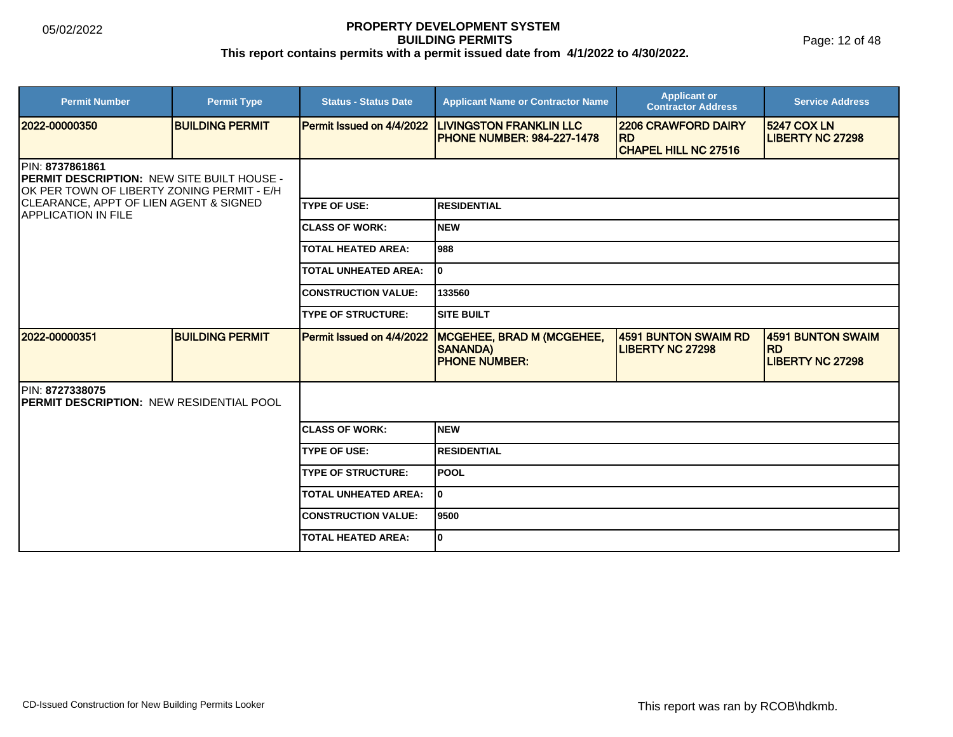Page: 12 of 48

| <b>Permit Number</b>                                                                                                        | <b>Permit Type</b>     | <b>Status - Status Date</b>      | <b>Applicant Name or Contractor Name</b>                                    | <b>Applicant or</b><br><b>Contractor Address</b>                       | <b>Service Address</b>                                    |
|-----------------------------------------------------------------------------------------------------------------------------|------------------------|----------------------------------|-----------------------------------------------------------------------------|------------------------------------------------------------------------|-----------------------------------------------------------|
| 2022-00000350                                                                                                               | <b>BUILDING PERMIT</b> | Permit Issued on 4/4/2022        | <b>LIVINGSTON FRANKLIN LLC</b><br><b>PHONE NUMBER: 984-227-1478</b>         | <b>2206 CRAWFORD DAIRY</b><br><b>RD</b><br><b>CHAPEL HILL NC 27516</b> | <b>5247 COX LN</b><br><b>LIBERTY NC 27298</b>             |
| <b>IPIN: 8737861861</b><br><b>IPERMIT DESCRIPTION: NEW SITE BUILT HOUSE -</b><br>OK PER TOWN OF LIBERTY ZONING PERMIT - E/H |                        |                                  |                                                                             |                                                                        |                                                           |
| <b>CLEARANCE, APPT OF LIEN AGENT &amp; SIGNED</b><br><b>APPLICATION IN FILE</b>                                             |                        | <b>TYPE OF USE:</b>              | <b>RESIDENTIAL</b>                                                          |                                                                        |                                                           |
|                                                                                                                             |                        | <b>ICLASS OF WORK:</b>           | <b>NEW</b>                                                                  |                                                                        |                                                           |
|                                                                                                                             |                        | <b>TOTAL HEATED AREA:</b>        | 988                                                                         |                                                                        |                                                           |
|                                                                                                                             |                        | <b>TOTAL UNHEATED AREA:</b>      | I٥                                                                          |                                                                        |                                                           |
|                                                                                                                             |                        | <b>CONSTRUCTION VALUE:</b>       | 133560                                                                      |                                                                        |                                                           |
|                                                                                                                             |                        | <b>TYPE OF STRUCTURE:</b>        | ISITE BUILT                                                                 |                                                                        |                                                           |
| 2022-00000351                                                                                                               | <b>BUILDING PERMIT</b> | <b>Permit Issued on 4/4/2022</b> | <b>MCGEHEE, BRAD M (MCGEHEE,</b><br><b>SANANDA)</b><br><b>PHONE NUMBER:</b> | 4591 BUNTON SWAIM RD<br><b>LIBERTY NC 27298</b>                        | 4591 BUNTON SWAIM<br><b>RD</b><br><b>LIBERTY NC 27298</b> |
| PIN: 8727338075<br><b>PERMIT DESCRIPTION: NEW RESIDENTIAL POOL</b>                                                          |                        |                                  |                                                                             |                                                                        |                                                           |
|                                                                                                                             |                        | <b>ICLASS OF WORK:</b>           | <b>NEW</b>                                                                  |                                                                        |                                                           |
|                                                                                                                             |                        | <b>TYPE OF USE:</b>              | <b>RESIDENTIAL</b>                                                          |                                                                        |                                                           |
|                                                                                                                             |                        | <b>TYPE OF STRUCTURE:</b>        | <b>POOL</b>                                                                 |                                                                        |                                                           |
|                                                                                                                             |                        | <b>TOTAL UNHEATED AREA:</b>      | I٥                                                                          |                                                                        |                                                           |
|                                                                                                                             |                        | <b>CONSTRUCTION VALUE:</b>       | 19500                                                                       |                                                                        |                                                           |
|                                                                                                                             |                        | <b>TOTAL HEATED AREA:</b>        | l0                                                                          |                                                                        |                                                           |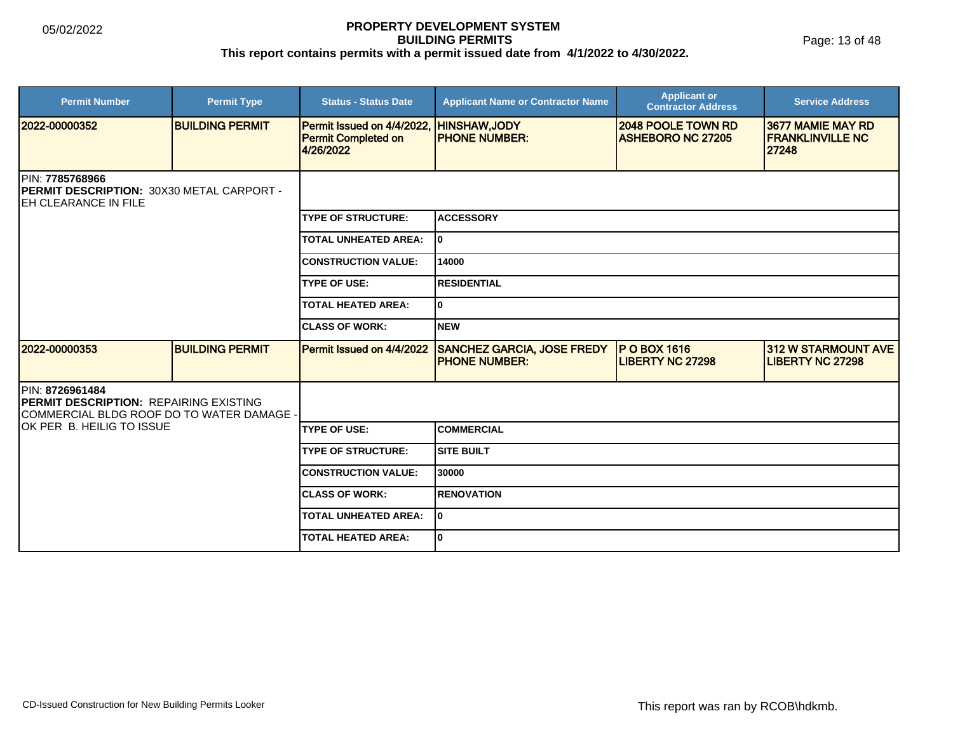| <b>Permit Number</b>                                                                                           | <b>Permit Type</b>     | <b>Status - Status Date</b>                                           | <b>Applicant Name or Contractor Name</b>                   | <b>Applicant or</b><br><b>Contractor Address</b> | <b>Service Address</b>                                |  |  |
|----------------------------------------------------------------------------------------------------------------|------------------------|-----------------------------------------------------------------------|------------------------------------------------------------|--------------------------------------------------|-------------------------------------------------------|--|--|
| 2022-00000352                                                                                                  | <b>BUILDING PERMIT</b> | Permit Issued on 4/4/2022,<br><b>Permit Completed on</b><br>4/26/2022 | HINSHAW, JODY<br><b>PHONE NUMBER:</b>                      | 2048 POOLE TOWN RD<br><b>ASHEBORO NC 27205</b>   | 3677 MAMIE MAY RD<br><b>FRANKLINVILLE NC</b><br>27248 |  |  |
| PIN: 7785768966<br>PERMIT DESCRIPTION: 30X30 METAL CARPORT -<br><b>EH CLEARANCE IN FILE</b>                    |                        |                                                                       |                                                            |                                                  |                                                       |  |  |
|                                                                                                                |                        | <b>TYPE OF STRUCTURE:</b>                                             | <b>ACCESSORY</b>                                           |                                                  |                                                       |  |  |
|                                                                                                                |                        | <b>TOTAL UNHEATED AREA:</b>                                           | lo.                                                        |                                                  |                                                       |  |  |
|                                                                                                                |                        | <b>CONSTRUCTION VALUE:</b>                                            | 14000                                                      |                                                  |                                                       |  |  |
|                                                                                                                |                        | <b>TYPE OF USE:</b>                                                   | <b>RESIDENTIAL</b>                                         |                                                  |                                                       |  |  |
|                                                                                                                |                        |                                                                       | I٥                                                         |                                                  |                                                       |  |  |
|                                                                                                                |                        | <b>CLASS OF WORK:</b>                                                 | <b>NEW</b>                                                 |                                                  |                                                       |  |  |
| 2022-00000353                                                                                                  | <b>BUILDING PERMIT</b> | Permit Issued on 4/4/2022                                             | <b>SANCHEZ GARCIA, JOSE FREDY</b><br><b>IPHONE NUMBER:</b> | <b>P O BOX 1616</b><br><b>LIBERTY NC 27298</b>   | <b>312 W STARMOUNT AVE</b><br><b>LIBERTY NC 27298</b> |  |  |
| PIN: 8726961484<br><b>IPERMIT DESCRIPTION: REPAIRING EXISTING</b><br>COMMERCIAL BLDG ROOF DO TO WATER DAMAGE - |                        |                                                                       |                                                            |                                                  |                                                       |  |  |
| OK PER B. HEILIG TO ISSUE                                                                                      |                        | <b>TYPE OF USE:</b>                                                   | <b>COMMERCIAL</b>                                          |                                                  |                                                       |  |  |
|                                                                                                                |                        | <b>TYPE OF STRUCTURE:</b>                                             | <b>SITE BUILT</b>                                          |                                                  |                                                       |  |  |
|                                                                                                                |                        | <b>CONSTRUCTION VALUE:</b>                                            | 30000                                                      |                                                  |                                                       |  |  |
|                                                                                                                |                        | <b>ICLASS OF WORK:</b>                                                | <b>RENOVATION</b>                                          |                                                  |                                                       |  |  |
|                                                                                                                |                        | <b>TOTAL UNHEATED AREA:</b>                                           | I٥                                                         |                                                  |                                                       |  |  |
|                                                                                                                |                        | <b>TOTAL HEATED AREA:</b>                                             | I٥                                                         |                                                  |                                                       |  |  |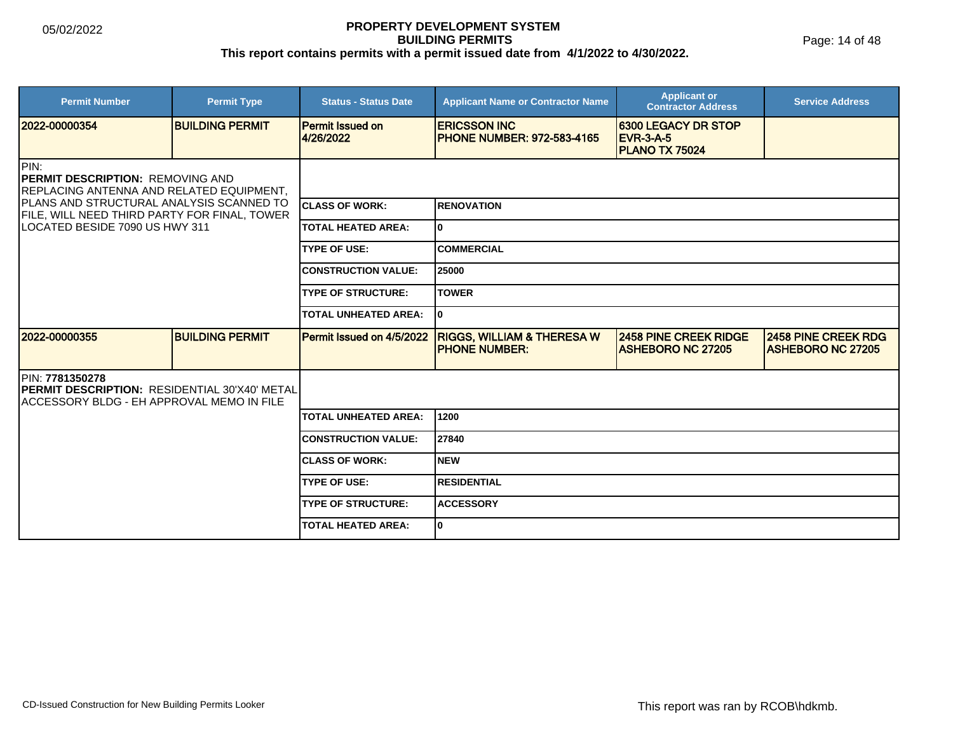Page: 14 of 48

| <b>Permit Number</b>                                                                                                           | <b>Permit Type</b>     | <b>Status - Status Date</b>          | <b>Applicant Name or Contractor Name</b>                       | <b>Applicant or</b><br><b>Contractor Address</b>                 | <b>Service Address</b>                                 |  |
|--------------------------------------------------------------------------------------------------------------------------------|------------------------|--------------------------------------|----------------------------------------------------------------|------------------------------------------------------------------|--------------------------------------------------------|--|
| 2022-00000354                                                                                                                  | <b>BUILDING PERMIT</b> | <b>Permit Issued on</b><br>4/26/2022 | <b>ERICSSON INC</b><br><b>IPHONE NUMBER: 972-583-4165</b>      | 6300 LEGACY DR STOP<br><b>EVR-3-A-5</b><br><b>PLANO TX 75024</b> |                                                        |  |
| PIN:<br><b>PERMIT DESCRIPTION: REMOVING AND</b><br>REPLACING ANTENNA AND RELATED EQUIPMENT,                                    |                        |                                      |                                                                |                                                                  |                                                        |  |
| PLANS AND STRUCTURAL ANALYSIS SCANNED TO<br>FILE, WILL NEED THIRD PARTY FOR FINAL, TOWER                                       |                        | <b>ICLASS OF WORK:</b>               | IRENOVATION                                                    |                                                                  |                                                        |  |
| LOCATED BESIDE 7090 US HWY 311                                                                                                 |                        | <b>TOTAL HEATED AREA:</b>            | lo.                                                            |                                                                  |                                                        |  |
|                                                                                                                                |                        | <b>TYPE OF USE:</b>                  | <b>COMMERCIAL</b>                                              |                                                                  |                                                        |  |
|                                                                                                                                |                        | <b>CONSTRUCTION VALUE:</b>           | 25000                                                          |                                                                  |                                                        |  |
|                                                                                                                                |                        | <b>TYPE OF STRUCTURE:</b>            | <b>TOWER</b>                                                   |                                                                  |                                                        |  |
|                                                                                                                                |                        | <b>TOTAL UNHEATED AREA:</b>          | 10                                                             |                                                                  |                                                        |  |
| 12022-00000355                                                                                                                 | <b>BUILDING PERMIT</b> | Permit Issued on 4/5/2022            | <b>RIGGS, WILLIAM &amp; THERESA W</b><br><b>IPHONE NUMBER:</b> | <b>2458 PINE CREEK RIDGE</b><br><b>ASHEBORO NC 27205</b>         | <b>2458 PINE CREEK RDG</b><br><b>ASHEBORO NC 27205</b> |  |
| <b>IPIN: 7781350278</b><br><b>IPERMIT DESCRIPTION: RESIDENTIAL 30'X40' METAL</b><br>IACCESSORY BLDG - EH APPROVAL MEMO IN FILE |                        |                                      |                                                                |                                                                  |                                                        |  |
|                                                                                                                                |                        | <b>TOTAL UNHEATED AREA:</b>          | 1200                                                           |                                                                  |                                                        |  |
|                                                                                                                                |                        | <b>CONSTRUCTION VALUE:</b>           | 27840                                                          |                                                                  |                                                        |  |
|                                                                                                                                |                        | <b>ICLASS OF WORK:</b>               | <b>NEW</b>                                                     |                                                                  |                                                        |  |
|                                                                                                                                |                        | <b>TYPE OF USE:</b>                  | <b>RESIDENTIAL</b>                                             |                                                                  |                                                        |  |
|                                                                                                                                |                        | <b>TYPE OF STRUCTURE:</b>            | <b>ACCESSORY</b>                                               |                                                                  |                                                        |  |
|                                                                                                                                |                        | <b>TOTAL HEATED AREA:</b>            | lo.                                                            |                                                                  |                                                        |  |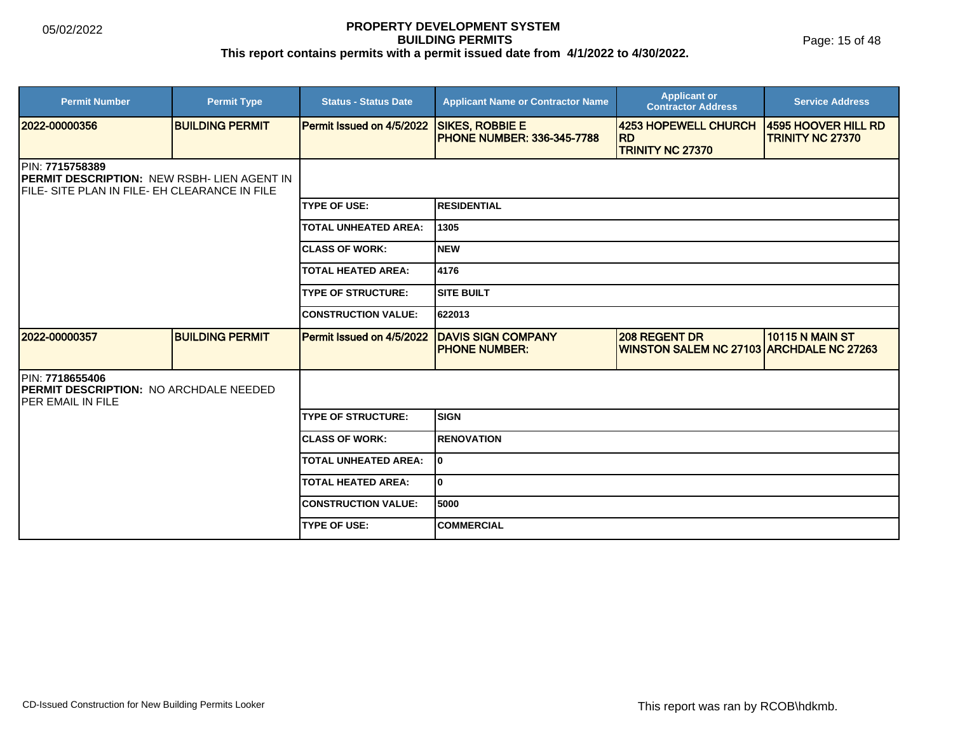Page: 15 of 48

| <b>Permit Number</b>                                                                                                   | <b>Permit Type</b>     | <b>Status - Status Date</b> | <b>Applicant Name or Contractor Name</b>                    | <b>Applicant or</b><br><b>Contractor Address</b>                        | <b>Service Address</b>                  |
|------------------------------------------------------------------------------------------------------------------------|------------------------|-----------------------------|-------------------------------------------------------------|-------------------------------------------------------------------------|-----------------------------------------|
| 2022-00000356                                                                                                          | <b>BUILDING PERMIT</b> | Permit Issued on 4/5/2022   | <b>SIKES, ROBBIE E</b><br><b>PHONE NUMBER: 336-345-7788</b> | 4253 HOPEWELL CHURCH<br><b>RD</b><br><b>TRINITY NC 27370</b>            | 4595 HOOVER HILL RD<br>TRINITY NC 27370 |
| PIN: 7715758389<br><b>PERMIT DESCRIPTION: NEW RSBH- LIEN AGENT IN</b><br>FILE- SITE PLAN IN FILE- EH CLEARANCE IN FILE |                        |                             |                                                             |                                                                         |                                         |
|                                                                                                                        |                        | <b>TYPE OF USE:</b>         | <b>RESIDENTIAL</b>                                          |                                                                         |                                         |
|                                                                                                                        |                        | <b>TOTAL UNHEATED AREA:</b> | 1305                                                        |                                                                         |                                         |
|                                                                                                                        |                        | <b>CLASS OF WORK:</b>       | Inew                                                        |                                                                         |                                         |
|                                                                                                                        |                        | <b>TOTAL HEATED AREA:</b>   | 4176                                                        |                                                                         |                                         |
|                                                                                                                        |                        | <b>TYPE OF STRUCTURE:</b>   | ISITE BUILT                                                 |                                                                         |                                         |
|                                                                                                                        |                        | <b>CONSTRUCTION VALUE:</b>  | 622013                                                      |                                                                         |                                         |
| 2022-00000357                                                                                                          | <b>BUILDING PERMIT</b> | Permit Issued on 4/5/2022   | <b>DAVIS SIGN COMPANY</b><br><b>PHONE NUMBER:</b>           | <b>208 REGENT DR</b><br><b>WINSTON SALEM NC 27103 ARCHDALE NC 27263</b> | <b>10115 N MAIN ST</b>                  |
| PIN: 7718655406<br><b>PERMIT DESCRIPTION: NO ARCHDALE NEEDED</b><br><b>IPER EMAIL IN FILE</b>                          |                        |                             |                                                             |                                                                         |                                         |
|                                                                                                                        |                        | <b>TYPE OF STRUCTURE:</b>   | <b>SIGN</b>                                                 |                                                                         |                                         |
|                                                                                                                        |                        | <b>CLASS OF WORK:</b>       | <b>RENOVATION</b>                                           |                                                                         |                                         |
|                                                                                                                        |                        | <b>TOTAL UNHEATED AREA:</b> | I٥                                                          |                                                                         |                                         |
|                                                                                                                        |                        | <b>TOTAL HEATED AREA:</b>   | I٥                                                          |                                                                         |                                         |
|                                                                                                                        |                        | <b>CONSTRUCTION VALUE:</b>  | 5000                                                        |                                                                         |                                         |
|                                                                                                                        |                        | <b>TYPE OF USE:</b>         | <b>COMMERCIAL</b>                                           |                                                                         |                                         |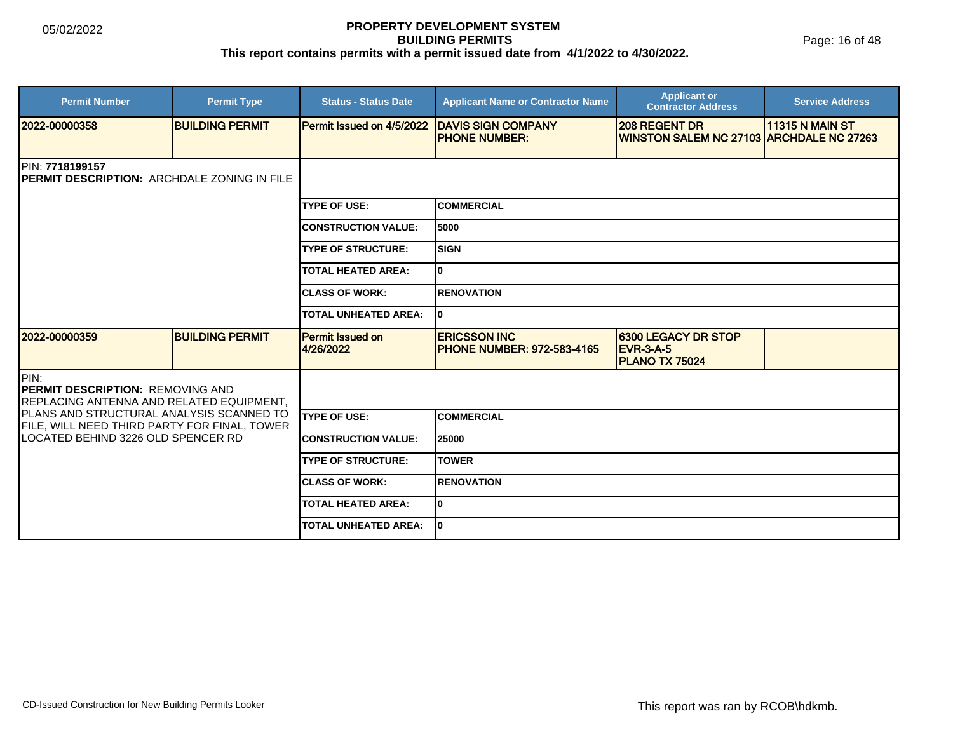| <b>Permit Number</b>                                                                         | <b>Permit Type</b>     | <b>Status - Status Date</b>          | <b>Applicant Name or Contractor Name</b>                 | <b>Applicant or</b><br><b>Contractor Address</b>                 | <b>Service Address</b> |  |  |
|----------------------------------------------------------------------------------------------|------------------------|--------------------------------------|----------------------------------------------------------|------------------------------------------------------------------|------------------------|--|--|
| 12022-00000358                                                                               | <b>BUILDING PERMIT</b> | Permit Issued on 4/5/2022            | <b>IDAVIS SIGN COMPANY</b><br><b>PHONE NUMBER:</b>       | <b>208 REGENT DR</b><br>WINSTON SALEM NC 27103 ARCHDALE NC 27263 | <b>11315 N MAIN ST</b> |  |  |
| PIN: 7718199157<br>PERMIT DESCRIPTION: ARCHDALE ZONING IN FILE                               |                        |                                      |                                                          |                                                                  |                        |  |  |
|                                                                                              |                        | <b>TYPE OF USE:</b>                  | <b>COMMERCIAL</b>                                        |                                                                  |                        |  |  |
|                                                                                              |                        | <b>CONSTRUCTION VALUE:</b>           | 5000                                                     |                                                                  |                        |  |  |
|                                                                                              |                        | <b>TYPE OF STRUCTURE:</b>            | <b>SIGN</b>                                              |                                                                  |                        |  |  |
|                                                                                              |                        | <b>TOTAL HEATED AREA:</b>            | 0                                                        |                                                                  |                        |  |  |
|                                                                                              |                        | <b>CLASS OF WORK:</b>                | <b>RENOVATION</b>                                        |                                                                  |                        |  |  |
|                                                                                              |                        | <b>TOTAL UNHEATED AREA:</b>          | 0                                                        |                                                                  |                        |  |  |
| 12022-00000359                                                                               | <b>BUILDING PERMIT</b> | <b>Permit Issued on</b><br>4/26/2022 | <b>ERICSSON INC</b><br><b>PHONE NUMBER: 972-583-4165</b> | 6300 LEGACY DR STOP<br><b>EVR-3-A-5</b><br><b>PLANO TX 75024</b> |                        |  |  |
| PIN:<br><b>IPERMIT DESCRIPTION: REMOVING AND</b><br>REPLACING ANTENNA AND RELATED EQUIPMENT, |                        |                                      |                                                          |                                                                  |                        |  |  |
| PLANS AND STRUCTURAL ANALYSIS SCANNED TO<br>FILE, WILL NEED THIRD PARTY FOR FINAL, TOWER     |                        | <b>TYPE OF USE:</b>                  | <b>COMMERCIAL</b>                                        |                                                                  |                        |  |  |
| ILOCATED BEHIND 3226 OLD SPENCER RD                                                          |                        | <b>CONSTRUCTION VALUE:</b>           | 25000                                                    |                                                                  |                        |  |  |
|                                                                                              |                        | <b>TYPE OF STRUCTURE:</b>            | <b>TOWER</b>                                             |                                                                  |                        |  |  |
|                                                                                              |                        | <b>CLASS OF WORK:</b>                | <b>RENOVATION</b>                                        |                                                                  |                        |  |  |
|                                                                                              |                        | <b>TOTAL HEATED AREA:</b>            | 0                                                        |                                                                  |                        |  |  |
|                                                                                              |                        | <b>TOTAL UNHEATED AREA:</b>          | lo.                                                      |                                                                  |                        |  |  |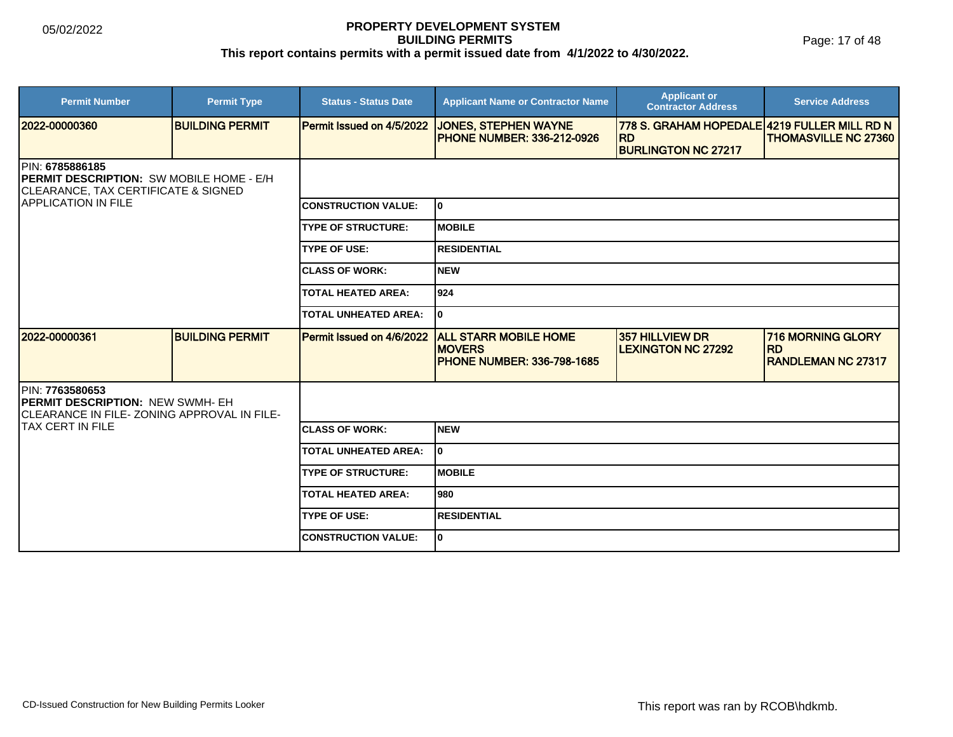Page: 17 of 48

| <b>Permit Number</b>                                                                                                                                | <b>Permit Type</b>     | <b>Status - Status Date</b>      | <b>Applicant Name or Contractor Name</b>                                           | <b>Applicant or</b><br><b>Contractor Address</b>          | <b>Service Address</b>                                              |  |
|-----------------------------------------------------------------------------------------------------------------------------------------------------|------------------------|----------------------------------|------------------------------------------------------------------------------------|-----------------------------------------------------------|---------------------------------------------------------------------|--|
| 2022-00000360                                                                                                                                       | <b>BUILDING PERMIT</b> | <b>Permit Issued on 4/5/2022</b> | <b>JONES, STEPHEN WAYNE</b><br><b>PHONE NUMBER: 336-212-0926</b>                   | 778 S. GRAHAM HOPEDALE 4219 FULLER MILL RD N<br><b>RD</b> | <b>THOMASVILLE NC 27360</b>                                         |  |
|                                                                                                                                                     |                        |                                  |                                                                                    | <b>BURLINGTON NC 27217</b>                                |                                                                     |  |
| PIN: 6785886185<br><b>IPERMIT DESCRIPTION: SW MOBILE HOME - E/H</b><br><b>CLEARANCE, TAX CERTIFICATE &amp; SIGNED</b><br><b>APPLICATION IN FILE</b> |                        |                                  |                                                                                    |                                                           |                                                                     |  |
|                                                                                                                                                     |                        | <b>CONSTRUCTION VALUE:</b>       | lo.                                                                                |                                                           |                                                                     |  |
|                                                                                                                                                     |                        | <b>TYPE OF STRUCTURE:</b>        | <b>MOBILE</b>                                                                      |                                                           |                                                                     |  |
|                                                                                                                                                     |                        | <b>TYPE OF USE:</b>              | <b>RESIDENTIAL</b>                                                                 |                                                           |                                                                     |  |
|                                                                                                                                                     |                        | <b>ICLASS OF WORK:</b>           | <b>NEW</b>                                                                         |                                                           |                                                                     |  |
|                                                                                                                                                     |                        | <b>TOTAL HEATED AREA:</b>        | 924                                                                                |                                                           |                                                                     |  |
|                                                                                                                                                     |                        | <b>TOTAL UNHEATED AREA:</b>      | 0                                                                                  |                                                           |                                                                     |  |
| 2022-00000361                                                                                                                                       | <b>BUILDING PERMIT</b> | Permit Issued on 4/6/2022        | <b>ALL STARR MOBILE HOME</b><br><b>MOVERS</b><br><b>PHONE NUMBER: 336-798-1685</b> | 357 HILLVIEW DR<br><b>ILEXINGTON NC 27292</b>             | <b>716 MORNING GLORY</b><br><b>IRD</b><br><b>RANDLEMAN NC 27317</b> |  |
| <b>IPIN: 7763580653</b><br><b>PERMIT DESCRIPTION: NEW SWMH- EH</b><br>CLEARANCE IN FILE-ZONING APPROVAL IN FILE-                                    |                        |                                  |                                                                                    |                                                           |                                                                     |  |
| <b>TAX CERT IN FILE</b>                                                                                                                             |                        | <b>ICLASS OF WORK:</b>           | <b>NEW</b>                                                                         |                                                           |                                                                     |  |
|                                                                                                                                                     |                        | <b>TOTAL UNHEATED AREA:</b>      | 0                                                                                  |                                                           |                                                                     |  |
|                                                                                                                                                     |                        | <b>TYPE OF STRUCTURE:</b>        | <b>MOBILE</b>                                                                      |                                                           |                                                                     |  |
|                                                                                                                                                     |                        | <b>TOTAL HEATED AREA:</b>        | 980                                                                                |                                                           |                                                                     |  |
|                                                                                                                                                     |                        | <b>TYPE OF USE:</b>              | <b>RESIDENTIAL</b>                                                                 |                                                           |                                                                     |  |
|                                                                                                                                                     |                        | <b>CONSTRUCTION VALUE:</b>       | 0                                                                                  |                                                           |                                                                     |  |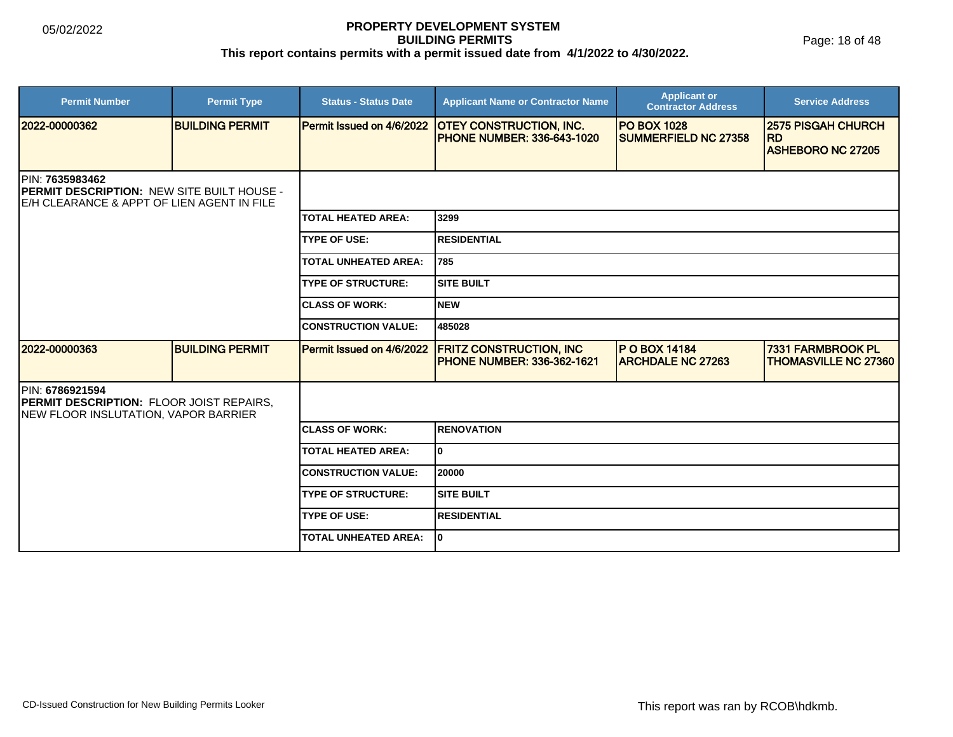Page: 18 of 48

| <b>Permit Number</b>                                                                                                | <b>Permit Type</b>     | <b>Status - Status Date</b> | <b>Applicant Name or Contractor Name</b>                            | <b>Applicant or</b><br><b>Contractor Address</b>  | <b>Service Address</b>                                             |  |
|---------------------------------------------------------------------------------------------------------------------|------------------------|-----------------------------|---------------------------------------------------------------------|---------------------------------------------------|--------------------------------------------------------------------|--|
| 2022-00000362                                                                                                       | <b>BUILDING PERMIT</b> | Permit Issued on 4/6/2022   | <b>OTEY CONSTRUCTION, INC.</b><br><b>PHONE NUMBER: 336-643-1020</b> | <b>PO BOX 1028</b><br><b>SUMMERFIELD NC 27358</b> | <b>2575 PISGAH CHURCH</b><br><b>RD</b><br><b>ASHEBORO NC 27205</b> |  |
| PIN: 7635983462<br><b>PERMIT DESCRIPTION: NEW SITE BUILT HOUSE -</b><br>IE/H CLEARANCE & APPT OF LIEN AGENT IN FILE |                        |                             |                                                                     |                                                   |                                                                    |  |
|                                                                                                                     |                        | <b>TOTAL HEATED AREA:</b>   | 3299                                                                |                                                   |                                                                    |  |
|                                                                                                                     |                        | <b>TYPE OF USE:</b>         | <b>RESIDENTIAL</b>                                                  |                                                   |                                                                    |  |
|                                                                                                                     |                        | <b>TOTAL UNHEATED AREA:</b> | 785                                                                 |                                                   |                                                                    |  |
|                                                                                                                     |                        | <b>TYPE OF STRUCTURE:</b>   | Isite built                                                         |                                                   |                                                                    |  |
|                                                                                                                     |                        | <b>ICLASS OF WORK:</b>      | INEW                                                                |                                                   |                                                                    |  |
|                                                                                                                     |                        | <b>CONSTRUCTION VALUE:</b>  | 485028                                                              |                                                   |                                                                    |  |
| 2022-00000363                                                                                                       | <b>BUILDING PERMIT</b> | Permit Issued on 4/6/2022   | <b>FRITZ CONSTRUCTION, INC</b><br><b>PHONE NUMBER: 336-362-1621</b> | <b>P O BOX 14184</b><br><b>ARCHDALE NC 27263</b>  | 7331 FARMBROOK PL<br><b>THOMASVILLE NC 27360</b>                   |  |
| <b>IPIN: 6786921594</b><br><b>PERMIT DESCRIPTION: FLOOR JOIST REPAIRS,</b><br>NEW FLOOR INSLUTATION, VAPOR BARRIER  |                        |                             |                                                                     |                                                   |                                                                    |  |
|                                                                                                                     |                        | <b>ICLASS OF WORK:</b>      | <b>RENOVATION</b>                                                   |                                                   |                                                                    |  |
|                                                                                                                     |                        | <b>TOTAL HEATED AREA:</b>   | lo.                                                                 |                                                   |                                                                    |  |
|                                                                                                                     |                        | <b>CONSTRUCTION VALUE:</b>  | 20000                                                               |                                                   |                                                                    |  |
|                                                                                                                     |                        | <b>TYPE OF STRUCTURE:</b>   | <b>SITE BUILT</b>                                                   |                                                   |                                                                    |  |
|                                                                                                                     |                        | <b>TYPE OF USE:</b>         | <b>IRESIDENTIAL</b>                                                 |                                                   |                                                                    |  |
|                                                                                                                     |                        | <b>TOTAL UNHEATED AREA:</b> | I٥                                                                  |                                                   |                                                                    |  |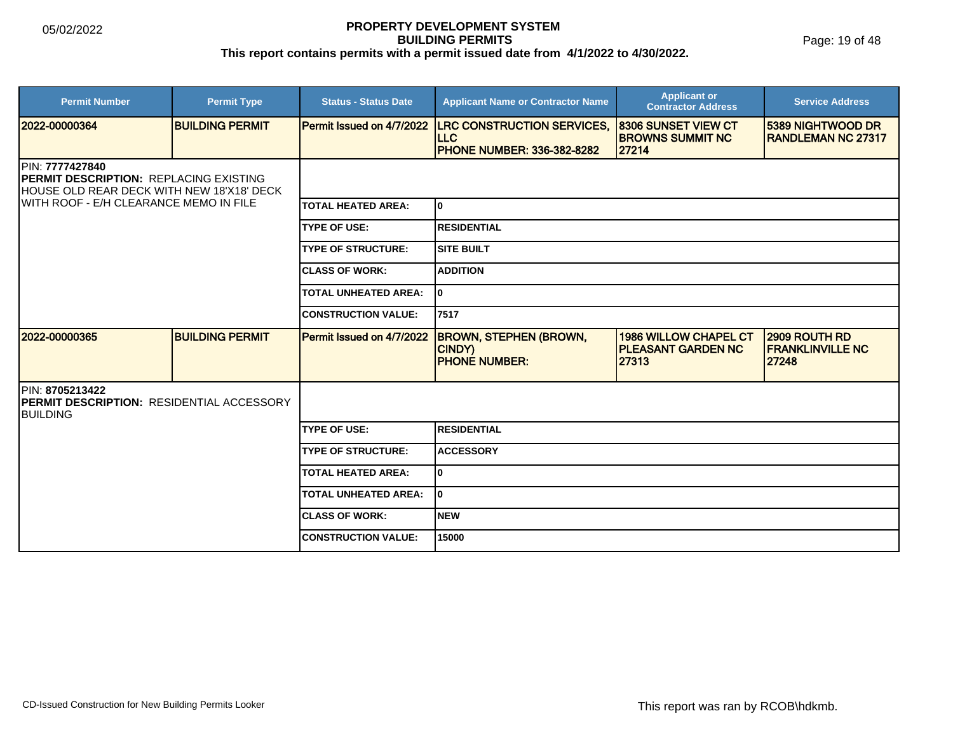Page: 19 of 48

| <b>Permit Number</b>                                                                                                                                    | <b>Permit Type</b>     | <b>Status - Status Date</b> | <b>Applicant Name or Contractor Name</b>                                             | <b>Applicant or</b><br><b>Contractor Address</b>                   | <b>Service Address</b>                            |  |
|---------------------------------------------------------------------------------------------------------------------------------------------------------|------------------------|-----------------------------|--------------------------------------------------------------------------------------|--------------------------------------------------------------------|---------------------------------------------------|--|
| 2022-00000364                                                                                                                                           | <b>BUILDING PERMIT</b> | Permit Issued on 4/7/2022   | <b>LRC CONSTRUCTION SERVICES,</b><br><b>LLC</b><br><b>PHONE NUMBER: 336-382-8282</b> | <b>8306 SUNSET VIEW CT</b><br><b>BROWNS SUMMIT NC</b><br>27214     | 5389 NIGHTWOOD DR<br><b>RANDLEMAN NC 27317</b>    |  |
| PIN: 7777427840<br><b>PERMIT DESCRIPTION: REPLACING EXISTING</b><br>HOUSE OLD REAR DECK WITH NEW 18'X18' DECK<br>WITH ROOF - E/H CLEARANCE MEMO IN FILE |                        |                             |                                                                                      |                                                                    |                                                   |  |
|                                                                                                                                                         |                        | <b>TOTAL HEATED AREA:</b>   | I٥                                                                                   |                                                                    |                                                   |  |
|                                                                                                                                                         |                        | <b>TYPE OF USE:</b>         | <b>RESIDENTIAL</b>                                                                   |                                                                    |                                                   |  |
|                                                                                                                                                         |                        | <b>TYPE OF STRUCTURE:</b>   | ISITE BUILT                                                                          |                                                                    |                                                   |  |
|                                                                                                                                                         |                        | <b>CLASS OF WORK:</b>       | <b>ADDITION</b>                                                                      |                                                                    |                                                   |  |
|                                                                                                                                                         |                        | <b>TOTAL UNHEATED AREA:</b> | I٥                                                                                   |                                                                    |                                                   |  |
|                                                                                                                                                         |                        | <b>CONSTRUCTION VALUE:</b>  | 7517                                                                                 |                                                                    |                                                   |  |
| 2022-00000365                                                                                                                                           | <b>BUILDING PERMIT</b> | Permit Issued on 4/7/2022   | <b>BROWN, STEPHEN (BROWN,</b><br>CINDY)<br><b>PHONE NUMBER:</b>                      | <b>1986 WILLOW CHAPEL CT</b><br><b>PLEASANT GARDEN NC</b><br>27313 | 2909 ROUTH RD<br><b>FRANKLINVILLE NC</b><br>27248 |  |
| PIN: 8705213422<br><b>IPERMIT DESCRIPTION: RESIDENTIAL ACCESSORY</b><br><b>BUILDING</b>                                                                 |                        |                             |                                                                                      |                                                                    |                                                   |  |
|                                                                                                                                                         |                        | <b>TYPE OF USE:</b>         | IRESIDENTIAL                                                                         |                                                                    |                                                   |  |
|                                                                                                                                                         |                        | <b>TYPE OF STRUCTURE:</b>   | <b>ACCESSORY</b>                                                                     |                                                                    |                                                   |  |
|                                                                                                                                                         |                        | <b>TOTAL HEATED AREA:</b>   | lo.                                                                                  |                                                                    |                                                   |  |
|                                                                                                                                                         |                        | <b>TOTAL UNHEATED AREA:</b> | I٥                                                                                   |                                                                    |                                                   |  |
|                                                                                                                                                         |                        | <b>CLASS OF WORK:</b>       | INEW                                                                                 |                                                                    |                                                   |  |
|                                                                                                                                                         |                        | <b>CONSTRUCTION VALUE:</b>  | 15000                                                                                |                                                                    |                                                   |  |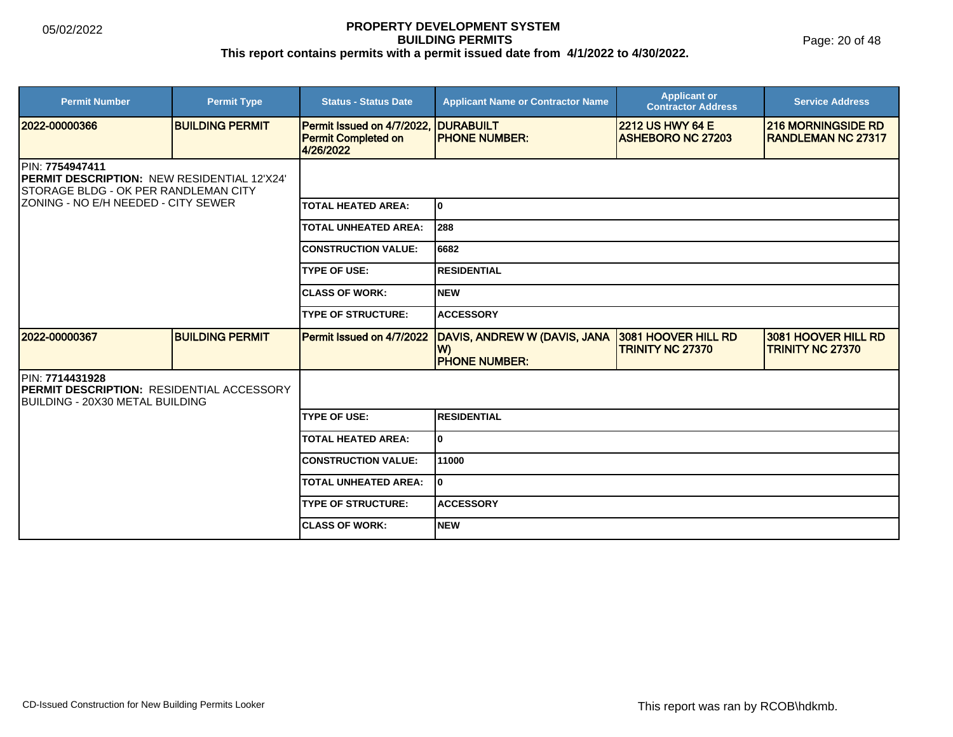| <b>Permit Number</b>                                                                                                   | <b>Permit Type</b>     | <b>Status - Status Date</b>                                           | <b>Applicant Name or Contractor Name</b>                   | <b>Applicant or</b><br><b>Contractor Address</b>    | <b>Service Address</b>                                 |  |
|------------------------------------------------------------------------------------------------------------------------|------------------------|-----------------------------------------------------------------------|------------------------------------------------------------|-----------------------------------------------------|--------------------------------------------------------|--|
| 2022-00000366                                                                                                          | <b>BUILDING PERMIT</b> | Permit Issued on 4/7/2022.<br><b>Permit Completed on</b><br>4/26/2022 | <b>DURABUILT</b><br><b>PHONE NUMBER:</b>                   | <b>2212 US HWY 64 E</b><br><b>ASHEBORO NC 27203</b> | <b>216 MORNINGSIDE RD</b><br><b>RANDLEMAN NC 27317</b> |  |
| <b>IPIN: 7754947411</b><br>PERMIT DESCRIPTION: NEW RESIDENTIAL 12'X24'<br>STORAGE BLDG - OK PER RANDLEMAN CITY         |                        |                                                                       |                                                            |                                                     |                                                        |  |
| IZONING - NO E/H NEEDED - CITY SEWER                                                                                   |                        | <b>TOTAL HEATED AREA:</b>                                             | 0                                                          |                                                     |                                                        |  |
|                                                                                                                        |                        | <b>TOTAL UNHEATED AREA:</b>                                           | 288                                                        |                                                     |                                                        |  |
|                                                                                                                        |                        | <b>CONSTRUCTION VALUE:</b>                                            | 6682                                                       |                                                     |                                                        |  |
|                                                                                                                        |                        | <b>TYPE OF USE:</b>                                                   | <b>RESIDENTIAL</b>                                         |                                                     |                                                        |  |
|                                                                                                                        |                        | <b>CLASS OF WORK:</b>                                                 | <b>NEW</b>                                                 |                                                     |                                                        |  |
|                                                                                                                        |                        | <b>TYPE OF STRUCTURE:</b>                                             | <b>ACCESSORY</b>                                           |                                                     |                                                        |  |
| 2022-00000367                                                                                                          | <b>BUILDING PERMIT</b> | Permit Issued on 4/7/2022                                             | DAVIS, ANDREW W (DAVIS, JANA<br>W)<br><b>PHONE NUMBER:</b> | 3081 HOOVER HILL RD<br><b>TRINITY NC 27370</b>      | 3081 HOOVER HILL RD<br><b>TRINITY NC 27370</b>         |  |
| <b>IPIN: 7714431928</b><br><b>PERMIT DESCRIPTION: RESIDENTIAL ACCESSORY</b><br><b>IBUILDING - 20X30 METAL BUILDING</b> |                        |                                                                       |                                                            |                                                     |                                                        |  |
|                                                                                                                        |                        | <b>TYPE OF USE:</b>                                                   | <b>RESIDENTIAL</b>                                         |                                                     |                                                        |  |
|                                                                                                                        |                        | <b>TOTAL HEATED AREA:</b>                                             | 0                                                          |                                                     |                                                        |  |
|                                                                                                                        |                        | <b>CONSTRUCTION VALUE:</b>                                            | 11000                                                      |                                                     |                                                        |  |
|                                                                                                                        |                        | <b>TOTAL UNHEATED AREA:</b>                                           | 0                                                          |                                                     |                                                        |  |
|                                                                                                                        |                        | <b>TYPE OF STRUCTURE:</b>                                             | <b>ACCESSORY</b>                                           |                                                     |                                                        |  |
|                                                                                                                        |                        | <b>ICLASS OF WORK:</b>                                                | <b>NEW</b>                                                 |                                                     |                                                        |  |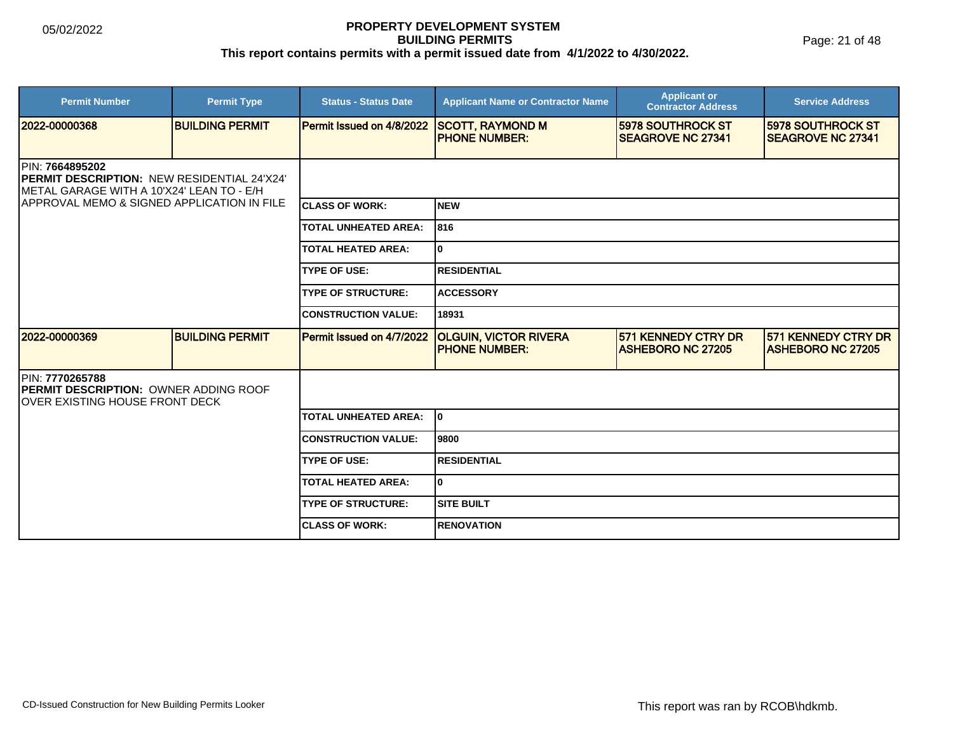Page: 21 of 48

| <b>Permit Number</b>                                                                                                | <b>Permit Type</b>     | <b>Status - Status Date</b> | <b>Applicant Name or Contractor Name</b>             | <b>Applicant or</b><br><b>Contractor Address</b>     | <b>Service Address</b>                               |  |
|---------------------------------------------------------------------------------------------------------------------|------------------------|-----------------------------|------------------------------------------------------|------------------------------------------------------|------------------------------------------------------|--|
| 2022-00000368                                                                                                       | <b>BUILDING PERMIT</b> | Permit Issued on 4/8/2022   | <b>SCOTT, RAYMOND M</b><br><b>PHONE NUMBER:</b>      | <b>5978 SOUTHROCK ST</b><br><b>SEAGROVE NC 27341</b> | <b>5978 SOUTHROCK ST</b><br><b>SEAGROVE NC 27341</b> |  |
| <b>IPIN: 7664895202</b><br>PERMIT DESCRIPTION: NEW RESIDENTIAL 24'X24'<br>METAL GARAGE WITH A 10'X24' LEAN TO - E/H |                        |                             |                                                      |                                                      |                                                      |  |
| IAPPROVAL MEMO & SIGNED APPLICATION IN FILE                                                                         |                        | <b>ICLASS OF WORK:</b>      | Inew                                                 |                                                      |                                                      |  |
|                                                                                                                     |                        | <b>TOTAL UNHEATED AREA:</b> | 1816                                                 |                                                      |                                                      |  |
|                                                                                                                     |                        | <b>TOTAL HEATED AREA:</b>   | lo.                                                  |                                                      |                                                      |  |
|                                                                                                                     |                        | <b>TYPE OF USE:</b>         | <b>RESIDENTIAL</b>                                   |                                                      |                                                      |  |
|                                                                                                                     |                        | <b>TYPE OF STRUCTURE:</b>   | <b>ACCESSORY</b>                                     |                                                      |                                                      |  |
|                                                                                                                     |                        | <b>CONSTRUCTION VALUE:</b>  | 18931                                                |                                                      |                                                      |  |
| 2022-00000369                                                                                                       | <b>BUILDING PERMIT</b> | Permit Issued on 4/7/2022   | <b>OLGUIN, VICTOR RIVERA</b><br><b>PHONE NUMBER:</b> | 571 KENNEDY CTRY DR<br><b>ASHEBORO NC 27205</b>      | 571 KENNEDY CTRY DR<br><b>IASHEBORO NC 27205</b>     |  |
| PIN: 7770265788<br><b>IPERMIT DESCRIPTION: OWNER ADDING ROOF</b><br>IOVER EXISTING HOUSE FRONT DECK                 |                        |                             |                                                      |                                                      |                                                      |  |
|                                                                                                                     |                        | <b>TOTAL UNHEATED AREA:</b> | lo.                                                  |                                                      |                                                      |  |
|                                                                                                                     |                        | <b>CONSTRUCTION VALUE:</b>  | 9800                                                 |                                                      |                                                      |  |
|                                                                                                                     |                        | <b>TYPE OF USE:</b>         | <b>RESIDENTIAL</b>                                   |                                                      |                                                      |  |
|                                                                                                                     |                        | <b>TOTAL HEATED AREA:</b>   | I٥                                                   |                                                      |                                                      |  |
|                                                                                                                     |                        | <b>TYPE OF STRUCTURE:</b>   | <b>SITE BUILT</b>                                    |                                                      |                                                      |  |
|                                                                                                                     |                        | <b>ICLASS OF WORK:</b>      | <b>RENOVATION</b>                                    |                                                      |                                                      |  |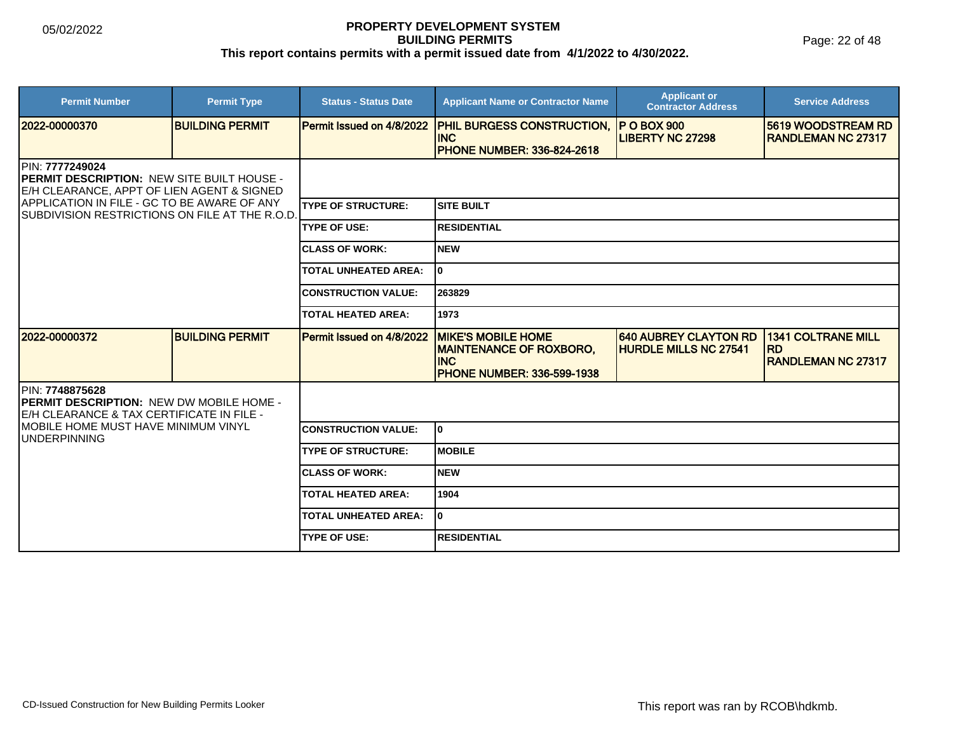Page: 22 of 48

| <b>Permit Number</b>                                                                                                            | <b>Permit Type</b>     | <b>Status - Status Date</b> | <b>Applicant Name or Contractor Name</b>                                                                       | <b>Applicant or</b><br><b>Contractor Address</b>             | <b>Service Address</b>                                              |  |
|---------------------------------------------------------------------------------------------------------------------------------|------------------------|-----------------------------|----------------------------------------------------------------------------------------------------------------|--------------------------------------------------------------|---------------------------------------------------------------------|--|
| 12022-00000370                                                                                                                  | <b>BUILDING PERMIT</b> | Permit Issued on 4/8/2022   | PHIL BURGESS CONSTRUCTION,<br><b>INC</b><br><b>PHONE NUMBER: 336-824-2618</b>                                  | IP O BOX 900<br><b>LIBERTY NC 27298</b>                      | <b>5619 WOODSTREAM RD</b><br><b>RANDLEMAN NC 27317</b>              |  |
| PIN: 7777249024<br><b>IPERMIT DESCRIPTION: NEW SITE BUILT HOUSE -</b><br><b>IE/H CLEARANCE, APPT OF LIEN AGENT &amp; SIGNED</b> |                        |                             |                                                                                                                |                                                              |                                                                     |  |
| APPLICATION IN FILE - GC TO BE AWARE OF ANY<br><b>SUBDIVISION RESTRICTIONS ON FILE AT THE R.O.D.</b>                            |                        | <b>TYPE OF STRUCTURE:</b>   | Isite built                                                                                                    |                                                              |                                                                     |  |
|                                                                                                                                 |                        | <b>TYPE OF USE:</b>         | <b>IRESIDENTIAL</b>                                                                                            |                                                              |                                                                     |  |
|                                                                                                                                 |                        | <b>CLASS OF WORK:</b>       | INEW                                                                                                           |                                                              |                                                                     |  |
|                                                                                                                                 |                        | <b>TOTAL UNHEATED AREA:</b> | I٥                                                                                                             |                                                              |                                                                     |  |
|                                                                                                                                 |                        | <b>CONSTRUCTION VALUE:</b>  | 263829                                                                                                         |                                                              |                                                                     |  |
|                                                                                                                                 |                        | <b>TOTAL HEATED AREA:</b>   | 1973                                                                                                           |                                                              |                                                                     |  |
| 12022-00000372                                                                                                                  | <b>BUILDING PERMIT</b> | Permit Issued on 4/8/2022   | <b>MIKE'S MOBILE HOME</b><br><b>MAINTENANCE OF ROXBORO,</b><br><b>INC</b><br><b>PHONE NUMBER: 336-599-1938</b> | <b>640 AUBREY CLAYTON RD</b><br><b>HURDLE MILLS NC 27541</b> | <b>1341 COLTRANE MILL</b><br><b>RD</b><br><b>RANDLEMAN NC 27317</b> |  |
| PIN: 7748875628<br><b>IPERMIT DESCRIPTION: NEW DW MOBILE HOME -</b><br>E/H CLEARANCE & TAX CERTIFICATE IN FILE -                |                        |                             |                                                                                                                |                                                              |                                                                     |  |
| <b>MOBILE HOME MUST HAVE MINIMUM VINYL</b><br><b>JUNDERPINNING</b>                                                              |                        | <b>CONSTRUCTION VALUE:</b>  | I٥                                                                                                             |                                                              |                                                                     |  |
|                                                                                                                                 |                        | <b>TYPE OF STRUCTURE:</b>   | IMOBILE                                                                                                        |                                                              |                                                                     |  |
|                                                                                                                                 |                        | <b>CLASS OF WORK:</b>       | <b>NEW</b>                                                                                                     |                                                              |                                                                     |  |
|                                                                                                                                 |                        | <b>TOTAL HEATED AREA:</b>   | 1904                                                                                                           |                                                              |                                                                     |  |
|                                                                                                                                 |                        | <b>TOTAL UNHEATED AREA:</b> | I٥                                                                                                             |                                                              |                                                                     |  |
|                                                                                                                                 |                        | <b>TYPE OF USE:</b>         | <b>RESIDENTIAL</b>                                                                                             |                                                              |                                                                     |  |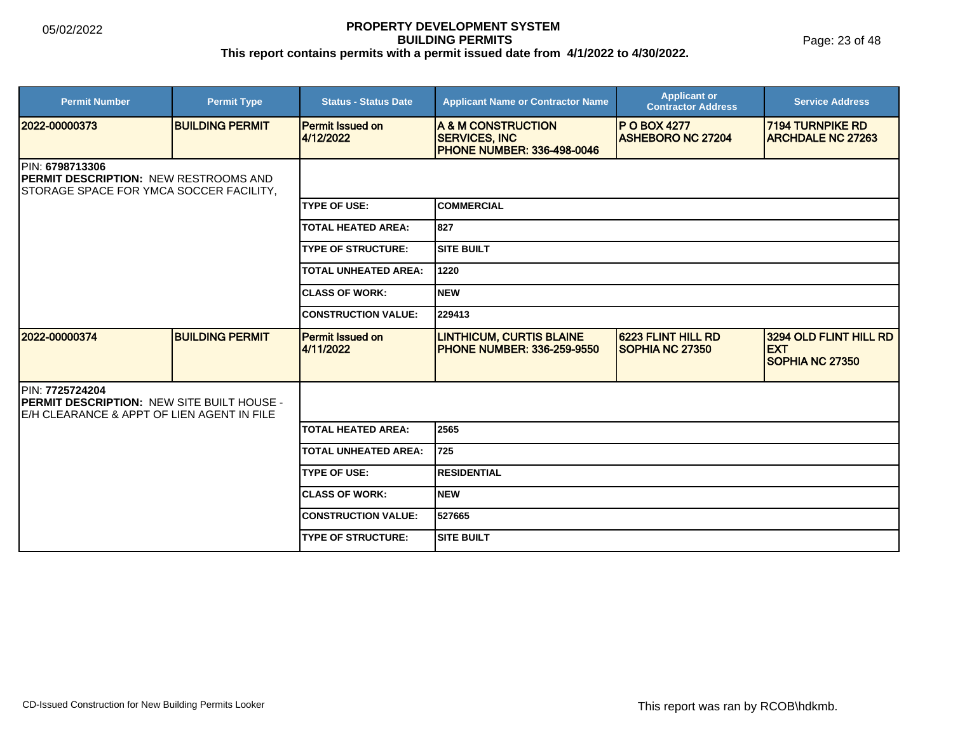Page: 23 of 48

| <b>Permit Number</b>                                                                                               | <b>Permit Type</b>     | <b>Status - Status Date</b>   | <b>Applicant Name or Contractor Name</b>                                         | <b>Applicant or</b><br><b>Contractor Address</b>    | <b>Service Address</b>                                         |  |
|--------------------------------------------------------------------------------------------------------------------|------------------------|-------------------------------|----------------------------------------------------------------------------------|-----------------------------------------------------|----------------------------------------------------------------|--|
| 2022-00000373                                                                                                      | <b>BUILDING PERMIT</b> | Permit Issued on<br>4/12/2022 | A & M CONSTRUCTION<br><b>SERVICES, INC.</b><br><b>PHONE NUMBER: 336-498-0046</b> | <b>PO BOX 4277</b><br><b>ASHEBORO NC 27204</b>      | <b>7194 TURNPIKE RD</b><br><b>ARCHDALE NC 27263</b>            |  |
| PIN: 6798713306<br><b>PERMIT DESCRIPTION: NEW RESTROOMS AND</b><br>STORAGE SPACE FOR YMCA SOCCER FACILITY,         |                        |                               |                                                                                  |                                                     |                                                                |  |
|                                                                                                                    |                        | <b>TYPE OF USE:</b>           | ICOMMERCIAL                                                                      |                                                     |                                                                |  |
|                                                                                                                    |                        | <b>TOTAL HEATED AREA:</b>     | 827                                                                              |                                                     |                                                                |  |
|                                                                                                                    |                        | <b>TYPE OF STRUCTURE:</b>     | Isite built                                                                      |                                                     |                                                                |  |
|                                                                                                                    |                        | <b>TOTAL UNHEATED AREA:</b>   | 1220                                                                             |                                                     |                                                                |  |
|                                                                                                                    |                        | <b>CLASS OF WORK:</b>         | <b>NEW</b>                                                                       |                                                     |                                                                |  |
|                                                                                                                    |                        | <b>CONSTRUCTION VALUE:</b>    | 229413                                                                           |                                                     |                                                                |  |
| 2022-00000374                                                                                                      | <b>BUILDING PERMIT</b> | Permit Issued on<br>4/11/2022 | <b>LINTHICUM, CURTIS BLAINE</b><br><b>PHONE NUMBER: 336-259-9550</b>             | <b>6223 FLINT HILL RD</b><br><b>SOPHIA NC 27350</b> | 3294 OLD FLINT HILL RD<br><b>EXT</b><br><b>SOPHIA NC 27350</b> |  |
| PIN: 7725724204<br><b>PERMIT DESCRIPTION: NEW SITE BUILT HOUSE -</b><br>E/H CLEARANCE & APPT OF LIEN AGENT IN FILE |                        |                               |                                                                                  |                                                     |                                                                |  |
|                                                                                                                    |                        | <b>TOTAL HEATED AREA:</b>     | 2565                                                                             |                                                     |                                                                |  |
|                                                                                                                    |                        | <b>TOTAL UNHEATED AREA:</b>   | 725                                                                              |                                                     |                                                                |  |
|                                                                                                                    |                        | <b>TYPE OF USE:</b>           | <b>RESIDENTIAL</b>                                                               |                                                     |                                                                |  |
|                                                                                                                    |                        | <b>CLASS OF WORK:</b>         | <b>NEW</b>                                                                       |                                                     |                                                                |  |
|                                                                                                                    |                        | <b>CONSTRUCTION VALUE:</b>    | 527665                                                                           |                                                     |                                                                |  |
|                                                                                                                    |                        | <b>TYPE OF STRUCTURE:</b>     | <b>SITE BUILT</b>                                                                |                                                     |                                                                |  |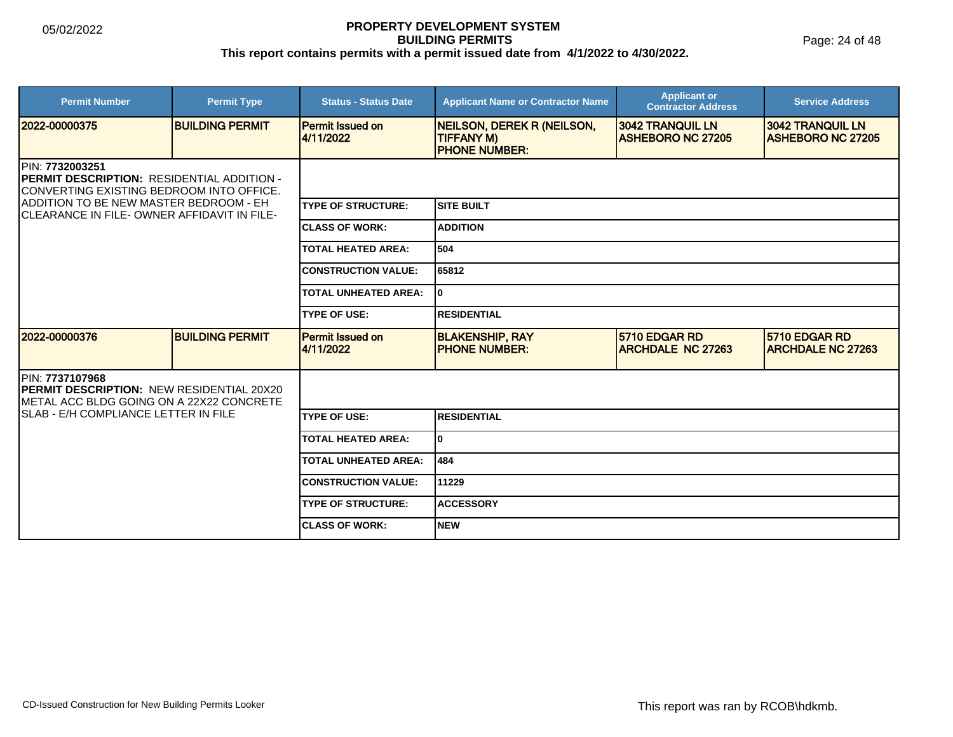Page: 24 of 48

| <b>Permit Number</b>                                                                                                      | <b>Permit Type</b>     | <b>Status - Status Date</b>          | <b>Applicant Name or Contractor Name</b>                                       | <b>Applicant or</b><br><b>Contractor Address</b> | <b>Service Address</b>                              |  |
|---------------------------------------------------------------------------------------------------------------------------|------------------------|--------------------------------------|--------------------------------------------------------------------------------|--------------------------------------------------|-----------------------------------------------------|--|
| 2022-00000375                                                                                                             | <b>BUILDING PERMIT</b> | <b>Permit Issued on</b><br>4/11/2022 | <b>NEILSON, DEREK R (NEILSON,</b><br><b>TIFFANY M)</b><br><b>PHONE NUMBER:</b> | 3042 TRANQUIL LN<br><b>ASHEBORO NC 27205</b>     | <b>3042 TRANQUIL LN</b><br><b>ASHEBORO NC 27205</b> |  |
| <b>IPIN: 7732003251</b><br><b>IPERMIT DESCRIPTION: RESIDENTIAL ADDITION -</b><br>CONVERTING EXISTING BEDROOM INTO OFFICE. |                        |                                      |                                                                                |                                                  |                                                     |  |
| ADDITION TO BE NEW MASTER BEDROOM - EH<br>ICLEARANCE IN FILE-OWNER AFFIDAVIT IN FILE-                                     |                        | <b>TYPE OF STRUCTURE:</b>            | <b>SITE BUILT</b>                                                              |                                                  |                                                     |  |
|                                                                                                                           |                        | <b>CLASS OF WORK:</b>                | <b>ADDITION</b>                                                                |                                                  |                                                     |  |
|                                                                                                                           |                        | <b>TOTAL HEATED AREA:</b>            | 504                                                                            |                                                  |                                                     |  |
|                                                                                                                           |                        | <b>CONSTRUCTION VALUE:</b>           | 65812                                                                          |                                                  |                                                     |  |
|                                                                                                                           |                        | <b>TOTAL UNHEATED AREA:</b>          | I٥                                                                             |                                                  |                                                     |  |
|                                                                                                                           |                        | <b>TYPE OF USE:</b>                  | <b>RESIDENTIAL</b>                                                             |                                                  |                                                     |  |
| 2022-00000376                                                                                                             | <b>BUILDING PERMIT</b> | <b>Permit Issued on</b><br>4/11/2022 | <b>BLAKENSHIP, RAY</b><br><b>IPHONE NUMBER:</b>                                | 5710 EDGAR RD<br><b>ARCHDALE NC 27263</b>        | 5710 EDGAR RD<br><b>ARCHDALE NC 27263</b>           |  |
| <b>IPIN: 7737107968</b><br><b>PERMIT DESCRIPTION: NEW RESIDENTIAL 20X20</b><br>METAL ACC BLDG GOING ON A 22X22 CONCRETE   |                        |                                      |                                                                                |                                                  |                                                     |  |
| ISLAB - E/H COMPLIANCE LETTER IN FILE                                                                                     |                        | <b>TYPE OF USE:</b>                  | <b>RESIDENTIAL</b>                                                             |                                                  |                                                     |  |
|                                                                                                                           |                        | <b>TOTAL HEATED AREA:</b>            | I٥                                                                             |                                                  |                                                     |  |
|                                                                                                                           |                        | <b>TOTAL UNHEATED AREA:</b>          | 484                                                                            |                                                  |                                                     |  |
|                                                                                                                           |                        | <b>CONSTRUCTION VALUE:</b>           | 111229                                                                         |                                                  |                                                     |  |
|                                                                                                                           |                        | <b>TYPE OF STRUCTURE:</b>            | <b>ACCESSORY</b>                                                               |                                                  |                                                     |  |
|                                                                                                                           |                        | <b>CLASS OF WORK:</b>                | <b>NEW</b>                                                                     |                                                  |                                                     |  |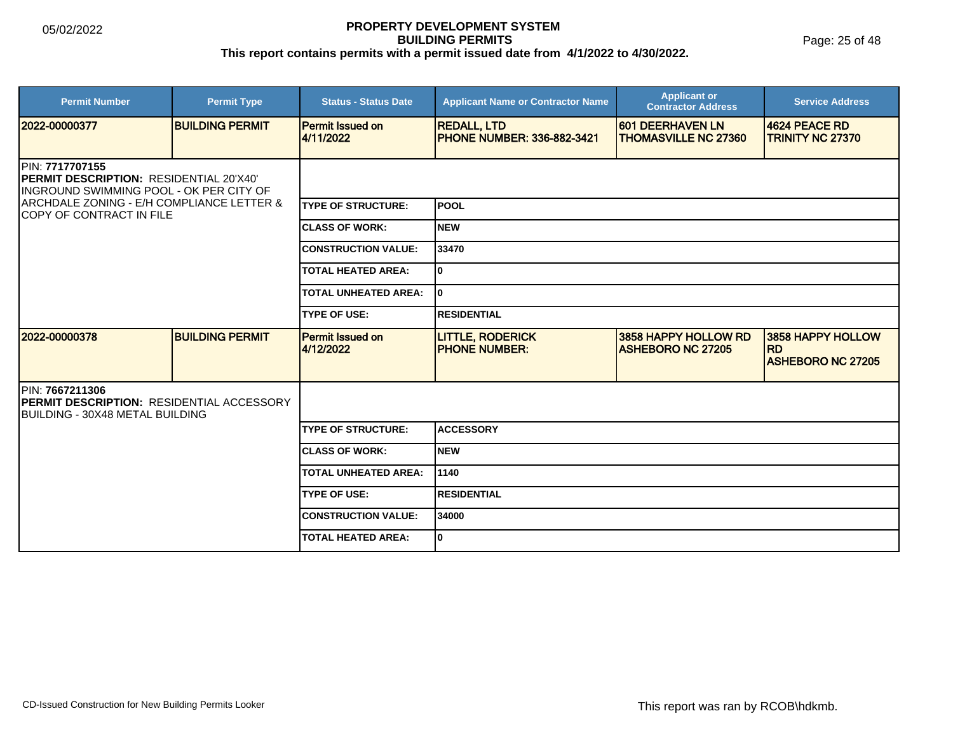Page: 25 of 48

| <b>Permit Number</b>                                                                                                                                                                   | <b>Permit Type</b>     | <b>Status - Status Date</b>          | <b>Applicant Name or Contractor Name</b>                | <b>Applicant or</b><br><b>Contractor Address</b> | <b>Service Address</b>                                     |  |
|----------------------------------------------------------------------------------------------------------------------------------------------------------------------------------------|------------------------|--------------------------------------|---------------------------------------------------------|--------------------------------------------------|------------------------------------------------------------|--|
| 2022-00000377                                                                                                                                                                          | <b>BUILDING PERMIT</b> | <b>Permit Issued on</b><br>4/11/2022 | <b>REDALL, LTD</b><br><b>PHONE NUMBER: 336-882-3421</b> | 601 DEERHAVEN LN<br><b>THOMASVILLE NC 27360</b>  | 4624 PEACE RD<br><b>TRINITY NC 27370</b>                   |  |
| PIN: 7717707155<br><b>IPERMIT DESCRIPTION: RESIDENTIAL 20'X40'</b><br>INGROUND SWIMMING POOL - OK PER CITY OF<br>ARCHDALE ZONING - E/H COMPLIANCE LETTER &<br>COPY OF CONTRACT IN FILE |                        |                                      |                                                         |                                                  |                                                            |  |
|                                                                                                                                                                                        |                        | <b>TYPE OF STRUCTURE:</b>            | lpool                                                   |                                                  |                                                            |  |
|                                                                                                                                                                                        |                        | <b>CLASS OF WORK:</b>                | Inew                                                    |                                                  |                                                            |  |
|                                                                                                                                                                                        |                        | <b>CONSTRUCTION VALUE:</b>           | 33470                                                   |                                                  |                                                            |  |
|                                                                                                                                                                                        |                        | <b>TOTAL HEATED AREA:</b>            | I٥                                                      |                                                  |                                                            |  |
|                                                                                                                                                                                        |                        | <b>TOTAL UNHEATED AREA:</b>          | I٥                                                      |                                                  |                                                            |  |
|                                                                                                                                                                                        |                        | <b>TYPE OF USE:</b>                  | <b>RESIDENTIAL</b>                                      |                                                  |                                                            |  |
| 2022-00000378                                                                                                                                                                          | <b>BUILDING PERMIT</b> | <b>Permit Issued on</b><br>4/12/2022 | <b>LITTLE, RODERICK</b><br><b>IPHONE NUMBER:</b>        | 3858 HAPPY HOLLOW RD<br><b>ASHEBORO NC 27205</b> | 3858 HAPPY HOLLOW<br><b>RD</b><br><b>ASHEBORO NC 27205</b> |  |
| PIN: 7667211306<br><b>PERMIT DESCRIPTION: RESIDENTIAL ACCESSORY</b><br><b>IBUILDING - 30X48 METAL BUILDING</b>                                                                         |                        |                                      |                                                         |                                                  |                                                            |  |
|                                                                                                                                                                                        |                        | <b>TYPE OF STRUCTURE:</b>            | <b>ACCESSORY</b>                                        |                                                  |                                                            |  |
|                                                                                                                                                                                        |                        | <b>CLASS OF WORK:</b>                | Inew                                                    |                                                  |                                                            |  |
|                                                                                                                                                                                        |                        | <b>TOTAL UNHEATED AREA:</b>          | 1140                                                    |                                                  |                                                            |  |
|                                                                                                                                                                                        |                        | <b>TYPE OF USE:</b>                  | <b>RESIDENTIAL</b>                                      |                                                  |                                                            |  |
|                                                                                                                                                                                        |                        | <b>CONSTRUCTION VALUE:</b>           | 34000                                                   |                                                  |                                                            |  |
|                                                                                                                                                                                        |                        | <b>TOTAL HEATED AREA:</b>            | I٥                                                      |                                                  |                                                            |  |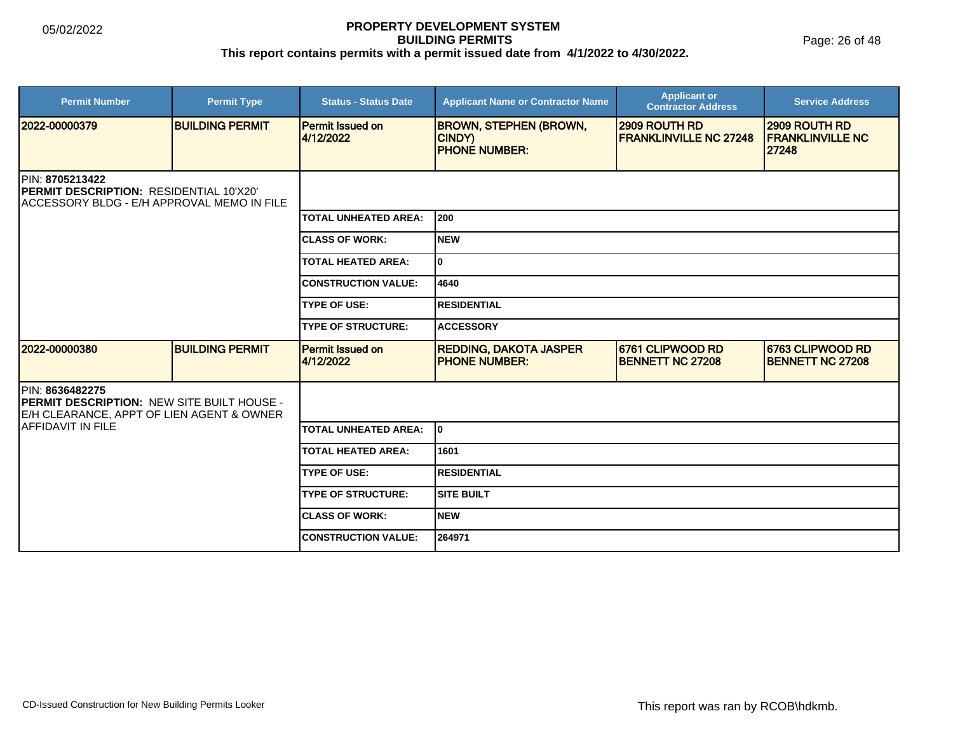| <b>Permit Number</b>                                                                                             | <b>Permit Type</b>     | <b>Status - Status Date</b>          | <b>Applicant Name or Contractor Name</b>                        | <b>Applicant or</b><br><b>Contractor Address</b>      | <b>Service Address</b>                            |  |
|------------------------------------------------------------------------------------------------------------------|------------------------|--------------------------------------|-----------------------------------------------------------------|-------------------------------------------------------|---------------------------------------------------|--|
| 12022-00000379                                                                                                   | <b>BUILDING PERMIT</b> | <b>Permit Issued on</b><br>4/12/2022 | <b>BROWN, STEPHEN (BROWN,</b><br>CINDY)<br><b>PHONE NUMBER:</b> | <b>2909 ROUTH RD</b><br><b>FRANKLINVILLE NC 27248</b> | 2909 ROUTH RD<br><b>FRANKLINVILLE NC</b><br>27248 |  |
| PIN: 8705213422<br><b>PERMIT DESCRIPTION: RESIDENTIAL 10'X20'</b><br>IACCESSORY BLDG - E/H APPROVAL MEMO IN FILE |                        |                                      |                                                                 |                                                       |                                                   |  |
|                                                                                                                  |                        | <b>TOTAL UNHEATED AREA:</b>          | 200                                                             |                                                       |                                                   |  |
|                                                                                                                  |                        | <b>CLASS OF WORK:</b>                | <b>NEW</b>                                                      |                                                       |                                                   |  |
|                                                                                                                  |                        | <b>TOTAL HEATED AREA:</b>            | 0                                                               |                                                       |                                                   |  |
|                                                                                                                  |                        | <b>CONSTRUCTION VALUE:</b>           | 4640                                                            |                                                       |                                                   |  |
|                                                                                                                  |                        | <b>TYPE OF USE:</b>                  | <b>RESIDENTIAL</b>                                              |                                                       |                                                   |  |
|                                                                                                                  |                        | <b>TYPE OF STRUCTURE:</b>            | <b>ACCESSORY</b>                                                |                                                       |                                                   |  |
| 2022-00000380                                                                                                    | <b>BUILDING PERMIT</b> | <b>Permit Issued on</b><br>4/12/2022 | <b>REDDING, DAKOTA JASPER</b><br><b>PHONE NUMBER:</b>           | 6761 CLIPWOOD RD<br><b>BENNETT NC 27208</b>           | 6763 CLIPWOOD RD<br><b>BENNETT NC 27208</b>       |  |
| PIN: 8636482275<br>PERMIT DESCRIPTION: NEW SITE BUILT HOUSE -<br>E/H CLEARANCE, APPT OF LIEN AGENT & OWNER       |                        |                                      |                                                                 |                                                       |                                                   |  |
| IAFFIDAVIT IN FILE                                                                                               |                        | <b>TOTAL UNHEATED AREA:</b>          | lo.                                                             |                                                       |                                                   |  |
|                                                                                                                  |                        | <b>TOTAL HEATED AREA:</b>            | 1601                                                            |                                                       |                                                   |  |
|                                                                                                                  |                        | <b>TYPE OF USE:</b>                  | <b>RESIDENTIAL</b>                                              |                                                       |                                                   |  |
|                                                                                                                  |                        | <b>TYPE OF STRUCTURE:</b>            | <b>SITE BUILT</b>                                               |                                                       |                                                   |  |
|                                                                                                                  |                        | <b>CLASS OF WORK:</b>                | <b>NEW</b>                                                      |                                                       |                                                   |  |
|                                                                                                                  |                        | <b>CONSTRUCTION VALUE:</b>           | 264971                                                          |                                                       |                                                   |  |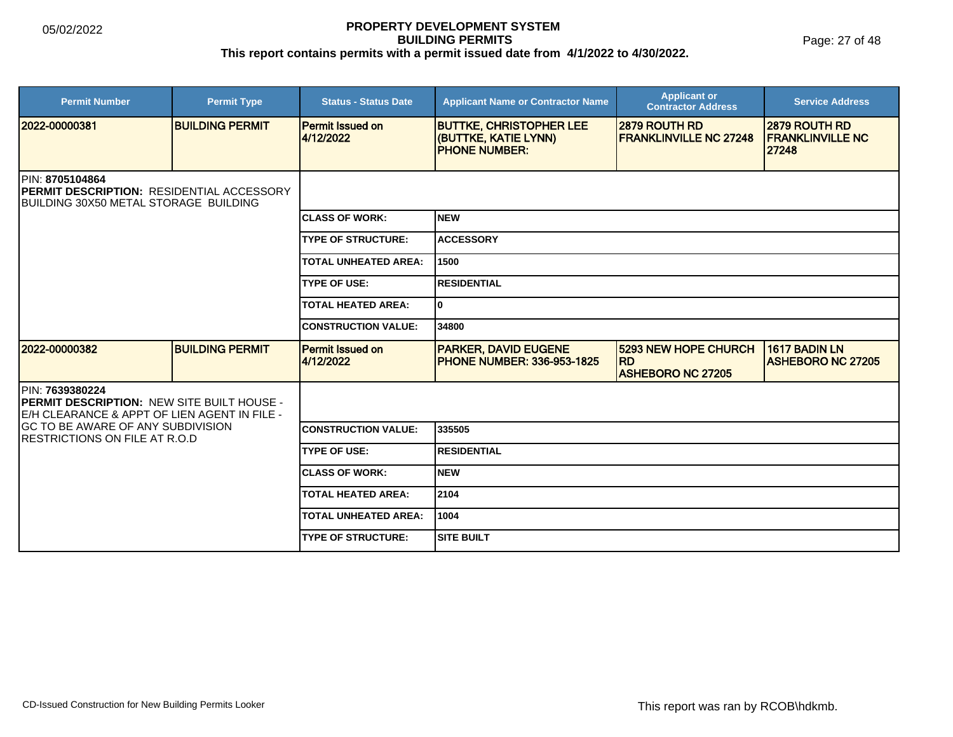Page: 27 of 48

| <b>Permit Number</b>                                                                                                          | <b>Permit Type</b>     | <b>Status - Status Date</b>          | <b>Applicant Name or Contractor Name</b>                                       | <b>Applicant or</b><br><b>Contractor Address</b>                     | <b>Service Address</b>                              |  |
|-------------------------------------------------------------------------------------------------------------------------------|------------------------|--------------------------------------|--------------------------------------------------------------------------------|----------------------------------------------------------------------|-----------------------------------------------------|--|
| 12022-00000381                                                                                                                | <b>BUILDING PERMIT</b> | <b>Permit Issued on</b><br>4/12/2022 | <b>BUTTKE, CHRISTOPHER LEE</b><br>(BUTTKE, KATIE LYNN)<br><b>PHONE NUMBER:</b> | 2879 ROUTH RD<br><b>FRANKLINVILLE NC 27248</b>                       | 12879 ROUTH RD<br><b>IFRANKLINVILLE NC</b><br>27248 |  |
| <b>IPIN: 8705104864</b><br><b>IPERMIT DESCRIPTION: RESIDENTIAL ACCESSORY</b><br><b>IBUILDING 30X50 METAL STORAGE BUILDING</b> |                        |                                      |                                                                                |                                                                      |                                                     |  |
|                                                                                                                               |                        | <b>CLASS OF WORK:</b>                | <b>NEW</b>                                                                     |                                                                      |                                                     |  |
|                                                                                                                               |                        | <b>TYPE OF STRUCTURE:</b>            | <b>ACCESSORY</b>                                                               |                                                                      |                                                     |  |
|                                                                                                                               |                        | <b>TOTAL UNHEATED AREA:</b>          | 1500                                                                           |                                                                      |                                                     |  |
|                                                                                                                               |                        | <b>TYPE OF USE:</b>                  | <b>RESIDENTIAL</b>                                                             |                                                                      |                                                     |  |
|                                                                                                                               |                        | <b>TOTAL HEATED AREA:</b>            | lo.                                                                            |                                                                      |                                                     |  |
|                                                                                                                               |                        | <b>CONSTRUCTION VALUE:</b>           | 34800                                                                          |                                                                      |                                                     |  |
| 2022-00000382                                                                                                                 | <b>BUILDING PERMIT</b> | <b>Permit Issued on</b><br>4/12/2022 | <b>PARKER, DAVID EUGENE</b><br><b>IPHONE NUMBER: 336-953-1825</b>              | <b>5293 NEW HOPE CHURCH</b><br><b>RD</b><br><b>ASHEBORO NC 27205</b> | 1617 BADIN LN<br><b>ASHEBORO NC 27205</b>           |  |
| PIN: 7639380224<br><b>PERMIT DESCRIPTION: NEW SITE BUILT HOUSE -</b><br>E/H CLEARANCE & APPT OF LIEN AGENT IN FILE -          |                        |                                      |                                                                                |                                                                      |                                                     |  |
| GC TO BE AWARE OF ANY SUBDIVISION<br><b>RESTRICTIONS ON FILE AT R.O.D</b>                                                     |                        | <b>CONSTRUCTION VALUE:</b>           | 335505                                                                         |                                                                      |                                                     |  |
|                                                                                                                               |                        | <b>TYPE OF USE:</b>                  | <b>RESIDENTIAL</b>                                                             |                                                                      |                                                     |  |
|                                                                                                                               |                        | <b>CLASS OF WORK:</b>                | <b>NEW</b>                                                                     |                                                                      |                                                     |  |
|                                                                                                                               |                        | <b>TOTAL HEATED AREA:</b>            | 2104                                                                           |                                                                      |                                                     |  |
|                                                                                                                               |                        | <b>TOTAL UNHEATED AREA:</b>          | 1004                                                                           |                                                                      |                                                     |  |
|                                                                                                                               |                        | <b>TYPE OF STRUCTURE:</b>            | <b>SITE BUILT</b>                                                              |                                                                      |                                                     |  |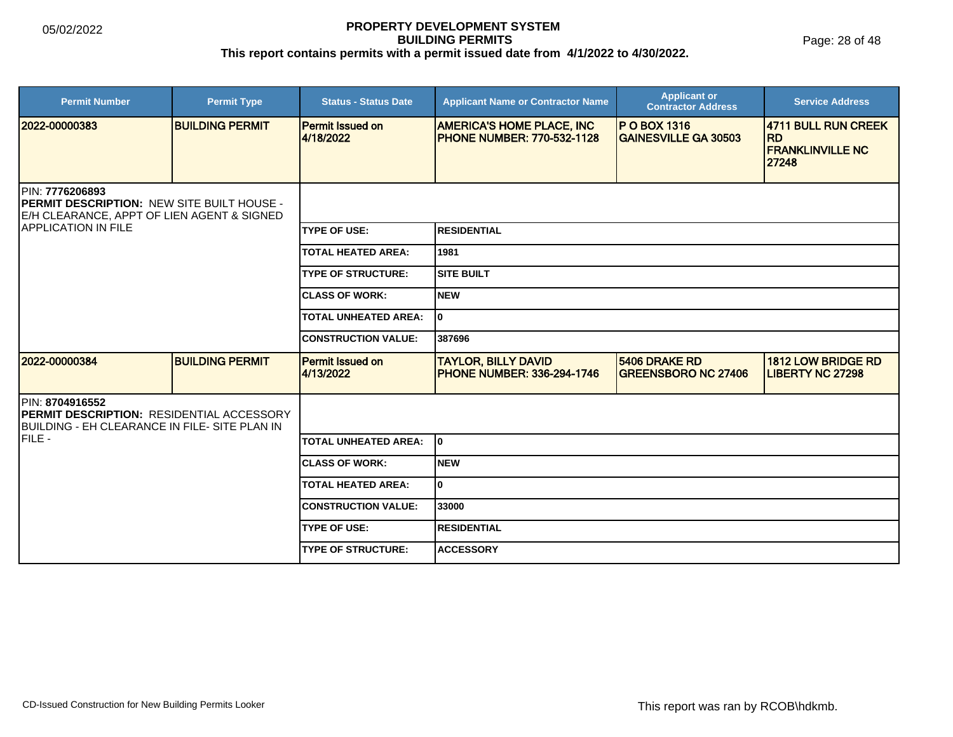Page: 28 of 48

| <b>Permit Number</b>                                                                                                                             | <b>Permit Type</b>     | <b>Status - Status Date</b>          | <b>Applicant Name or Contractor Name</b>                              | <b>Applicant or</b><br><b>Contractor Address</b>    | <b>Service Address</b>                                               |  |
|--------------------------------------------------------------------------------------------------------------------------------------------------|------------------------|--------------------------------------|-----------------------------------------------------------------------|-----------------------------------------------------|----------------------------------------------------------------------|--|
| 2022-00000383                                                                                                                                    | <b>BUILDING PERMIT</b> | Permit Issued on<br>4/18/2022        | <b>AMERICA'S HOME PLACE, INC</b><br><b>PHONE NUMBER: 770-532-1128</b> | <b>IP O BOX 1316</b><br><b>GAINESVILLE GA 30503</b> | 4711 BULL RUN CREEK<br><b>RD</b><br><b>FRANKLINVILLE NC</b><br>27248 |  |
| PIN: 7776206893<br><b>PERMIT DESCRIPTION: NEW SITE BUILT HOUSE -</b><br>E/H CLEARANCE, APPT OF LIEN AGENT & SIGNED<br><b>APPLICATION IN FILE</b> |                        |                                      |                                                                       |                                                     |                                                                      |  |
|                                                                                                                                                  |                        | <b>TYPE OF USE:</b>                  | <b>RESIDENTIAL</b>                                                    |                                                     |                                                                      |  |
|                                                                                                                                                  |                        | <b>TOTAL HEATED AREA:</b>            | 1981                                                                  |                                                     |                                                                      |  |
|                                                                                                                                                  |                        | <b>TYPE OF STRUCTURE:</b>            | <b>SITE BUILT</b>                                                     |                                                     |                                                                      |  |
|                                                                                                                                                  |                        | <b>CLASS OF WORK:</b>                | <b>NEW</b>                                                            |                                                     |                                                                      |  |
|                                                                                                                                                  |                        | <b>TOTAL UNHEATED AREA:</b>          | I٥                                                                    |                                                     |                                                                      |  |
|                                                                                                                                                  |                        | <b>CONSTRUCTION VALUE:</b>           | 387696                                                                |                                                     |                                                                      |  |
| 2022-00000384                                                                                                                                    | <b>BUILDING PERMIT</b> | <b>Permit Issued on</b><br>4/13/2022 | <b>TAYLOR, BILLY DAVID</b><br><b>PHONE NUMBER: 336-294-1746</b>       | 5406 DRAKE RD<br><b>GREENSBORO NC 27406</b>         | <b>1812 LOW BRIDGE RD</b><br><b>LIBERTY NC 27298</b>                 |  |
| PIN: 8704916552<br><b>PERMIT DESCRIPTION: RESIDENTIAL ACCESSORY</b><br>BUILDING - EH CLEARANCE IN FILE- SITE PLAN IN                             |                        |                                      |                                                                       |                                                     |                                                                      |  |
| IFILE -                                                                                                                                          |                        | TOTAL UNHEATED AREA:                 | lo.                                                                   |                                                     |                                                                      |  |
|                                                                                                                                                  |                        | <b>CLASS OF WORK:</b>                | INEW                                                                  |                                                     |                                                                      |  |
|                                                                                                                                                  |                        | <b>TOTAL HEATED AREA:</b>            | lo.                                                                   |                                                     |                                                                      |  |
|                                                                                                                                                  |                        | <b>CONSTRUCTION VALUE:</b>           | 33000                                                                 |                                                     |                                                                      |  |
|                                                                                                                                                  |                        | <b>TYPE OF USE:</b>                  | <b>IRESIDENTIAL</b>                                                   |                                                     |                                                                      |  |
|                                                                                                                                                  |                        | <b>ITYPE OF STRUCTURE:</b>           | <b>ACCESSORY</b>                                                      |                                                     |                                                                      |  |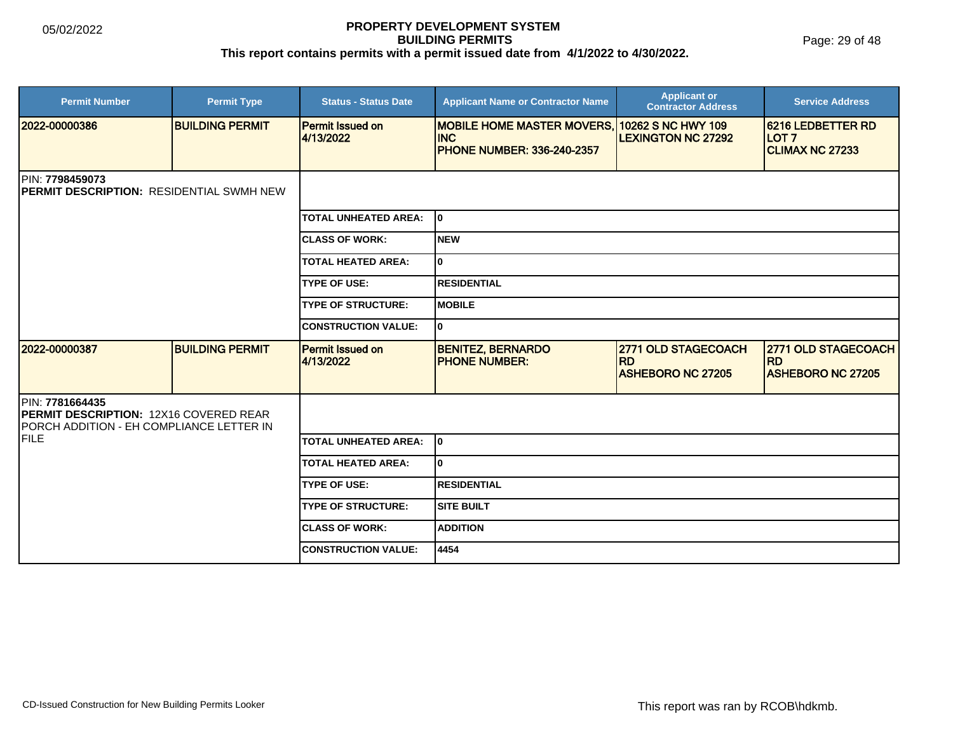Page: 29 of 48

| <b>Permit Number</b>                                                                                                | <b>Permit Type</b>     | <b>Status - Status Date</b>          | <b>Applicant Name or Contractor Name</b>                                                                | <b>Applicant or</b><br><b>Contractor Address</b>             | <b>Service Address</b>                                                 |  |
|---------------------------------------------------------------------------------------------------------------------|------------------------|--------------------------------------|---------------------------------------------------------------------------------------------------------|--------------------------------------------------------------|------------------------------------------------------------------------|--|
| 2022-00000386                                                                                                       | <b>BUILDING PERMIT</b> | <b>Permit Issued on</b><br>4/13/2022 | <b>MOBILE HOME MASTER MOVERS, 10262 S NC HWY 109</b><br><b>INC</b><br><b>PHONE NUMBER: 336-240-2357</b> | <b>LEXINGTON NC 27292</b>                                    | <b>6216 LEDBETTER RD</b><br>LOT <sub>7</sub><br><b>CLIMAX NC 27233</b> |  |
| PIN: 7798459073<br><b>IPERMIT DESCRIPTION: RESIDENTIAL SWMH NEW</b>                                                 |                        |                                      |                                                                                                         |                                                              |                                                                        |  |
|                                                                                                                     |                        | <b>TOTAL UNHEATED AREA:</b>          | lo.                                                                                                     |                                                              |                                                                        |  |
|                                                                                                                     |                        | <b>CLASS OF WORK:</b>                | Inew                                                                                                    |                                                              |                                                                        |  |
|                                                                                                                     |                        | <b>TOTAL HEATED AREA:</b>            | I٥                                                                                                      |                                                              |                                                                        |  |
|                                                                                                                     |                        | <b>TYPE OF USE:</b>                  | IRESIDENTIAL                                                                                            |                                                              |                                                                        |  |
|                                                                                                                     |                        | <b>TYPE OF STRUCTURE:</b>            | <b>IMOBILE</b>                                                                                          |                                                              |                                                                        |  |
|                                                                                                                     |                        | <b>CONSTRUCTION VALUE:</b>           | I٥                                                                                                      |                                                              |                                                                        |  |
| 2022-00000387                                                                                                       | <b>BUILDING PERMIT</b> | <b>Permit Issued on</b><br>4/13/2022 | <b>BENITEZ, BERNARDO</b><br><b>PHONE NUMBER:</b>                                                        | 2771 OLD STAGECOACH<br><b>RD</b><br><b>ASHEBORO NC 27205</b> | 2771 OLD STAGECOACH<br><b>RD</b><br><b>ASHEBORO NC 27205</b>           |  |
| PIN: 7781664435<br><b>PERMIT DESCRIPTION: 12X16 COVERED REAR</b><br><b>PORCH ADDITION - EH COMPLIANCE LETTER IN</b> |                        |                                      |                                                                                                         |                                                              |                                                                        |  |
| FILE                                                                                                                |                        | <b>TOTAL UNHEATED AREA:</b>          | l0                                                                                                      |                                                              |                                                                        |  |
|                                                                                                                     |                        | <b>TOTAL HEATED AREA:</b>            | I٥                                                                                                      |                                                              |                                                                        |  |
|                                                                                                                     |                        | <b>TYPE OF USE:</b>                  | IRESIDENTIAL                                                                                            |                                                              |                                                                        |  |
|                                                                                                                     |                        | <b>TYPE OF STRUCTURE:</b>            | Isite built                                                                                             |                                                              |                                                                        |  |
|                                                                                                                     |                        | <b>CLASS OF WORK:</b>                | <b>ADDITION</b>                                                                                         |                                                              |                                                                        |  |
|                                                                                                                     |                        | <b>CONSTRUCTION VALUE:</b>           | 4454                                                                                                    |                                                              |                                                                        |  |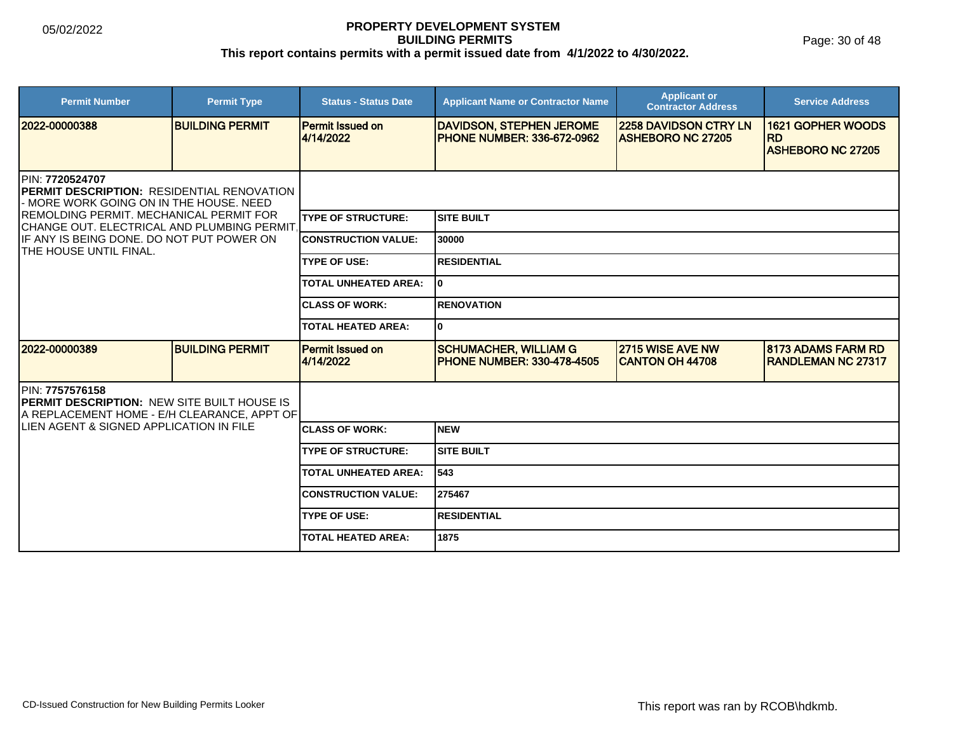| <b>Permit Number</b>                                                                                                                                                                                                                                                                      | <b>Permit Type</b>     | <b>Status - Status Date</b>          | <b>Applicant Name or Contractor Name</b>                              | <b>Applicant or</b><br><b>Contractor Address</b>         | <b>Service Address</b>                                 |  |  |
|-------------------------------------------------------------------------------------------------------------------------------------------------------------------------------------------------------------------------------------------------------------------------------------------|------------------------|--------------------------------------|-----------------------------------------------------------------------|----------------------------------------------------------|--------------------------------------------------------|--|--|
| 2022-00000388                                                                                                                                                                                                                                                                             | <b>BUILDING PERMIT</b> | <b>Permit Issued on</b><br>4/14/2022 | <b>DAVIDSON, STEPHEN JEROME</b><br><b>IPHONE NUMBER: 336-672-0962</b> | <b>2258 DAVIDSON CTRY LN</b><br><b>ASHEBORO NC 27205</b> | <b>1621 GOPHER WOODS</b><br><b>RD</b>                  |  |  |
|                                                                                                                                                                                                                                                                                           |                        |                                      |                                                                       |                                                          | <b>ASHEBORO NC 27205</b>                               |  |  |
| PIN: 7720524707<br><b>IPERMIT DESCRIPTION: RESIDENTIAL RENOVATION</b><br>- MORE WORK GOING ON IN THE HOUSE. NEED<br><b>IREMOLDING PERMIT. MECHANICAL PERMIT FOR</b><br>CHANGE OUT. ELECTRICAL AND PLUMBING PERMIT.<br>IF ANY IS BEING DONE. DO NOT PUT POWER ON<br>THE HOUSE UNTIL FINAL. |                        |                                      |                                                                       |                                                          |                                                        |  |  |
|                                                                                                                                                                                                                                                                                           |                        | <b>TYPE OF STRUCTURE:</b>            | <b>SITE BUILT</b>                                                     |                                                          |                                                        |  |  |
|                                                                                                                                                                                                                                                                                           |                        | <b>CONSTRUCTION VALUE:</b>           | 30000                                                                 |                                                          |                                                        |  |  |
|                                                                                                                                                                                                                                                                                           |                        | <b>TYPE OF USE:</b>                  | <b>RESIDENTIAL</b>                                                    |                                                          |                                                        |  |  |
|                                                                                                                                                                                                                                                                                           |                        | <b>TOTAL UNHEATED AREA:</b>          | I٥                                                                    |                                                          |                                                        |  |  |
|                                                                                                                                                                                                                                                                                           |                        | <b>ICLASS OF WORK:</b>               | <b>RENOVATION</b>                                                     |                                                          |                                                        |  |  |
|                                                                                                                                                                                                                                                                                           |                        | <b>TOTAL HEATED AREA:</b>            | I٥                                                                    |                                                          |                                                        |  |  |
| 2022-00000389                                                                                                                                                                                                                                                                             | <b>BUILDING PERMIT</b> | <b>Permit Issued on</b><br>4/14/2022 | <b>SCHUMACHER, WILLIAM G</b><br><b>IPHONE NUMBER: 330-478-4505</b>    | 2715 WISE AVE NW<br><b>CANTON OH 44708</b>               | <b>8173 ADAMS FARM RD</b><br><b>RANDLEMAN NC 27317</b> |  |  |
| PIN: 7757576158<br><b>PERMIT DESCRIPTION: NEW SITE BUILT HOUSE IS</b><br>A REPLACEMENT HOME - E/H CLEARANCE, APPT OF                                                                                                                                                                      |                        |                                      |                                                                       |                                                          |                                                        |  |  |
| <b>ILIEN AGENT &amp; SIGNED APPLICATION IN FILE</b>                                                                                                                                                                                                                                       |                        | <b>ICLASS OF WORK:</b>               | <b>NEW</b>                                                            |                                                          |                                                        |  |  |
|                                                                                                                                                                                                                                                                                           |                        | <b>TYPE OF STRUCTURE:</b>            | <b>SITE BUILT</b>                                                     |                                                          |                                                        |  |  |
|                                                                                                                                                                                                                                                                                           |                        | <b>TOTAL UNHEATED AREA:</b>          | 543                                                                   |                                                          |                                                        |  |  |
|                                                                                                                                                                                                                                                                                           |                        | <b>CONSTRUCTION VALUE:</b>           | 275467                                                                |                                                          |                                                        |  |  |
|                                                                                                                                                                                                                                                                                           |                        | <b>TYPE OF USE:</b>                  | <b>RESIDENTIAL</b>                                                    |                                                          |                                                        |  |  |
|                                                                                                                                                                                                                                                                                           |                        | <b>TOTAL HEATED AREA:</b>            | 1875                                                                  |                                                          |                                                        |  |  |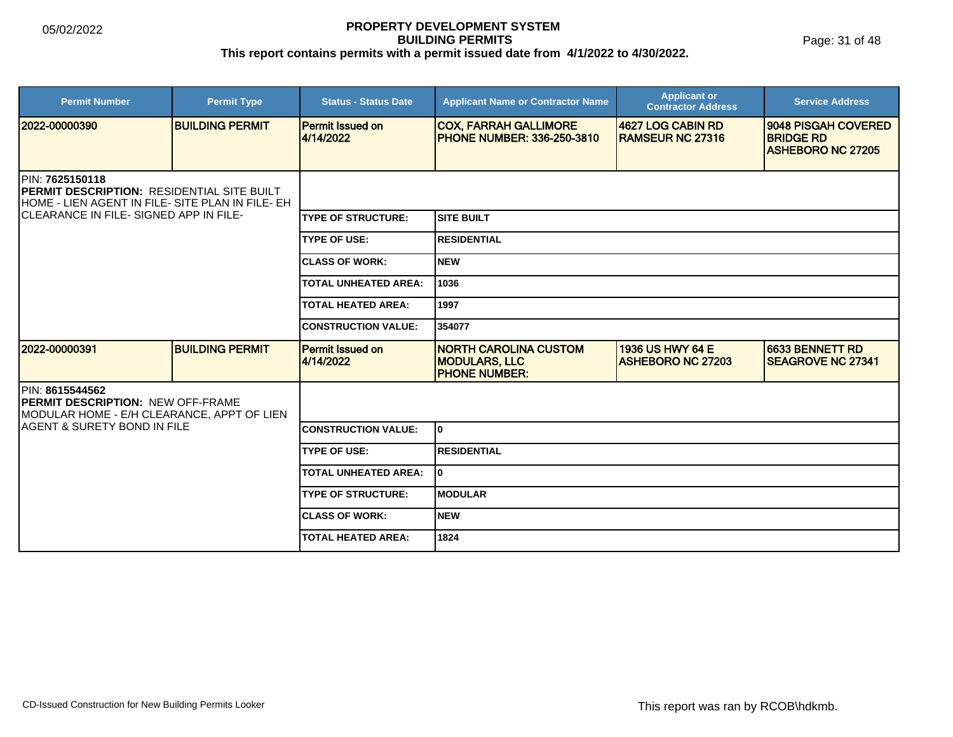| <b>Permit Number</b>                                                                                                                                         | <b>Permit Type</b>     | <b>Status - Status Date</b>          | <b>Applicant Name or Contractor Name</b>                                     | <b>Applicant or</b><br><b>Contractor Address</b> | <b>Service Address</b>                                              |  |
|--------------------------------------------------------------------------------------------------------------------------------------------------------------|------------------------|--------------------------------------|------------------------------------------------------------------------------|--------------------------------------------------|---------------------------------------------------------------------|--|
| 2022-00000390                                                                                                                                                | <b>BUILDING PERMIT</b> | <b>Permit Issued on</b><br>4/14/2022 | <b>COX, FARRAH GALLIMORE</b><br><b>PHONE NUMBER: 336-250-3810</b>            | 4627 LOG CABIN RD<br><b>RAMSEUR NC 27316</b>     | 9048 PISGAH COVERED<br><b>BRIDGE RD</b><br><b>ASHEBORO NC 27205</b> |  |
| PIN: 7625150118<br>PERMIT DESCRIPTION: RESIDENTIAL SITE BUILT<br>HOME - LIEN AGENT IN FILE- SITE PLAN IN FILE- EH<br>ICLEARANCE IN FILE- SIGNED APP IN FILE- |                        |                                      |                                                                              |                                                  |                                                                     |  |
|                                                                                                                                                              |                        | <b>TYPE OF STRUCTURE:</b>            | <b>SITE BUILT</b>                                                            |                                                  |                                                                     |  |
|                                                                                                                                                              |                        | <b>TYPE OF USE:</b>                  | <b>RESIDENTIAL</b>                                                           |                                                  |                                                                     |  |
|                                                                                                                                                              |                        | <b>CLASS OF WORK:</b>                | <b>NEW</b>                                                                   |                                                  |                                                                     |  |
|                                                                                                                                                              |                        | <b>TOTAL UNHEATED AREA:</b>          | 1036                                                                         |                                                  |                                                                     |  |
|                                                                                                                                                              |                        | <b>TOTAL HEATED AREA:</b>            | 1997                                                                         |                                                  |                                                                     |  |
|                                                                                                                                                              |                        | <b>CONSTRUCTION VALUE:</b>           | 354077                                                                       |                                                  |                                                                     |  |
| 12022-00000391                                                                                                                                               | <b>BUILDING PERMIT</b> | <b>Permit Issued on</b><br>4/14/2022 | <b>NORTH CAROLINA CUSTOM</b><br><b>MODULARS, LLC</b><br><b>PHONE NUMBER:</b> | 1936 US HWY 64 E<br><b>ASHEBORO NC 27203</b>     | 6633 BENNETT RD<br><b>SEAGROVE NC 27341</b>                         |  |
| PIN: 8615544562<br><b>PERMIT DESCRIPTION: NEW OFF-FRAME</b><br>MODULAR HOME - E/H CLEARANCE, APPT OF LIEN                                                    |                        |                                      |                                                                              |                                                  |                                                                     |  |
| IAGENT & SURETY BOND IN FILE                                                                                                                                 |                        | <b>CONSTRUCTION VALUE:</b>           | l0.                                                                          |                                                  |                                                                     |  |
|                                                                                                                                                              |                        | <b>TYPE OF USE:</b>                  | <b>RESIDENTIAL</b>                                                           |                                                  |                                                                     |  |
|                                                                                                                                                              |                        | <b>TOTAL UNHEATED AREA:</b>          | $\mathbf 0$                                                                  |                                                  |                                                                     |  |
|                                                                                                                                                              |                        | <b>TYPE OF STRUCTURE:</b>            | <b>MODULAR</b>                                                               |                                                  |                                                                     |  |
|                                                                                                                                                              |                        | <b>ICLASS OF WORK:</b>               | <b>NEW</b>                                                                   |                                                  |                                                                     |  |
|                                                                                                                                                              |                        | <b>TOTAL HEATED AREA:</b>            | 1824                                                                         |                                                  |                                                                     |  |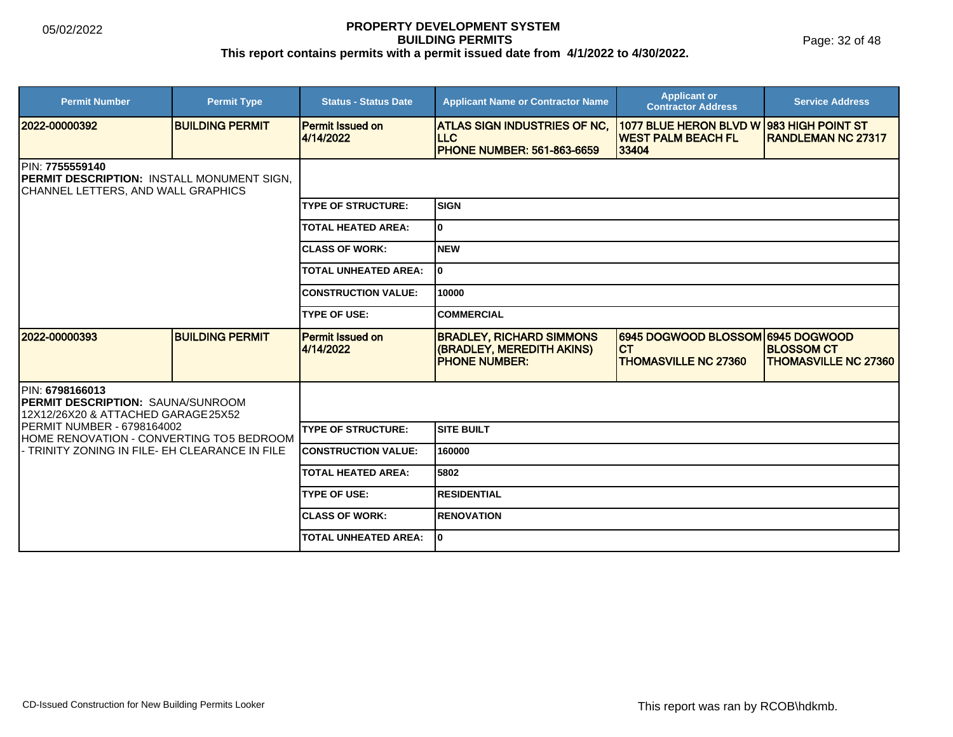Page: 32 of 48

| <b>Permit Number</b>                                                                                       | <b>Permit Type</b>     | <b>Status - Status Date</b>          | <b>Applicant Name or Contractor Name</b>                                              | <b>Applicant or</b><br><b>Contractor Address</b>                              | <b>Service Address</b>                           |  |
|------------------------------------------------------------------------------------------------------------|------------------------|--------------------------------------|---------------------------------------------------------------------------------------|-------------------------------------------------------------------------------|--------------------------------------------------|--|
| 12022-00000392                                                                                             | <b>BUILDING PERMIT</b> | <b>Permit Issued on</b><br>4/14/2022 | ATLAS SIGN INDUSTRIES OF NC,<br>ILLC.<br><b>PHONE NUMBER: 561-863-6659</b>            | 1077 BLUE HERON BLVD W<br><b>IWEST PALM BEACH FL</b><br>33404                 | 983 HIGH POINT ST<br><b>RANDLEMAN NC 27317</b>   |  |
| PIN: 7755559140<br>PERMIT DESCRIPTION: INSTALL MONUMENT SIGN,<br><b>CHANNEL LETTERS, AND WALL GRAPHICS</b> |                        |                                      |                                                                                       |                                                                               |                                                  |  |
|                                                                                                            |                        | <b>TYPE OF STRUCTURE:</b>            | <b>SIGN</b>                                                                           |                                                                               |                                                  |  |
|                                                                                                            |                        | <b>TOTAL HEATED AREA:</b>            | lo.                                                                                   |                                                                               |                                                  |  |
|                                                                                                            |                        | <b>CLASS OF WORK:</b>                | <b>NEW</b>                                                                            |                                                                               |                                                  |  |
|                                                                                                            |                        | <b>TOTAL UNHEATED AREA:</b>          | I٥                                                                                    |                                                                               |                                                  |  |
|                                                                                                            |                        | <b>CONSTRUCTION VALUE:</b>           | 10000                                                                                 |                                                                               |                                                  |  |
|                                                                                                            |                        | <b>TYPE OF USE:</b>                  | ICOMMERCIAL                                                                           |                                                                               |                                                  |  |
| 12022-00000393                                                                                             | <b>BUILDING PERMIT</b> | <b>Permit Issued on</b><br>4/14/2022 | <b>BRADLEY, RICHARD SIMMONS</b><br>(BRADLEY, MEREDITH AKINS)<br><b>IPHONE NUMBER:</b> | 6945 DOGWOOD BLOSSOM 6945 DOGWOOD<br><b>CT</b><br><b>THOMASVILLE NC 27360</b> | <b>BLOSSOM CT</b><br><b>THOMASVILLE NC 27360</b> |  |
| PIN: 6798166013<br><b>PERMIT DESCRIPTION: SAUNA/SUNROOM</b><br>12X12/26X20 & ATTACHED GARAGE25X52          |                        |                                      |                                                                                       |                                                                               |                                                  |  |
| <b>PERMIT NUMBER - 6798164002</b><br>HOME RENOVATION - CONVERTING TO5 BEDROOM                              |                        | <b>TYPE OF STRUCTURE:</b>            | Isite built                                                                           |                                                                               |                                                  |  |
| - TRINITY ZONING IN FILE- EH CLEARANCE IN FILE                                                             |                        | <b>CONSTRUCTION VALUE:</b>           | 160000                                                                                |                                                                               |                                                  |  |
|                                                                                                            |                        | <b>TOTAL HEATED AREA:</b>            | 5802                                                                                  |                                                                               |                                                  |  |
|                                                                                                            |                        | <b>TYPE OF USE:</b>                  | <b>RESIDENTIAL</b>                                                                    |                                                                               |                                                  |  |
|                                                                                                            |                        | <b>CLASS OF WORK:</b>                | <b>RENOVATION</b>                                                                     |                                                                               |                                                  |  |
|                                                                                                            |                        | <b>TOTAL UNHEATED AREA:</b>          | I٥                                                                                    |                                                                               |                                                  |  |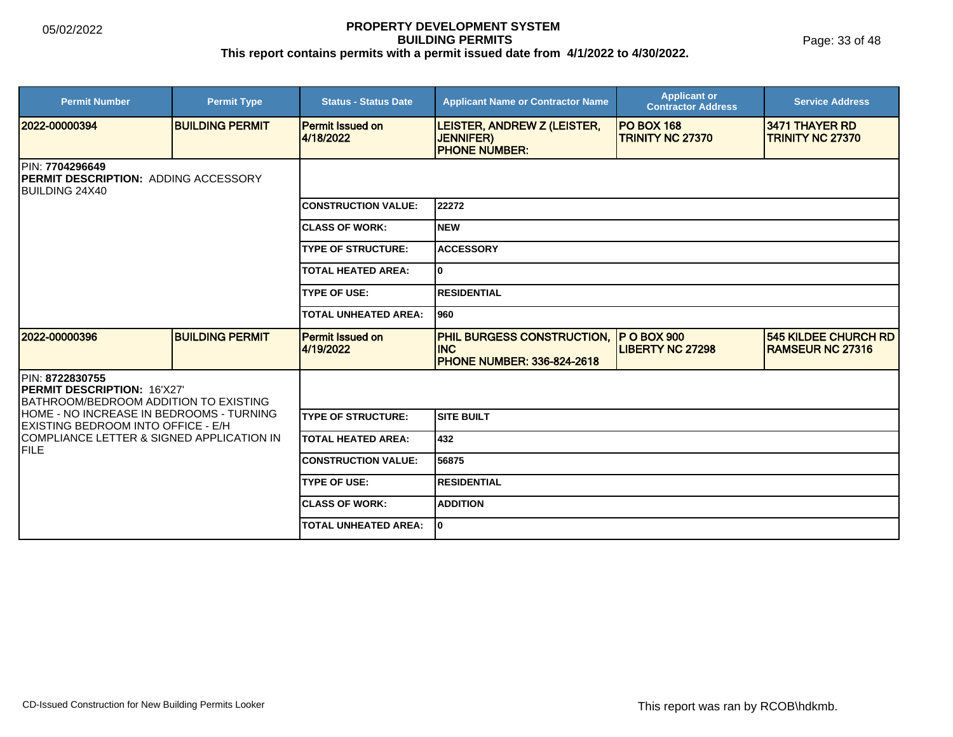Page: 33 of 48

| <b>Permit Number</b>                                                                                   | <b>Permit Type</b>     | <b>Status - Status Date</b>          | <b>Applicant Name or Contractor Name</b>                                             | <b>Applicant or</b><br><b>Contractor Address</b> | <b>Service Address</b>                                 |  |
|--------------------------------------------------------------------------------------------------------|------------------------|--------------------------------------|--------------------------------------------------------------------------------------|--------------------------------------------------|--------------------------------------------------------|--|
| 2022-00000394                                                                                          | <b>BUILDING PERMIT</b> | <b>Permit Issued on</b><br>4/18/2022 | LEISTER, ANDREW Z (LEISTER,<br><b>JENNIFER)</b><br><b>PHONE NUMBER:</b>              | <b>PO BOX 168</b><br><b>TRINITY NC 27370</b>     | 3471 THAYER RD<br><b>TRINITY NC 27370</b>              |  |
| <b>IPIN: 7704296649</b><br><b>IPERMIT DESCRIPTION: ADDING ACCESSORY</b><br><b>BUILDING 24X40</b>       |                        |                                      |                                                                                      |                                                  |                                                        |  |
|                                                                                                        |                        | <b>CONSTRUCTION VALUE:</b>           | 22272                                                                                |                                                  |                                                        |  |
|                                                                                                        |                        | <b>ICLASS OF WORK:</b>               | INEW                                                                                 |                                                  |                                                        |  |
|                                                                                                        |                        | <b>TYPE OF STRUCTURE:</b>            | <b>ACCESSORY</b>                                                                     |                                                  |                                                        |  |
|                                                                                                        |                        | <b>TOTAL HEATED AREA:</b>            | lo.                                                                                  |                                                  |                                                        |  |
|                                                                                                        |                        | <b>TYPE OF USE:</b>                  | IRESIDENTIAL                                                                         |                                                  |                                                        |  |
|                                                                                                        |                        | <b>TOTAL UNHEATED AREA:</b>          | l960                                                                                 |                                                  |                                                        |  |
| 2022-00000396                                                                                          | <b>BUILDING PERMIT</b> | <b>Permit Issued on</b><br>4/19/2022 | <b>PHIL BURGESS CONSTRUCTION,</b><br><b>INC</b><br><b>PHONE NUMBER: 336-824-2618</b> | <b>P O BOX 900</b><br><b>LIBERTY NC 27298</b>    | <b>545 KILDEE CHURCH RD</b><br><b>RAMSEUR NC 27316</b> |  |
| <b>IPIN: 8722830755</b><br><b>PERMIT DESCRIPTION: 16'X27'</b><br>BATHROOM/BEDROOM ADDITION TO EXISTING |                        |                                      |                                                                                      |                                                  |                                                        |  |
| HOME - NO INCREASE IN BEDROOMS - TURNING<br>EXISTING BEDROOM INTO OFFICE - E/H                         |                        | <b>TYPE OF STRUCTURE:</b>            | Isite built                                                                          |                                                  |                                                        |  |
| COMPLIANCE LETTER & SIGNED APPLICATION IN<br>IFILE                                                     |                        | <b>TOTAL HEATED AREA:</b>            | 432                                                                                  |                                                  |                                                        |  |
|                                                                                                        |                        | <b>CONSTRUCTION VALUE:</b>           | 56875                                                                                |                                                  |                                                        |  |
|                                                                                                        |                        | <b>TYPE OF USE:</b>                  | IRESIDENTIAL                                                                         |                                                  |                                                        |  |
|                                                                                                        |                        | <b>CLASS OF WORK:</b>                | <b>ADDITION</b>                                                                      |                                                  |                                                        |  |
|                                                                                                        |                        | <b>TOTAL UNHEATED AREA:</b>          | I٥                                                                                   |                                                  |                                                        |  |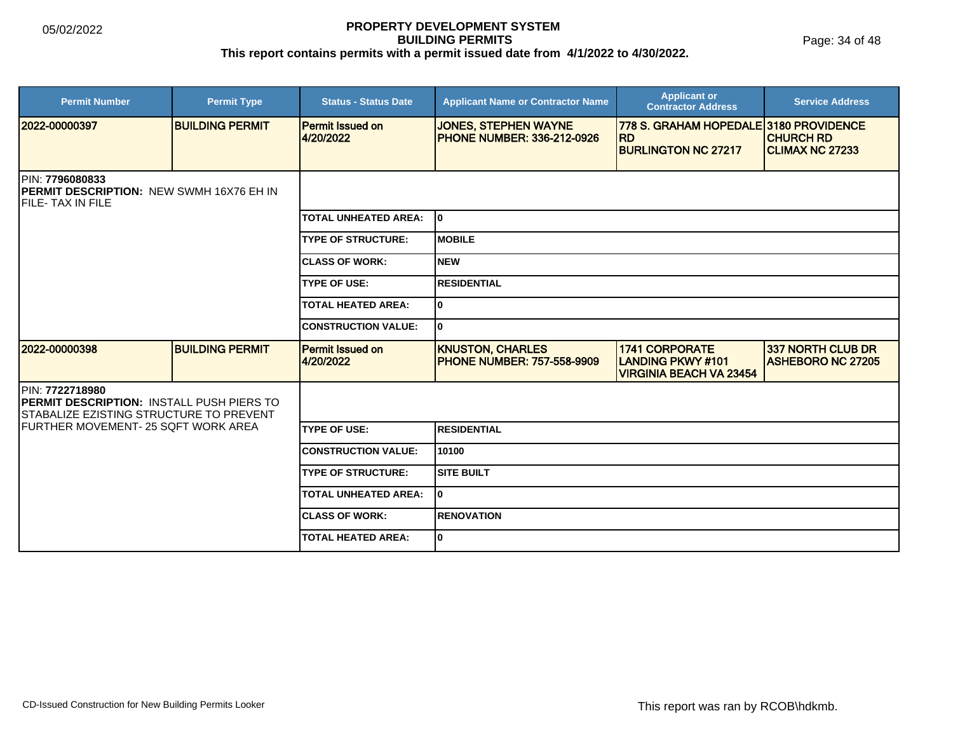Page: 34 of 48

| <b>Permit Number</b>                                                                                           | <b>Permit Type</b>     | <b>Status - Status Date</b>          | <b>Applicant Name or Contractor Name</b>                         | <b>Applicant or</b><br><b>Contractor Address</b>                                   | <b>Service Address</b>                        |  |  |
|----------------------------------------------------------------------------------------------------------------|------------------------|--------------------------------------|------------------------------------------------------------------|------------------------------------------------------------------------------------|-----------------------------------------------|--|--|
| 2022-00000397                                                                                                  | <b>BUILDING PERMIT</b> | <b>Permit Issued on</b><br>4/20/2022 | <b>JONES, STEPHEN WAYNE</b><br><b>PHONE NUMBER: 336-212-0926</b> | 778 S. GRAHAM HOPEDALE 3180 PROVIDENCE<br><b>RD</b><br><b>BURLINGTON NC 27217</b>  | <b>CHURCH RD</b><br><b>CLIMAX NC 27233</b>    |  |  |
|                                                                                                                |                        |                                      |                                                                  |                                                                                    |                                               |  |  |
| PIN: 7796080833<br>PERMIT DESCRIPTION: NEW SWMH 16X76 EH IN<br><b>IFILE- TAX IN FILE</b>                       |                        |                                      |                                                                  |                                                                                    |                                               |  |  |
|                                                                                                                |                        | <b>TOTAL UNHEATED AREA:</b>          | lo.                                                              |                                                                                    |                                               |  |  |
|                                                                                                                |                        | <b>TYPE OF STRUCTURE:</b>            | <b>MOBILE</b>                                                    |                                                                                    |                                               |  |  |
|                                                                                                                |                        | <b>CLASS OF WORK:</b>                | <b>NEW</b>                                                       |                                                                                    |                                               |  |  |
|                                                                                                                |                        | <b>TYPE OF USE:</b>                  | <b>RESIDENTIAL</b>                                               |                                                                                    |                                               |  |  |
|                                                                                                                |                        | <b>TOTAL HEATED AREA:</b>            | $\bf{0}$                                                         |                                                                                    |                                               |  |  |
|                                                                                                                |                        | <b>CONSTRUCTION VALUE:</b>           | 10                                                               |                                                                                    |                                               |  |  |
| 2022-00000398                                                                                                  | <b>BUILDING PERMIT</b> | Permit Issued on<br>4/20/2022        | <b>KNUSTON, CHARLES</b><br><b>PHONE NUMBER: 757-558-9909</b>     | <b>1741 CORPORATE</b><br><b>LANDING PKWY#101</b><br><b>VIRGINIA BEACH VA 23454</b> | 337 NORTH CLUB DR<br><b>ASHEBORO NC 27205</b> |  |  |
| PIN: 7722718980<br>PERMIT DESCRIPTION: INSTALL PUSH PIERS TO<br><b>STABALIZE EZISTING STRUCTURE TO PREVENT</b> |                        |                                      |                                                                  |                                                                                    |                                               |  |  |
| IFURTHER MOVEMENT- 25 SQFT WORK AREA                                                                           |                        | <b>TYPE OF USE:</b>                  | <b>RESIDENTIAL</b>                                               |                                                                                    |                                               |  |  |
|                                                                                                                |                        | <b>CONSTRUCTION VALUE:</b>           | 10100                                                            |                                                                                    |                                               |  |  |
|                                                                                                                |                        | <b>TYPE OF STRUCTURE:</b>            | <b>SITE BUILT</b>                                                |                                                                                    |                                               |  |  |
|                                                                                                                |                        | <b>TOTAL UNHEATED AREA:</b>          | I٥                                                               |                                                                                    |                                               |  |  |
|                                                                                                                |                        | <b>ICLASS OF WORK:</b>               | <b>RENOVATION</b>                                                |                                                                                    |                                               |  |  |
|                                                                                                                |                        | <b>TOTAL HEATED AREA:</b>            | 10                                                               |                                                                                    |                                               |  |  |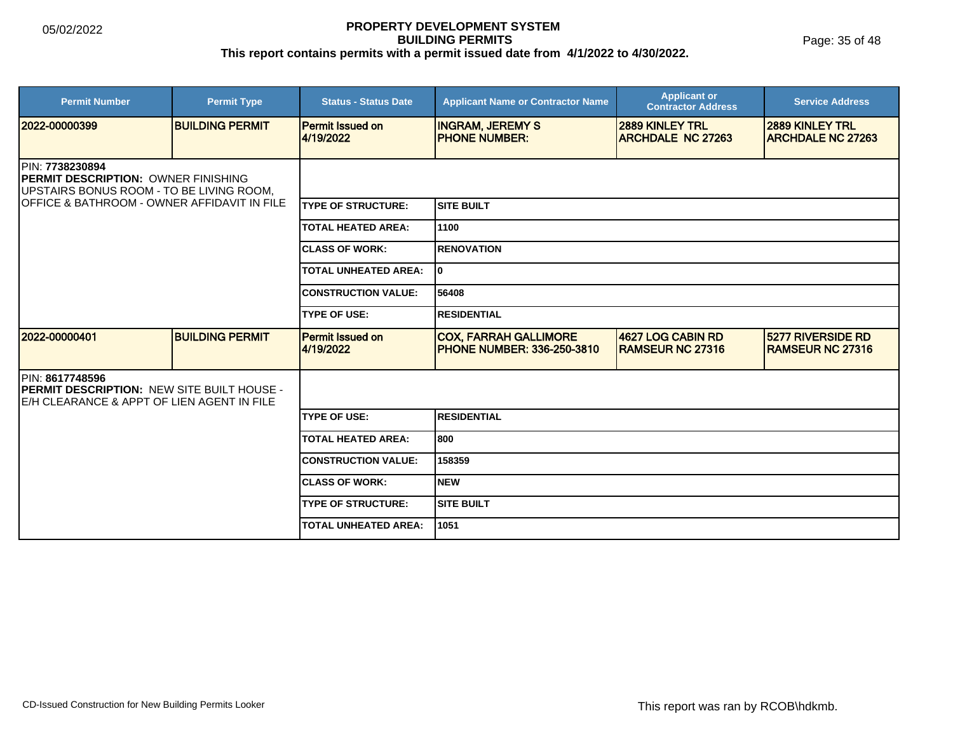Page: 35 of 48

| <b>Permit Number</b>                                                                                                                                                          | <b>Permit Type</b>     | <b>Status - Status Date</b>          | <b>Applicant Name or Contractor Name</b>                   | <b>Applicant or</b><br><b>Contractor Address</b> | <b>Service Address</b>                              |  |  |
|-------------------------------------------------------------------------------------------------------------------------------------------------------------------------------|------------------------|--------------------------------------|------------------------------------------------------------|--------------------------------------------------|-----------------------------------------------------|--|--|
| 2022-00000399                                                                                                                                                                 | <b>BUILDING PERMIT</b> | Permit Issued on<br>4/19/2022        | <b>INGRAM, JEREMY S</b><br><b>PHONE NUMBER:</b>            | 2889 KINLEY TRL<br><b>ARCHDALE NC 27263</b>      | <b>2889 KINLEY TRL</b><br><b>ARCHDALE NC 27263</b>  |  |  |
| PIN: 7738230894<br><b>IPERMIT DESCRIPTION: OWNER FINISHING</b><br><b>JUPSTAIRS BONUS ROOM - TO BE LIVING ROOM.</b><br><b>IOFFICE &amp; BATHROOM - OWNER AFFIDAVIT IN FILE</b> |                        |                                      |                                                            |                                                  |                                                     |  |  |
|                                                                                                                                                                               |                        | <b>ITYPE OF STRUCTURE:</b>           | <b>SITE BUILT</b>                                          |                                                  |                                                     |  |  |
|                                                                                                                                                                               |                        | <b>TOTAL HEATED AREA:</b>            | 1100                                                       |                                                  |                                                     |  |  |
|                                                                                                                                                                               |                        | <b>ICLASS OF WORK:</b>               | <b>RENOVATION</b>                                          |                                                  |                                                     |  |  |
|                                                                                                                                                                               |                        | <b>TOTAL UNHEATED AREA:</b>          | I٥                                                         |                                                  |                                                     |  |  |
|                                                                                                                                                                               |                        | <b>CONSTRUCTION VALUE:</b>           | 56408                                                      |                                                  |                                                     |  |  |
|                                                                                                                                                                               |                        | <b>TYPE OF USE:</b>                  | <b>RESIDENTIAL</b>                                         |                                                  |                                                     |  |  |
| 2022-00000401                                                                                                                                                                 | <b>BUILDING PERMIT</b> | <b>Permit Issued on</b><br>4/19/2022 | <b>COX, FARRAH GALLIMORE</b><br>PHONE NUMBER: 336-250-3810 | 4627 LOG CABIN RD<br><b>RAMSEUR NC 27316</b>     | <b>5277 RIVERSIDE RD</b><br><b>RAMSEUR NC 27316</b> |  |  |
| PIN: 8617748596<br><b>IPERMIT DESCRIPTION: NEW SITE BUILT HOUSE -</b><br>E/H CLEARANCE & APPT OF LIEN AGENT IN FILE                                                           |                        |                                      |                                                            |                                                  |                                                     |  |  |
|                                                                                                                                                                               |                        | <b>TYPE OF USE:</b>                  | <b>RESIDENTIAL</b>                                         |                                                  |                                                     |  |  |
|                                                                                                                                                                               |                        | <b>TOTAL HEATED AREA:</b>            | 800                                                        |                                                  |                                                     |  |  |
|                                                                                                                                                                               |                        | <b>CONSTRUCTION VALUE:</b>           | 158359                                                     |                                                  |                                                     |  |  |
|                                                                                                                                                                               |                        | <b>CLASS OF WORK:</b>                | <b>NEW</b>                                                 |                                                  |                                                     |  |  |
|                                                                                                                                                                               |                        | <b>TYPE OF STRUCTURE:</b>            | <b>SITE BUILT</b>                                          |                                                  |                                                     |  |  |
|                                                                                                                                                                               |                        | <b>TOTAL UNHEATED AREA:</b>          | 1051                                                       |                                                  |                                                     |  |  |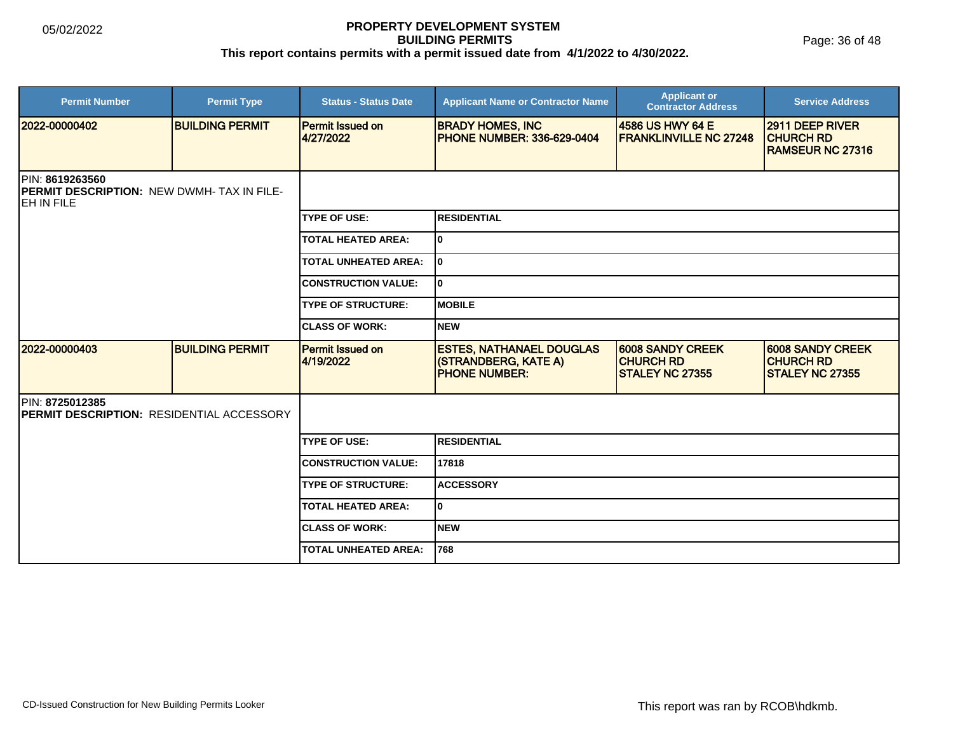| <b>Permit Number</b>                                                               | <b>Permit Type</b>     | <b>Status - Status Date</b>          | <b>Applicant Name or Contractor Name</b>                                        | <b>Applicant or</b><br><b>Contractor Address</b>                      | <b>Service Address</b>                                                |
|------------------------------------------------------------------------------------|------------------------|--------------------------------------|---------------------------------------------------------------------------------|-----------------------------------------------------------------------|-----------------------------------------------------------------------|
| 2022-00000402                                                                      | <b>BUILDING PERMIT</b> | <b>Permit Issued on</b><br>4/27/2022 | <b>BRADY HOMES, INC</b><br><b>PHONE NUMBER: 336-629-0404</b>                    | 14586 US HWY 64 E<br><b>FRANKLINVILLE NC 27248</b>                    | 2911 DEEP RIVER<br><b>CHURCH RD</b><br><b>RAMSEUR NC 27316</b>        |
| PIN: 8619263560<br><b>PERMIT DESCRIPTION: NEW DWMH-TAX IN FILE-</b><br>IEH IN FILE |                        |                                      |                                                                                 |                                                                       |                                                                       |
|                                                                                    |                        | <b>TYPE OF USE:</b>                  | <b>RESIDENTIAL</b>                                                              |                                                                       |                                                                       |
|                                                                                    |                        | <b>TOTAL HEATED AREA:</b>            | 10                                                                              |                                                                       |                                                                       |
|                                                                                    |                        | <b>TOTAL UNHEATED AREA:</b>          | lo.                                                                             |                                                                       |                                                                       |
|                                                                                    |                        | <b>CONSTRUCTION VALUE:</b>           | I٥                                                                              |                                                                       |                                                                       |
|                                                                                    |                        | <b>TYPE OF STRUCTURE:</b>            | <b>MOBILE</b>                                                                   |                                                                       |                                                                       |
|                                                                                    |                        | <b>CLASS OF WORK:</b>                | <b>NEW</b>                                                                      |                                                                       |                                                                       |
| 2022-00000403                                                                      | <b>BUILDING PERMIT</b> | <b>Permit Issued on</b><br>4/19/2022 | <b>ESTES, NATHANAEL DOUGLAS</b><br>(STRANDBERG, KATE A)<br><b>PHONE NUMBER:</b> | <b>6008 SANDY CREEK</b><br><b>CHURCH RD</b><br><b>STALEY NC 27355</b> | <b>6008 SANDY CREEK</b><br><b>CHURCH RD</b><br><b>STALEY NC 27355</b> |
| PIN: 8725012385<br>PERMIT DESCRIPTION: RESIDENTIAL ACCESSORY                       |                        |                                      |                                                                                 |                                                                       |                                                                       |
|                                                                                    |                        | <b>TYPE OF USE:</b>                  | <b>RESIDENTIAL</b>                                                              |                                                                       |                                                                       |
|                                                                                    |                        | <b>CONSTRUCTION VALUE:</b>           | 17818                                                                           |                                                                       |                                                                       |
|                                                                                    |                        | <b>TYPE OF STRUCTURE:</b>            | <b>ACCESSORY</b>                                                                |                                                                       |                                                                       |
|                                                                                    |                        | <b>TOTAL HEATED AREA:</b>            | I٥                                                                              |                                                                       |                                                                       |
|                                                                                    |                        | <b>CLASS OF WORK:</b>                | <b>NEW</b>                                                                      |                                                                       |                                                                       |
|                                                                                    |                        | <b>TOTAL UNHEATED AREA:</b>          | 768                                                                             |                                                                       |                                                                       |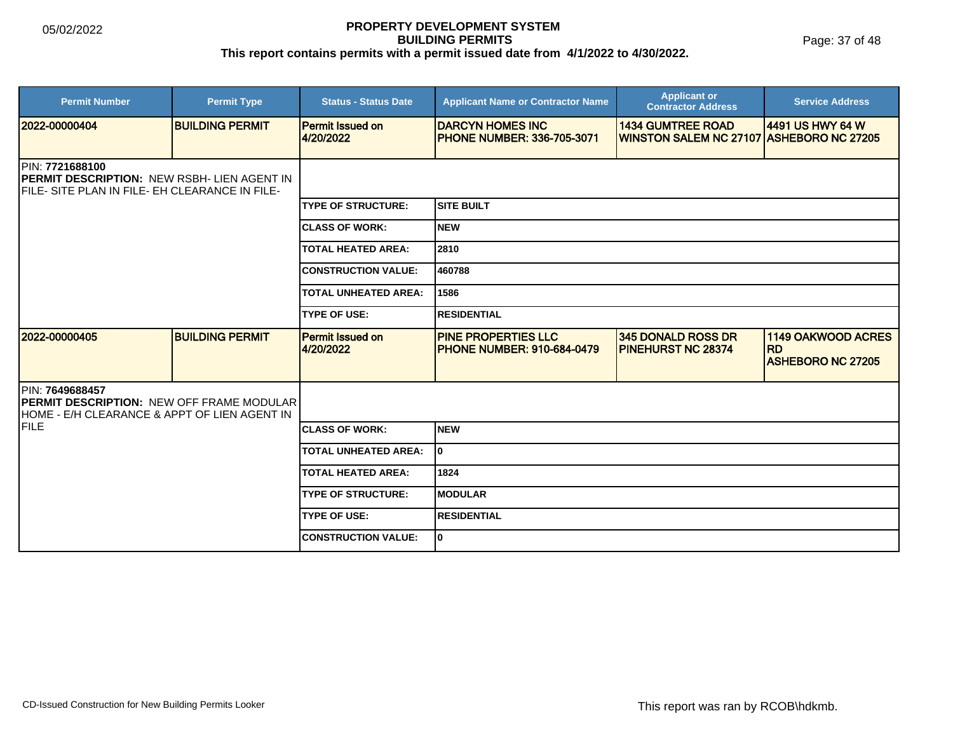Page: 37 of 48

| <b>Permit Number</b>                                                                                                            | <b>Permit Type</b>     | <b>Status - Status Date</b>          | <b>Applicant Name or Contractor Name</b>                      | <b>Applicant or</b><br><b>Contractor Address</b>                     | <b>Service Address</b>                                      |  |
|---------------------------------------------------------------------------------------------------------------------------------|------------------------|--------------------------------------|---------------------------------------------------------------|----------------------------------------------------------------------|-------------------------------------------------------------|--|
| 2022-00000404                                                                                                                   | <b>BUILDING PERMIT</b> | <b>Permit Issued on</b><br>4/20/2022 | <b>DARCYN HOMES INC</b><br><b>IPHONE NUMBER: 336-705-3071</b> | <b>1434 GUMTREE ROAD</b><br>WINSTON SALEM NC 27107 ASHEBORO NC 27205 | 4491 US HWY 64 W                                            |  |
| <b>IPIN: 7721688100</b><br><b>PERMIT DESCRIPTION: NEW RSBH- LIEN AGENT IN</b><br>FILE- SITE PLAN IN FILE- EH CLEARANCE IN FILE- |                        |                                      |                                                               |                                                                      |                                                             |  |
|                                                                                                                                 |                        | <b>ITYPE OF STRUCTURE:</b>           | Isite built                                                   |                                                                      |                                                             |  |
|                                                                                                                                 |                        | <b>ICLASS OF WORK:</b>               | Inew                                                          |                                                                      |                                                             |  |
|                                                                                                                                 |                        | <b>TOTAL HEATED AREA:</b>            | 2810                                                          |                                                                      |                                                             |  |
|                                                                                                                                 |                        | <b>CONSTRUCTION VALUE:</b>           | 460788                                                        |                                                                      |                                                             |  |
|                                                                                                                                 |                        | <b>TOTAL UNHEATED AREA:</b>          | 1586                                                          |                                                                      |                                                             |  |
|                                                                                                                                 |                        | <b>TYPE OF USE:</b>                  | <b>RESIDENTIAL</b>                                            |                                                                      |                                                             |  |
| 2022-00000405                                                                                                                   | <b>BUILDING PERMIT</b> | <b>Permit Issued on</b><br>4/20/2022 | <b>PINE PROPERTIES LLC</b><br>PHONE NUMBER: 910-684-0479      | 345 DONALD ROSS DR<br><b>PINEHURST NC 28374</b>                      | 1149 OAKWOOD ACRES<br><b>RD</b><br><b>ASHEBORO NC 27205</b> |  |
| <b>PIN: 7649688457</b><br><b>PERMIT DESCRIPTION: NEW OFF FRAME MODULAR</b><br>HOME - E/H CLEARANCE & APPT OF LIEN AGENT IN      |                        |                                      |                                                               |                                                                      |                                                             |  |
| <b>FILE</b>                                                                                                                     |                        | <b>ICLASS OF WORK:</b>               | Inew                                                          |                                                                      |                                                             |  |
|                                                                                                                                 |                        | <b>TOTAL UNHEATED AREA:</b>          | I٥                                                            |                                                                      |                                                             |  |
|                                                                                                                                 |                        | <b>TOTAL HEATED AREA:</b>            | 1824                                                          |                                                                      |                                                             |  |
|                                                                                                                                 |                        | <b>TYPE OF STRUCTURE:</b>            | <b>IMODULAR</b>                                               |                                                                      |                                                             |  |
|                                                                                                                                 |                        | <b>TYPE OF USE:</b>                  | <b>RESIDENTIAL</b>                                            |                                                                      |                                                             |  |
|                                                                                                                                 |                        | <b>ICONSTRUCTION VALUE:</b>          | I٥                                                            |                                                                      |                                                             |  |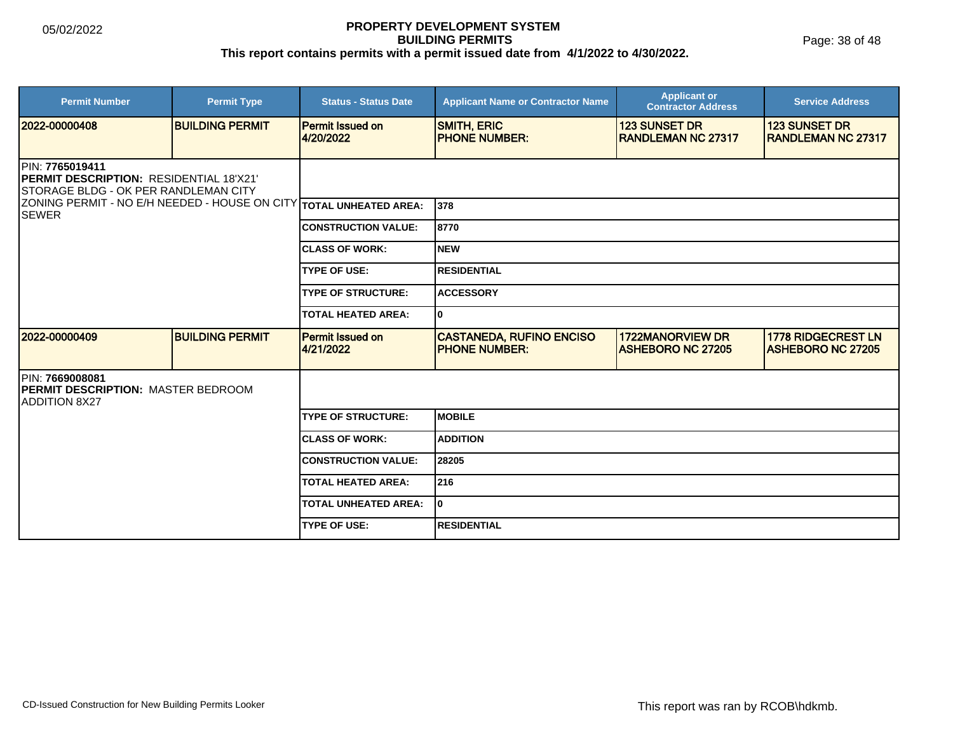| <b>Permit Number</b>                                                                                                       | <b>Permit Type</b>     | <b>Status - Status Date</b>          | <b>Applicant Name or Contractor Name</b>                 | <b>Applicant or</b><br><b>Contractor Address</b>   | <b>Service Address</b>                                |  |
|----------------------------------------------------------------------------------------------------------------------------|------------------------|--------------------------------------|----------------------------------------------------------|----------------------------------------------------|-------------------------------------------------------|--|
| 12022-00000408                                                                                                             | <b>BUILDING PERMIT</b> | <b>Permit Issued on</b><br>4/20/2022 | <b>SMITH, ERIC</b><br><b>PHONE NUMBER:</b>               | <b>123 SUNSET DR</b><br><b>IRANDLEMAN NC 27317</b> | <b>123 SUNSET DR</b><br><b>IRANDLEMAN NC 27317</b>    |  |
| <b>IPIN: 7765019411</b><br><b>IPERMIT DESCRIPTION: RESIDENTIAL 18'X21'</b><br><b>ISTORAGE BLDG - OK PER RANDLEMAN CITY</b> |                        |                                      |                                                          |                                                    |                                                       |  |
| ZONING PERMIT - NO E/H NEEDED - HOUSE ON CITY TOTAL UNHEATED AREA:<br><b>ISEWER</b>                                        |                        |                                      | 1378                                                     |                                                    |                                                       |  |
|                                                                                                                            |                        | <b>CONSTRUCTION VALUE:</b>           | 8770                                                     |                                                    |                                                       |  |
|                                                                                                                            |                        | <b>CLASS OF WORK:</b>                | Inew                                                     |                                                    |                                                       |  |
|                                                                                                                            |                        | <b>TYPE OF USE:</b>                  | <b>RESIDENTIAL</b>                                       |                                                    |                                                       |  |
|                                                                                                                            |                        | <b>TYPE OF STRUCTURE:</b>            | <b>ACCESSORY</b>                                         |                                                    |                                                       |  |
|                                                                                                                            |                        | <b>TOTAL HEATED AREA:</b>            | I٥                                                       |                                                    |                                                       |  |
| 12022-00000409                                                                                                             | <b>BUILDING PERMIT</b> | <b>Permit Issued on</b><br>4/21/2022 | <b>CASTANEDA, RUFINO ENCISO</b><br><b>IPHONE NUMBER:</b> | 1722MANORVIEW DR<br><b>ASHEBORO NC 27205</b>       | <b>1778 RIDGECREST LN</b><br><b>ASHEBORO NC 27205</b> |  |
| <b>IPIN: 7669008081</b><br><b>IPERMIT DESCRIPTION: MASTER BEDROOM</b><br><b>ADDITION 8X27</b>                              |                        |                                      |                                                          |                                                    |                                                       |  |
|                                                                                                                            |                        | <b>TYPE OF STRUCTURE:</b>            | IMOBILE                                                  |                                                    |                                                       |  |
|                                                                                                                            |                        | <b>CLASS OF WORK:</b>                | <b>ADDITION</b>                                          |                                                    |                                                       |  |
|                                                                                                                            |                        | <b>CONSTRUCTION VALUE:</b>           | 28205                                                    |                                                    |                                                       |  |
|                                                                                                                            |                        | <b>TOTAL HEATED AREA:</b>            | 216                                                      |                                                    |                                                       |  |
|                                                                                                                            |                        | <b>TOTAL UNHEATED AREA:</b>          | I٥                                                       |                                                    |                                                       |  |
|                                                                                                                            |                        | <b>TYPE OF USE:</b>                  | <b>RESIDENTIAL</b>                                       |                                                    |                                                       |  |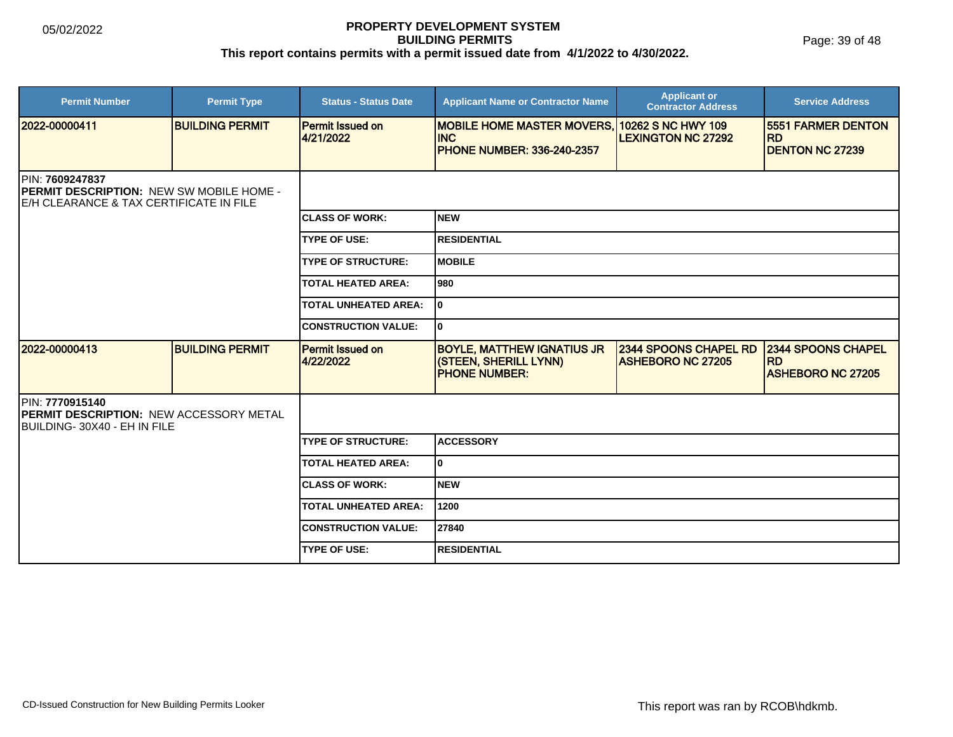Page: 39 of 48

| <b>Permit Number</b>                                                                                    | <b>Permit Type</b>     | <b>Status - Status Date</b>          | <b>Applicant Name or Contractor Name</b>                                                         | <b>Applicant or</b><br><b>Contractor Address</b>         | <b>Service Address</b>                                             |  |
|---------------------------------------------------------------------------------------------------------|------------------------|--------------------------------------|--------------------------------------------------------------------------------------------------|----------------------------------------------------------|--------------------------------------------------------------------|--|
| 2022-00000411                                                                                           | <b>BUILDING PERMIT</b> | <b>Permit Issued on</b><br>4/21/2022 | MOBILE HOME MASTER MOVERS, 10262 S NC HWY 109<br><b>INC</b><br><b>PHONE NUMBER: 336-240-2357</b> | <b>LEXINGTON NC 27292</b>                                | <b>5551 FARMER DENTON</b><br><b>RD</b><br><b>DENTON NC 27239</b>   |  |
| PIN: 7609247837<br>PERMIT DESCRIPTION: NEW SW MOBILE HOME -<br>IE/H CLEARANCE & TAX CERTIFICATE IN FILE |                        |                                      |                                                                                                  |                                                          |                                                                    |  |
|                                                                                                         |                        | <b>CLASS OF WORK:</b>                | Inew                                                                                             |                                                          |                                                                    |  |
|                                                                                                         |                        | <b>TYPE OF USE:</b>                  | <b>RESIDENTIAL</b>                                                                               |                                                          |                                                                    |  |
|                                                                                                         |                        | <b>TYPE OF STRUCTURE:</b>            | <b>MOBILE</b>                                                                                    |                                                          |                                                                    |  |
|                                                                                                         |                        | <b>TOTAL HEATED AREA:</b>            | l980                                                                                             |                                                          |                                                                    |  |
|                                                                                                         |                        | <b>TOTAL UNHEATED AREA:</b>          | I٥                                                                                               |                                                          |                                                                    |  |
|                                                                                                         |                        | <b>CONSTRUCTION VALUE:</b>           | I٥                                                                                               |                                                          |                                                                    |  |
| 2022-00000413                                                                                           | <b>BUILDING PERMIT</b> | Permit Issued on<br>4/22/2022        | <b>BOYLE, MATTHEW IGNATIUS JR</b><br>(STEEN, SHERILL LYNN)<br><b>PHONE NUMBER:</b>               | <b>2344 SPOONS CHAPEL RD</b><br><b>ASHEBORO NC 27205</b> | <b>2344 SPOONS CHAPEL</b><br><b>RD</b><br><b>ASHEBORO NC 27205</b> |  |
| PIN: 7770915140<br><b>IPERMIT DESCRIPTION: NEW ACCESSORY METAL</b><br>BUILDING-30X40 - EH IN FILE       |                        |                                      |                                                                                                  |                                                          |                                                                    |  |
|                                                                                                         |                        | <b>TYPE OF STRUCTURE:</b>            | <b>ACCESSORY</b>                                                                                 |                                                          |                                                                    |  |
|                                                                                                         |                        | <b>TOTAL HEATED AREA:</b>            | I٥                                                                                               |                                                          |                                                                    |  |
|                                                                                                         |                        | <b>ICLASS OF WORK:</b>               | <b>NEW</b>                                                                                       |                                                          |                                                                    |  |
|                                                                                                         |                        | <b>TOTAL UNHEATED AREA:</b>          | 1200                                                                                             |                                                          |                                                                    |  |
|                                                                                                         |                        | <b>CONSTRUCTION VALUE:</b>           | 27840                                                                                            |                                                          |                                                                    |  |
|                                                                                                         |                        | <b>TYPE OF USE:</b>                  | <b>RESIDENTIAL</b>                                                                               |                                                          |                                                                    |  |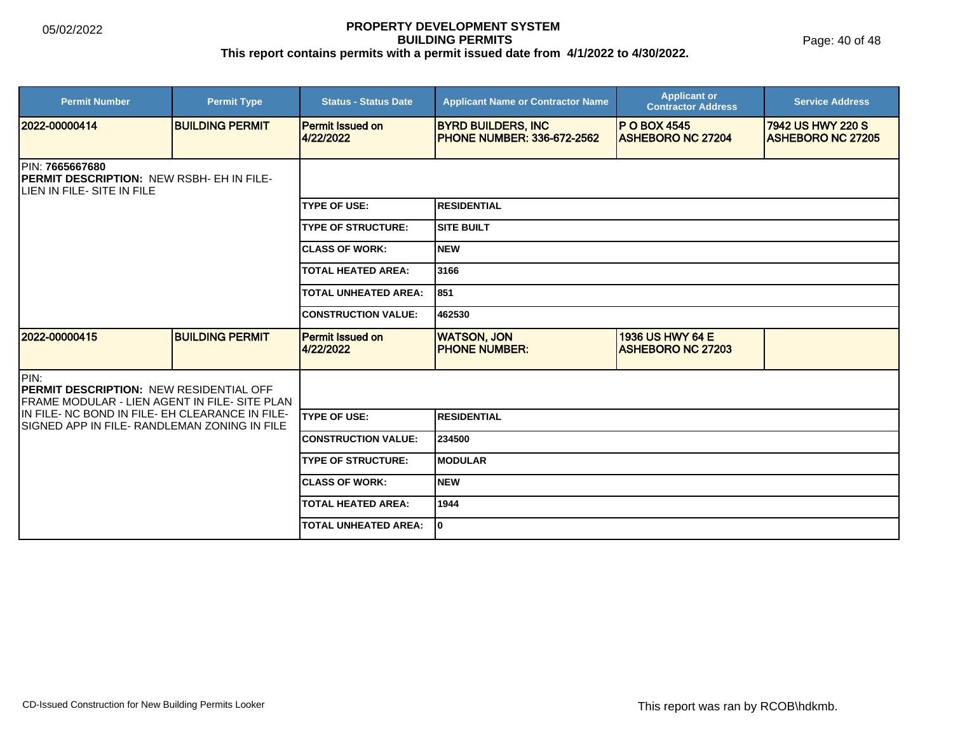Page: 40 of 48

| <b>Permit Number</b>                                                                                    | <b>Permit Type</b>     | <b>Status - Status Date</b>          | <b>Applicant Name or Contractor Name</b>                       | <b>Applicant or</b><br><b>Contractor Address</b> | <b>Service Address</b>                        |  |  |
|---------------------------------------------------------------------------------------------------------|------------------------|--------------------------------------|----------------------------------------------------------------|--------------------------------------------------|-----------------------------------------------|--|--|
| 12022-00000414                                                                                          | <b>BUILDING PERMIT</b> | <b>Permit Issued on</b><br>4/22/2022 | <b>BYRD BUILDERS, INC</b><br><b>PHONE NUMBER: 336-672-2562</b> | <b>P O BOX 4545</b><br><b>ASHEBORO NC 27204</b>  | 7942 US HWY 220 S<br><b>ASHEBORO NC 27205</b> |  |  |
| PIN: 7665667680<br>PERMIT DESCRIPTION: NEW RSBH- EH IN FILE-<br>LIEN IN FILE- SITE IN FILE              |                        |                                      |                                                                |                                                  |                                               |  |  |
|                                                                                                         |                        | <b>TYPE OF USE:</b>                  | <b>RESIDENTIAL</b>                                             |                                                  |                                               |  |  |
|                                                                                                         |                        | <b>TYPE OF STRUCTURE:</b>            | <b>SITE BUILT</b>                                              |                                                  |                                               |  |  |
|                                                                                                         |                        | <b>ICLASS OF WORK:</b>               | <b>NEW</b>                                                     |                                                  |                                               |  |  |
|                                                                                                         |                        | <b>TOTAL HEATED AREA:</b>            | 3166                                                           |                                                  |                                               |  |  |
|                                                                                                         |                        | <b>TOTAL UNHEATED AREA:</b>          | 851                                                            |                                                  |                                               |  |  |
|                                                                                                         |                        | <b>CONSTRUCTION VALUE:</b>           | 462530                                                         |                                                  |                                               |  |  |
| 12022-00000415                                                                                          | <b>BUILDING PERMIT</b> | Permit Issued on<br>4/22/2022        | <b>WATSON, JON</b><br><b>PHONE NUMBER:</b>                     | 1936 US HWY 64 E<br><b>ASHEBORO NC 27203</b>     |                                               |  |  |
| PIN:<br><b>PERMIT DESCRIPTION: NEW RESIDENTIAL OFF</b><br>FRAME MODULAR - LIEN AGENT IN FILE- SITE PLAN |                        |                                      |                                                                |                                                  |                                               |  |  |
| IN FILE- NC BOND IN FILE- EH CLEARANCE IN FILE-<br>ISIGNED APP IN FILE- RANDLEMAN ZONING IN FILE        |                        | <b>TYPE OF USE:</b>                  | <b>RESIDENTIAL</b>                                             |                                                  |                                               |  |  |
|                                                                                                         |                        | <b>CONSTRUCTION VALUE:</b>           | 234500                                                         |                                                  |                                               |  |  |
|                                                                                                         |                        | <b>TYPE OF STRUCTURE:</b>            | <b>MODULAR</b>                                                 |                                                  |                                               |  |  |
|                                                                                                         |                        | <b>ICLASS OF WORK:</b>               | <b>NEW</b>                                                     |                                                  |                                               |  |  |
|                                                                                                         |                        | <b>TOTAL HEATED AREA:</b>            | 1944                                                           |                                                  |                                               |  |  |
|                                                                                                         |                        | <b>TOTAL UNHEATED AREA:</b>          | 0                                                              |                                                  |                                               |  |  |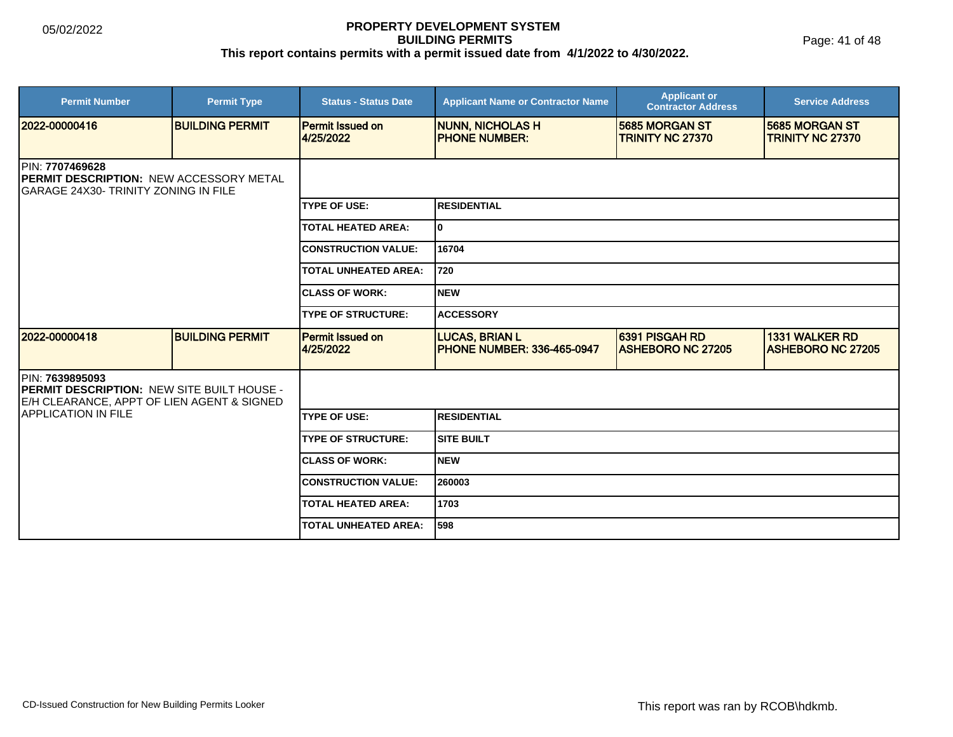Page: 41 of 48

| <b>Permit Number</b>                                                                                        | <b>Permit Type</b>     | <b>Status - Status Date</b>          | <b>Applicant Name or Contractor Name</b>                   | <b>Applicant or</b><br><b>Contractor Address</b> | <b>Service Address</b>                            |  |
|-------------------------------------------------------------------------------------------------------------|------------------------|--------------------------------------|------------------------------------------------------------|--------------------------------------------------|---------------------------------------------------|--|
| 2022-00000416                                                                                               | <b>BUILDING PERMIT</b> | <b>Permit Issued on</b><br>4/25/2022 | <b>NUNN, NICHOLAS H</b><br><b>PHONE NUMBER:</b>            | 5685 MORGAN ST<br><b>TRINITY NC 27370</b>        | 5685 MORGAN ST<br><b>TRINITY NC 27370</b>         |  |
| <b>IPIN: 7707469628</b><br>PERMIT DESCRIPTION: NEW ACCESSORY METAL<br>IGARAGE 24X30- TRINITY ZONING IN FILE |                        |                                      |                                                            |                                                  |                                                   |  |
|                                                                                                             |                        | <b>TYPE OF USE:</b>                  | <b>RESIDENTIAL</b>                                         |                                                  |                                                   |  |
|                                                                                                             |                        | <b>TOTAL HEATED AREA:</b>            | 0                                                          |                                                  |                                                   |  |
|                                                                                                             |                        | <b>CONSTRUCTION VALUE:</b>           | 16704                                                      |                                                  |                                                   |  |
|                                                                                                             |                        | <b>TOTAL UNHEATED AREA:</b>          | 720                                                        |                                                  |                                                   |  |
|                                                                                                             |                        | <b>CLASS OF WORK:</b>                | <b>NEW</b>                                                 |                                                  |                                                   |  |
|                                                                                                             |                        | <b>TYPE OF STRUCTURE:</b>            | <b>ACCESSORY</b>                                           |                                                  |                                                   |  |
| 2022-00000418                                                                                               | <b>BUILDING PERMIT</b> | <b>Permit Issued on</b><br>4/25/2022 | <b>LUCAS, BRIAN L</b><br><b>PHONE NUMBER: 336-465-0947</b> | 6391 PISGAH RD<br><b>ASHEBORO NC 27205</b>       | <b>1331 WALKER RD</b><br><b>ASHEBORO NC 27205</b> |  |
| PIN: 7639895093<br>PERMIT DESCRIPTION: NEW SITE BUILT HOUSE -<br>E/H CLEARANCE, APPT OF LIEN AGENT & SIGNED |                        |                                      |                                                            |                                                  |                                                   |  |
| <b>APPLICATION IN FILE</b>                                                                                  |                        | <b>TYPE OF USE:</b>                  | <b>RESIDENTIAL</b>                                         |                                                  |                                                   |  |
|                                                                                                             |                        | <b>TYPE OF STRUCTURE:</b>            | <b>SITE BUILT</b>                                          |                                                  |                                                   |  |
|                                                                                                             |                        | <b>ICLASS OF WORK:</b>               | <b>NEW</b>                                                 |                                                  |                                                   |  |
|                                                                                                             |                        | <b>CONSTRUCTION VALUE:</b>           | 260003                                                     |                                                  |                                                   |  |
|                                                                                                             |                        | <b>TOTAL HEATED AREA:</b>            | 1703                                                       |                                                  |                                                   |  |
|                                                                                                             |                        | <b>TOTAL UNHEATED AREA:</b>          | 598                                                        |                                                  |                                                   |  |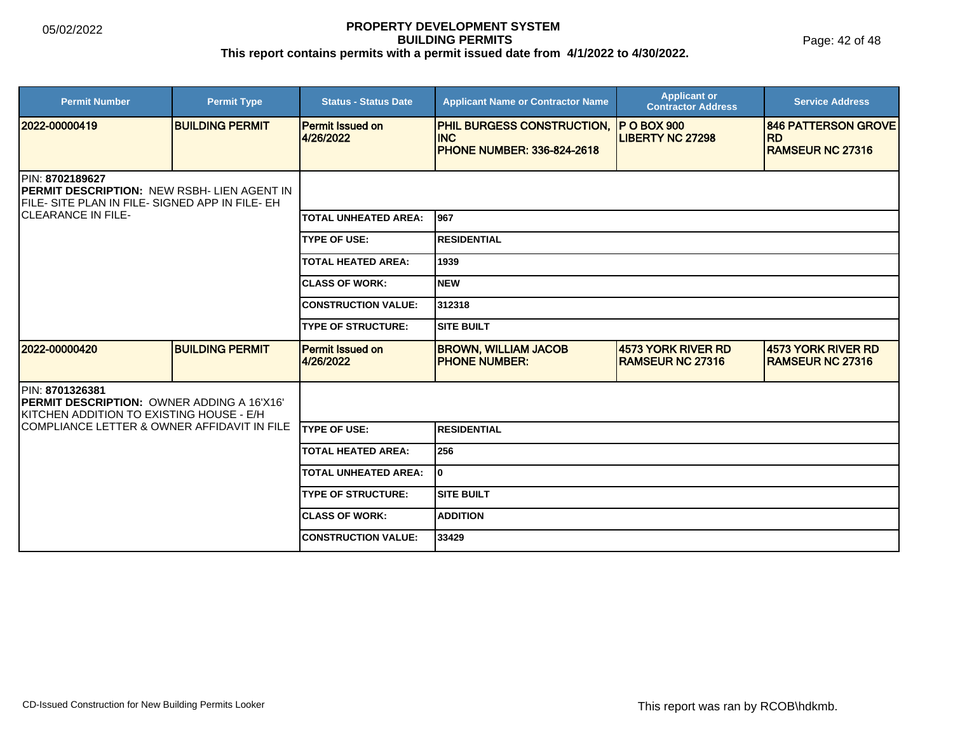| <b>Permit Number</b>                                                                                                       | <b>Permit Type</b>     | <b>Status - Status Date</b>          | <b>Applicant Name or Contractor Name</b>                                                   | <b>Applicant or</b><br><b>Contractor Address</b> | <b>Service Address</b>                                             |  |
|----------------------------------------------------------------------------------------------------------------------------|------------------------|--------------------------------------|--------------------------------------------------------------------------------------------|--------------------------------------------------|--------------------------------------------------------------------|--|
| 2022-00000419                                                                                                              | <b>BUILDING PERMIT</b> | <b>Permit Issued on</b><br>4/26/2022 | PHIL BURGESS CONSTRUCTION, IP O BOX 900<br><b>INC</b><br><b>PHONE NUMBER: 336-824-2618</b> | <b>LIBERTY NC 27298</b>                          | <b>846 PATTERSON GROVE</b><br><b>RD</b><br><b>RAMSEUR NC 27316</b> |  |
| PIN: 8702189627<br><b>IPERMIT DESCRIPTION: NEW RSBH- LIEN AGENT IN</b><br>IFILE- SITE PLAN IN FILE- SIGNED APP IN FILE- EH |                        |                                      |                                                                                            |                                                  |                                                                    |  |
| <b>CLEARANCE IN FILE-</b>                                                                                                  |                        | <b>TOTAL UNHEATED AREA:</b>          | 1967                                                                                       |                                                  |                                                                    |  |
|                                                                                                                            |                        | <b>TYPE OF USE:</b>                  | <b>RESIDENTIAL</b>                                                                         |                                                  |                                                                    |  |
|                                                                                                                            |                        | <b>TOTAL HEATED AREA:</b>            | 1939                                                                                       |                                                  |                                                                    |  |
|                                                                                                                            |                        | <b>ICLASS OF WORK:</b>               | Inew                                                                                       |                                                  |                                                                    |  |
|                                                                                                                            |                        | <b>CONSTRUCTION VALUE:</b>           | 312318                                                                                     |                                                  |                                                                    |  |
|                                                                                                                            |                        | <b>TYPE OF STRUCTURE:</b>            | <b>SITE BUILT</b>                                                                          |                                                  |                                                                    |  |
| 2022-00000420                                                                                                              | <b>BUILDING PERMIT</b> | <b>Permit Issued on</b><br>4/26/2022 | <b>BROWN, WILLIAM JACOB</b><br><b>PHONE NUMBER:</b>                                        | 4573 YORK RIVER RD<br><b>RAMSEUR NC 27316</b>    | 4573 YORK RIVER RD<br><b>IRAMSEUR NC 27316</b>                     |  |
| <b>PIN: 8701326381</b><br><b>PERMIT DESCRIPTION: OWNER ADDING A 16'X16'</b><br>KITCHEN ADDITION TO EXISTING HOUSE - E/H    |                        |                                      |                                                                                            |                                                  |                                                                    |  |
| COMPLIANCE LETTER & OWNER AFFIDAVIT IN FILE                                                                                |                        | <b>TYPE OF USE:</b>                  | <b>RESIDENTIAL</b>                                                                         |                                                  |                                                                    |  |
|                                                                                                                            |                        | <b>TOTAL HEATED AREA:</b>            | 256                                                                                        |                                                  |                                                                    |  |
|                                                                                                                            |                        | <b>TOTAL UNHEATED AREA:</b>          | I٥                                                                                         |                                                  |                                                                    |  |
|                                                                                                                            |                        | <b>TYPE OF STRUCTURE:</b>            | <b>SITE BUILT</b>                                                                          |                                                  |                                                                    |  |
|                                                                                                                            |                        | <b>ICLASS OF WORK:</b>               | <b>ADDITION</b>                                                                            |                                                  |                                                                    |  |
|                                                                                                                            |                        | <b>ICONSTRUCTION VALUE:</b>          | 33429                                                                                      |                                                  |                                                                    |  |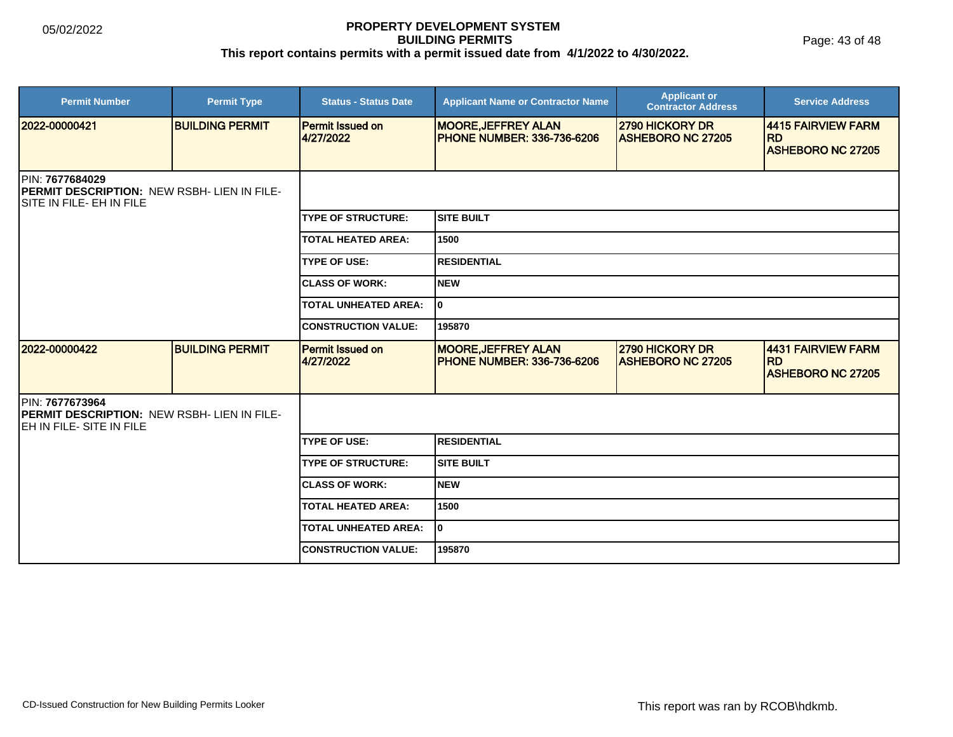Page: 43 of 48

| <b>Permit Number</b>                                                                                      | <b>Permit Type</b>     | <b>Status - Status Date</b>          | <b>Applicant Name or Contractor Name</b>                         | <b>Applicant or</b><br><b>Contractor Address</b> | <b>Service Address</b>                                       |
|-----------------------------------------------------------------------------------------------------------|------------------------|--------------------------------------|------------------------------------------------------------------|--------------------------------------------------|--------------------------------------------------------------|
| 2022-00000421                                                                                             | <b>BUILDING PERMIT</b> | <b>Permit Issued on</b><br>4/27/2022 | <b>MOORE, JEFFREY ALAN</b><br><b>IPHONE NUMBER: 336-736-6206</b> | 2790 HICKORY DR<br><b>ASHEBORO NC 27205</b>      | 4415 FAIRVIEW FARM<br><b>IRD</b><br><b>ASHEBORO NC 27205</b> |
| PIN: 7677684029<br><b>PERMIT DESCRIPTION: NEW RSBH- LIEN IN FILE-</b><br>SITE IN FILE- EH IN FILE         |                        |                                      |                                                                  |                                                  |                                                              |
|                                                                                                           |                        | <b>TYPE OF STRUCTURE:</b>            | <b>SITE BUILT</b>                                                |                                                  |                                                              |
|                                                                                                           |                        | <b>TOTAL HEATED AREA:</b>            | 1500                                                             |                                                  |                                                              |
|                                                                                                           |                        | <b>TYPE OF USE:</b>                  | <b>RESIDENTIAL</b>                                               |                                                  |                                                              |
|                                                                                                           |                        | <b>CLASS OF WORK:</b>                | <b>NEW</b>                                                       |                                                  |                                                              |
|                                                                                                           |                        | <b>TOTAL UNHEATED AREA:</b>          | I٥                                                               |                                                  |                                                              |
|                                                                                                           |                        | <b>CONSTRUCTION VALUE:</b>           | 195870                                                           |                                                  |                                                              |
| 2022-00000422                                                                                             | <b>BUILDING PERMIT</b> | <b>Permit Issued on</b><br>4/27/2022 | <b>MOORE, JEFFREY ALAN</b><br><b>PHONE NUMBER: 336-736-6206</b>  | 2790 HICKORY DR<br><b>ASHEBORO NC 27205</b>      | 4431 FAIRVIEW FARM<br><b>RD</b><br><b>ASHEBORO NC 27205</b>  |
| PIN: 7677673964<br><b>PERMIT DESCRIPTION: NEW RSBH- LIEN IN FILE-</b><br><b>IEH IN FILE- SITE IN FILE</b> |                        |                                      |                                                                  |                                                  |                                                              |
|                                                                                                           |                        | <b>TYPE OF USE:</b>                  | <b>RESIDENTIAL</b>                                               |                                                  |                                                              |
|                                                                                                           |                        | <b>TYPE OF STRUCTURE:</b>            | <b>SITE BUILT</b>                                                |                                                  |                                                              |
|                                                                                                           |                        | <b>CLASS OF WORK:</b>                | <b>NEW</b>                                                       |                                                  |                                                              |
|                                                                                                           |                        | <b>TOTAL HEATED AREA:</b>            | 1500                                                             |                                                  |                                                              |
|                                                                                                           |                        | <b>TOTAL UNHEATED AREA:</b>          | I٥                                                               |                                                  |                                                              |
|                                                                                                           |                        | <b>CONSTRUCTION VALUE:</b>           | 195870                                                           |                                                  |                                                              |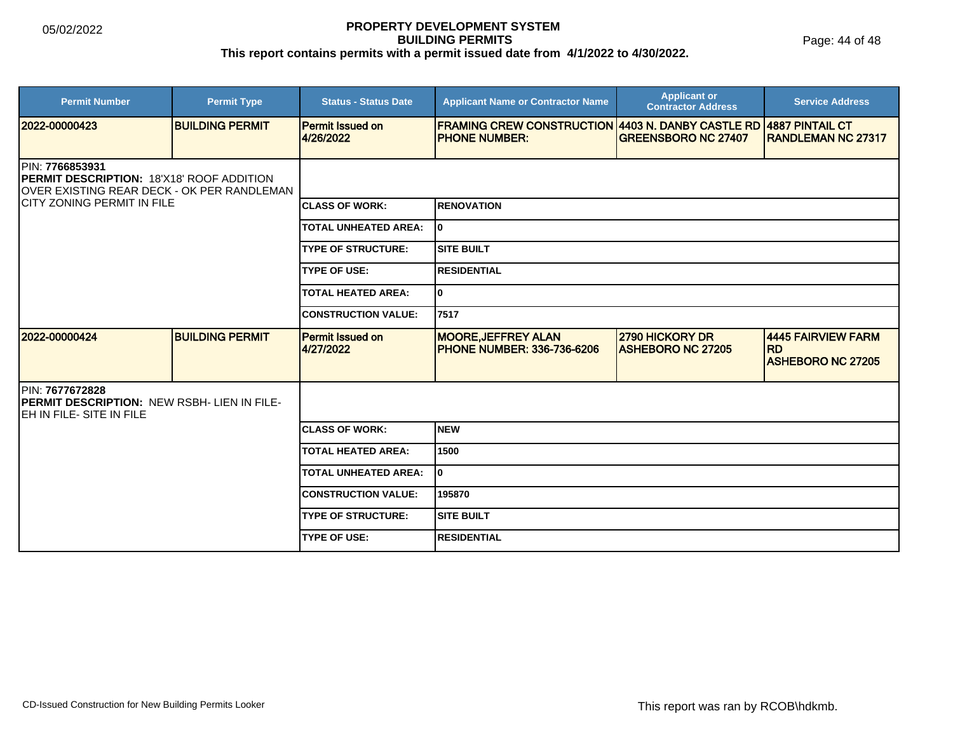| <b>Permit Number</b>                                                                                                       | <b>Permit Type</b>     | <b>Status - Status Date</b>          | <b>Applicant Name or Contractor Name</b>                                         | <b>Applicant or</b><br><b>Contractor Address</b>   | <b>Service Address</b>                                      |
|----------------------------------------------------------------------------------------------------------------------------|------------------------|--------------------------------------|----------------------------------------------------------------------------------|----------------------------------------------------|-------------------------------------------------------------|
| 2022-00000423                                                                                                              | <b>BUILDING PERMIT</b> | <b>Permit Issued on</b><br>4/26/2022 | <b>FRAMING CREW CONSTRUCTION 4403 N. DANBY CASTLE RD</b><br><b>PHONE NUMBER:</b> | <b>GREENSBORO NC 27407</b>                         | <b>4887 PINTAIL CT</b><br><b>RANDLEMAN NC 27317</b>         |
| <b>IPIN: 7766853931</b><br><b>IPERMIT DESCRIPTION: 18'X18' ROOF ADDITION</b><br>OVER EXISTING REAR DECK - OK PER RANDLEMAN |                        |                                      |                                                                                  |                                                    |                                                             |
| <b>CITY ZONING PERMIT IN FILE</b>                                                                                          |                        | <b>ICLASS OF WORK:</b>               | <b>RENOVATION</b>                                                                |                                                    |                                                             |
|                                                                                                                            |                        | <b>TOTAL UNHEATED AREA:</b>          | I٥                                                                               |                                                    |                                                             |
|                                                                                                                            |                        | <b>TYPE OF STRUCTURE:</b>            | <b>SITE BUILT</b>                                                                |                                                    |                                                             |
|                                                                                                                            |                        | <b>TYPE OF USE:</b>                  | <b>RESIDENTIAL</b>                                                               |                                                    |                                                             |
|                                                                                                                            |                        | <b>TOTAL HEATED AREA:</b>            | $\mathbf{0}$                                                                     |                                                    |                                                             |
|                                                                                                                            |                        | <b>CONSTRUCTION VALUE:</b>           | 7517                                                                             |                                                    |                                                             |
| 2022-00000424                                                                                                              | <b>BUILDING PERMIT</b> | <b>Permit Issued on</b><br>4/27/2022 | <b>MOORE, JEFFREY ALAN</b><br><b>PHONE NUMBER: 336-736-6206</b>                  | <b>2790 HICKORY DR</b><br><b>ASHEBORO NC 27205</b> | 4445 FAIRVIEW FARM<br><b>RD</b><br><b>ASHEBORO NC 27205</b> |
| PIN: 7677672828<br>PERMIT DESCRIPTION: NEW RSBH- LIEN IN FILE-<br>EH IN FILE- SITE IN FILE                                 |                        |                                      |                                                                                  |                                                    |                                                             |
|                                                                                                                            |                        | <b>CLASS OF WORK:</b>                | <b>NEW</b>                                                                       |                                                    |                                                             |
|                                                                                                                            |                        | <b>TOTAL HEATED AREA:</b>            | 1500                                                                             |                                                    |                                                             |
|                                                                                                                            |                        | <b>TOTAL UNHEATED AREA:</b>          | $\mathbf{0}$                                                                     |                                                    |                                                             |
|                                                                                                                            |                        | <b>CONSTRUCTION VALUE:</b>           | 195870                                                                           |                                                    |                                                             |
|                                                                                                                            |                        | <b>TYPE OF STRUCTURE:</b>            | <b>SITE BUILT</b>                                                                |                                                    |                                                             |
|                                                                                                                            |                        | <b>TYPE OF USE:</b>                  | <b>RESIDENTIAL</b>                                                               |                                                    |                                                             |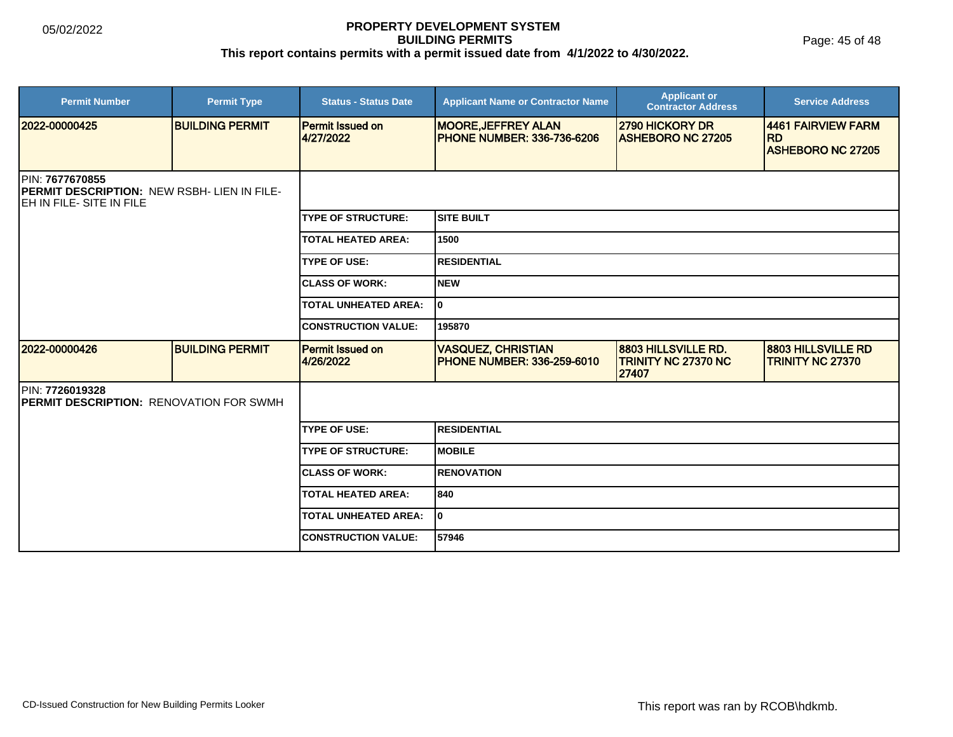Page: 45 of 48

| <b>Permit Number</b>                                                                        | <b>Permit Type</b>     | <b>Status - Status Date</b>          | <b>Applicant Name or Contractor Name</b>                        | <b>Applicant or</b><br><b>Contractor Address</b>    | <b>Service Address</b>                               |
|---------------------------------------------------------------------------------------------|------------------------|--------------------------------------|-----------------------------------------------------------------|-----------------------------------------------------|------------------------------------------------------|
| 2022-00000425                                                                               | <b>BUILDING PERMIT</b> | <b>Permit Issued on</b><br>4/27/2022 | <b>MOORE, JEFFREY ALAN</b><br><b>PHONE NUMBER: 336-736-6206</b> | 2790 HICKORY DR<br><b>ASHEBORO NC 27205</b>         | 4461 FAIRVIEW FARM<br>RD<br><b>ASHEBORO NC 27205</b> |
| PIN: 7677670855<br>PERMIT DESCRIPTION: NEW RSBH- LIEN IN FILE-<br>IEH IN FILE- SITE IN FILE |                        |                                      |                                                                 |                                                     |                                                      |
|                                                                                             |                        | <b>ITYPE OF STRUCTURE:</b>           | <b>SITE BUILT</b>                                               |                                                     |                                                      |
|                                                                                             |                        | <b>TOTAL HEATED AREA:</b>            | 1500                                                            |                                                     |                                                      |
|                                                                                             |                        | <b>TYPE OF USE:</b>                  | <b>RESIDENTIAL</b>                                              |                                                     |                                                      |
|                                                                                             |                        | <b>ICLASS OF WORK:</b>               | Inew                                                            |                                                     |                                                      |
|                                                                                             |                        | <b>TOTAL UNHEATED AREA:</b>          | lo.                                                             |                                                     |                                                      |
|                                                                                             |                        | <b>CONSTRUCTION VALUE:</b>           | 195870                                                          |                                                     |                                                      |
| 2022-00000426                                                                               | <b>BUILDING PERMIT</b> | Permit Issued on<br>4/26/2022        | <b>VASQUEZ, CHRISTIAN</b><br><b>IPHONE NUMBER: 336-259-6010</b> | 8803 HILLSVILLE RD.<br>TRINITY NC 27370 NC<br>27407 | <b>8803 HILLSVILLE RD</b><br><b>TRINITY NC 27370</b> |
| PIN: 7726019328<br><b>PERMIT DESCRIPTION: RENOVATION FOR SWMH</b>                           |                        |                                      |                                                                 |                                                     |                                                      |
|                                                                                             |                        | <b>ITYPE OF USE:</b>                 | IRESIDENTIAL                                                    |                                                     |                                                      |
|                                                                                             |                        | <b>TYPE OF STRUCTURE:</b>            | <b>IMOBILE</b>                                                  |                                                     |                                                      |
|                                                                                             |                        | <b>ICLASS OF WORK:</b>               | <b>RENOVATION</b>                                               |                                                     |                                                      |
|                                                                                             |                        | <b>TOTAL HEATED AREA:</b>            | 840                                                             |                                                     |                                                      |
|                                                                                             |                        | <b>TOTAL UNHEATED AREA:</b>          | I٥                                                              |                                                     |                                                      |
|                                                                                             |                        | <b>CONSTRUCTION VALUE:</b>           | 57946                                                           |                                                     |                                                      |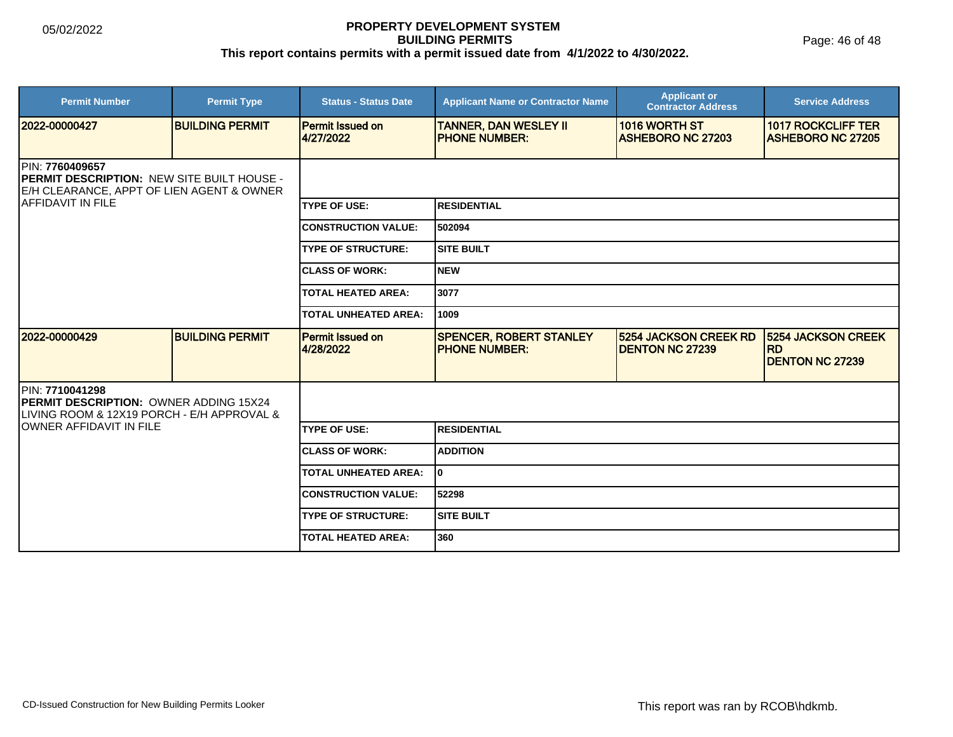Page: 46 of 48

| <b>Permit Number</b>                                                                                              | <b>Permit Type</b>     | <b>Status - Status Date</b>          | <b>Applicant Name or Contractor Name</b>                | <b>Applicant or</b><br><b>Contractor Address</b>       | <b>Service Address</b>                                           |  |
|-------------------------------------------------------------------------------------------------------------------|------------------------|--------------------------------------|---------------------------------------------------------|--------------------------------------------------------|------------------------------------------------------------------|--|
| 2022-00000427                                                                                                     | <b>BUILDING PERMIT</b> | <b>Permit Issued on</b><br>4/27/2022 | <b>TANNER, DAN WESLEY II</b><br><b>IPHONE NUMBER:</b>   | 1016 WORTH ST<br><b>ASHEBORO NC 27203</b>              | <b>1017 ROCKCLIFF TER</b><br><b>ASHEBORO NC 27205</b>            |  |
| PIN: 7760409657<br><b>PERMIT DESCRIPTION: NEW SITE BUILT HOUSE -</b><br>E/H CLEARANCE, APPT OF LIEN AGENT & OWNER |                        |                                      |                                                         |                                                        |                                                                  |  |
| <b>AFFIDAVIT IN FILE</b>                                                                                          |                        | <b>TYPE OF USE:</b>                  | <b>RESIDENTIAL</b>                                      |                                                        |                                                                  |  |
|                                                                                                                   |                        | <b>CONSTRUCTION VALUE:</b>           | 502094                                                  |                                                        |                                                                  |  |
|                                                                                                                   |                        | <b>TYPE OF STRUCTURE:</b>            | <b>SITE BUILT</b>                                       |                                                        |                                                                  |  |
|                                                                                                                   |                        | <b>CLASS OF WORK:</b>                | Inew                                                    |                                                        |                                                                  |  |
|                                                                                                                   |                        | <b>TOTAL HEATED AREA:</b>            | 3077                                                    |                                                        |                                                                  |  |
|                                                                                                                   |                        | <b>TOTAL UNHEATED AREA:</b>          | 1009                                                    |                                                        |                                                                  |  |
| 2022-00000429                                                                                                     | <b>BUILDING PERMIT</b> | <b>Permit Issued on</b><br>4/28/2022 | <b>SPENCER, ROBERT STANLEY</b><br><b>IPHONE NUMBER:</b> | <b>5254 JACKSON CREEK RD</b><br><b>DENTON NC 27239</b> | <b>5254 JACKSON CREEK</b><br><b>RD</b><br><b>DENTON NC 27239</b> |  |
| PIN: 7710041298<br>PERMIT DESCRIPTION: OWNER ADDING 15X24<br>LIVING ROOM & 12X19 PORCH - E/H APPROVAL &           |                        |                                      |                                                         |                                                        |                                                                  |  |
| OWNER AFFIDAVIT IN FILE                                                                                           |                        | <b>TYPE OF USE:</b>                  | <b>RESIDENTIAL</b>                                      |                                                        |                                                                  |  |
|                                                                                                                   |                        | <b>CLASS OF WORK:</b>                | <b>ADDITION</b>                                         |                                                        |                                                                  |  |
|                                                                                                                   |                        | <b>TOTAL UNHEATED AREA:</b>          | I٥                                                      |                                                        |                                                                  |  |
|                                                                                                                   |                        | <b>CONSTRUCTION VALUE:</b>           | 52298                                                   |                                                        |                                                                  |  |
|                                                                                                                   |                        | <b>TYPE OF STRUCTURE:</b>            | <b>SITE BUILT</b>                                       |                                                        |                                                                  |  |
|                                                                                                                   |                        | <b>TOTAL HEATED AREA:</b>            | 360                                                     |                                                        |                                                                  |  |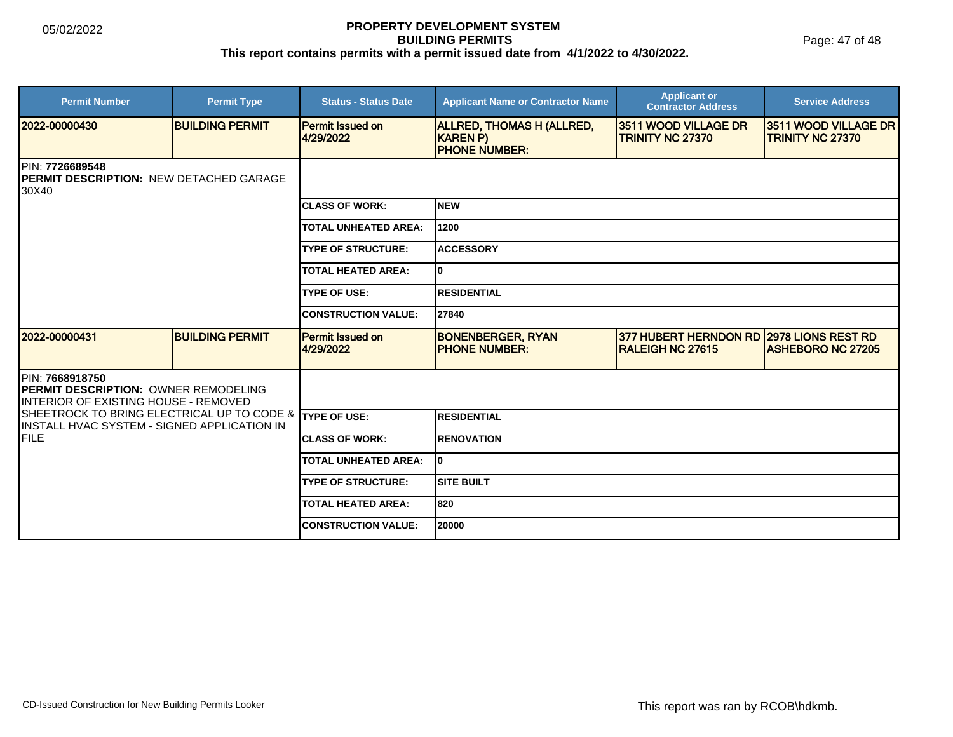Page: 47 of 48

| <b>Permit Number</b>                                                                                    | <b>Permit Type</b>     | <b>Status - Status Date</b>          | <b>Applicant Name or Contractor Name</b>                             | <b>Applicant or</b><br><b>Contractor Address</b>        | <b>Service Address</b>                                |  |
|---------------------------------------------------------------------------------------------------------|------------------------|--------------------------------------|----------------------------------------------------------------------|---------------------------------------------------------|-------------------------------------------------------|--|
| 2022-00000430                                                                                           | <b>BUILDING PERMIT</b> | <b>Permit Issued on</b><br>4/29/2022 | <b>ALLRED, THOMAS H (ALLRED,</b><br>KAREN P)<br><b>PHONE NUMBER:</b> | 3511 WOOD VILLAGE DR<br><b>TRINITY NC 27370</b>         | 3511 WOOD VILLAGE DR<br><b>TRINITY NC 27370</b>       |  |
| PIN: 7726689548<br><b>PERMIT DESCRIPTION: NEW DETACHED GARAGE</b><br>30X40                              |                        |                                      |                                                                      |                                                         |                                                       |  |
|                                                                                                         |                        | <b>CLASS OF WORK:</b>                | Inew                                                                 |                                                         |                                                       |  |
|                                                                                                         |                        | <b>TOTAL UNHEATED AREA:</b>          | 1200                                                                 |                                                         |                                                       |  |
|                                                                                                         |                        | <b>TYPE OF STRUCTURE:</b>            | <b>ACCESSORY</b>                                                     |                                                         |                                                       |  |
|                                                                                                         |                        | <b>TOTAL HEATED AREA:</b>            | lo                                                                   |                                                         |                                                       |  |
|                                                                                                         |                        | <b>TYPE OF USE:</b>                  | <b>RESIDENTIAL</b>                                                   |                                                         |                                                       |  |
|                                                                                                         |                        | <b>CONSTRUCTION VALUE:</b>           | 27840                                                                |                                                         |                                                       |  |
| 2022-00000431                                                                                           | <b>BUILDING PERMIT</b> | <b>Permit Issued on</b><br>4/29/2022 | <b>BONENBERGER, RYAN</b><br><b>IPHONE NUMBER:</b>                    | <b>377 HUBERT HERNDON RD</b><br><b>RALEIGH NC 27615</b> | <b>2978 LIONS REST RD</b><br><b>ASHEBORO NC 27205</b> |  |
| PIN: 7668918750<br><b>PERMIT DESCRIPTION: OWNER REMODELING</b><br>INTERIOR OF EXISTING HOUSE - REMOVED  |                        |                                      |                                                                      |                                                         |                                                       |  |
| SHEETROCK TO BRING ELECTRICAL UP TO CODE & TYPE OF USE:<br>IINSTALL HVAC SYSTEM - SIGNED APPLICATION IN |                        |                                      | <b>RESIDENTIAL</b>                                                   |                                                         |                                                       |  |
| FILE                                                                                                    |                        | <b>CLASS OF WORK:</b>                | <b>RENOVATION</b>                                                    |                                                         |                                                       |  |
|                                                                                                         |                        | <b>TOTAL UNHEATED AREA:</b>          | lo                                                                   |                                                         |                                                       |  |
|                                                                                                         |                        | <b>TYPE OF STRUCTURE:</b>            | <b>SITE BUILT</b>                                                    |                                                         |                                                       |  |
|                                                                                                         |                        | <b>TOTAL HEATED AREA:</b>            | 820                                                                  |                                                         |                                                       |  |
|                                                                                                         |                        | <b>CONSTRUCTION VALUE:</b>           | 20000                                                                |                                                         |                                                       |  |